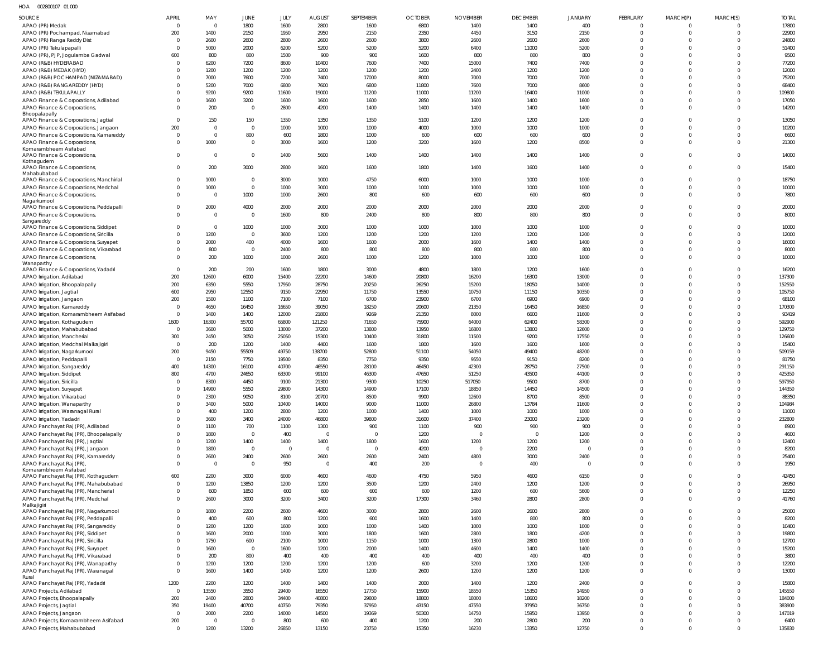HOA 002800107 01 000

| SOURCE                                                                     | <b>APRIL</b>         | MAY                    | JUNE                   | JULY           | <b>AUGUST</b>  | SEPTEMBER                | <b>OCTOBER</b> | <b>NOVEMBER</b>        | <b>DECEMBER</b> | <b>JANUARY</b>       | <b>FEBRUARY</b>            | MARCH(P)                | MARCH(S)             | <b>TOTAL</b>     |
|----------------------------------------------------------------------------|----------------------|------------------------|------------------------|----------------|----------------|--------------------------|----------------|------------------------|-----------------|----------------------|----------------------------|-------------------------|----------------------|------------------|
| APAO (PR) Medak                                                            | $\Omega$             | $\overline{0}$         | 1800                   | 1600           | 2800           | 1600                     | 6800           | 1400                   | 1400            | 400                  | $\mathbf 0$                | $\Omega$                |                      | 17800            |
| APAO (PR) Pochampad, Nizamabad<br>APAO (PR) Ranga Reddy Dist               | 200<br>- 0           | 1400<br>2600           | 2150<br>2600           | 1950<br>2800   | 2950<br>2600   | 2150<br>2600             | 2350<br>3800   | 4450<br>2600           | 3150<br>2600    | 2150<br>2600         | $\mathbf 0$<br>$\mathbf 0$ | $\Omega$<br>$\Omega$    | $\Omega$<br>$\Omega$ | 22900<br>24800   |
| APAO (PR) Tekulapapalli                                                    | $\Omega$             | 5000                   | 2000                   | 6200           | 5200           | 5200                     | 5200           | 6400                   | 11000           | 5200                 | $\Omega$                   | $\Omega$                | - 0                  | 51400            |
| APAO (PR), PJP, Jogulamba Gadwal                                           | 600                  | 800                    | 800                    | 1500           | 900            | 900                      | 1600           | 800                    | 800             | 800                  | $\Omega$                   | $\Omega$                |                      | 9500             |
| APAO (R&B) HYDERABAD                                                       | $\Omega$             | 6200                   | 7200                   | 8600           | 10400          | 7600                     | 7400           | 15000                  | 7400            | 7400                 | $\Omega$                   | $\Omega$                | - 0                  | 77200            |
| APAO (R&B) MEDAK (HYD)                                                     |                      | 1200                   | 1200                   | 1200           | 1200           | 1200                     | 1200           | 2400                   | 1200            | 1200                 | $\Omega$                   | $\Omega$                |                      | 12000            |
| APAO (R&B) POCHAMPAD (NIZAMABAD)<br>APAO (R&B) RANGAREDDY (HYD)            |                      | 7000<br>5200           | 7600<br>7000           | 7200<br>6800   | 7400<br>7600   | 17000<br>6800            | 8000<br>11800  | 7000<br>7600           | 7000<br>7000    | 7000<br>8600         | $\Omega$<br>$\mathbf 0$    | $\Omega$<br>$\Omega$    |                      | 75200<br>68400   |
| APAO (R&B) TEKULAPALLY                                                     |                      | 9200                   | 9200                   | 11600          | 19000          | 11200                    | 11000          | 11200                  | 16400           | 11000                | $\Omega$                   | $\Omega$                |                      | 109800           |
| APAO Finance & Corporations, Adilabad                                      |                      | 1600                   | 3200                   | 1600           | 1600           | 1600                     | 2850           | 1600                   | 1400            | 1600                 | $\mathbf 0$                | $\Omega$                | $\Omega$             | 17050            |
| APAO Finance & Corporations,<br>Bhoopalapally                              |                      | 200                    | $\overline{0}$         | 2800           | 4200           | 1400                     | 1400           | 1400                   | 1400            | 1400                 | $\mathbf 0$                | $\Omega$                | $\Omega$             | 14200            |
| APAO Finance & Corporations, Jagtial                                       | $\Omega$             | 150                    | 150                    | 1350           | 1350           | 1350                     | 5100           | 1200                   | 1200            | 1200                 | $\Omega$                   | $\Omega$                |                      | 13050            |
| APAO Finance & Corporations, Jangaon                                       | 200                  | $\Omega$               | $\overline{0}$         | 1000           | 1000           | 1000                     | 4000           | 1000                   | 1000            | 1000                 | $\Omega$                   | $\Omega$                | $\Omega$             | 10200            |
| APAO Finance & Corporations, Kamareddy                                     | $\Omega$             | $\overline{0}$         | 800                    | 600            | 1800           | 1000                     | 600            | 600                    | 600             | 600                  | $\mathbf 0$                | $\Omega$                | $\Omega$             | 6600             |
| APAO Finance & Corporations<br>Komarambheem Asifabad                       |                      | 1000                   | $\overline{0}$         | 3000           | 1600           | 1200                     | 3200           | 1600                   | 1200            | 8500                 | $\Omega$                   | $\Omega$                | $\Omega$             | 21300            |
| APAO Finance & Corporations,                                               |                      | $\Omega$               | $\mathbf 0$            | 1400           | 5600           | 1400                     | 1400           | 1400                   | 1400            | 1400                 | $\mathbf 0$                | $\Omega$                | $\Omega$             | 14000            |
| Kothagudem<br>APAO Finance & Corporations,                                 |                      | 200                    | 3000                   | 2800           | 1600           | 1600                     | 1800           | 1400                   | 1600            | 1400                 | $\mathbf 0$                | $\Omega$                | $\Omega$             | 15400            |
| Mahabubabad                                                                |                      |                        |                        |                |                |                          |                |                        |                 |                      |                            |                         |                      |                  |
| APAO Finance & Corporations, Manchirial                                    |                      | 1000                   | $\mathbf{0}$           | 3000           | 1000           | 4750                     | 6000           | 1000                   | 1000            | 1000                 | $\Omega$                   | $\Omega$                |                      | 18750            |
| APAO Finance & Corporations, Medchal<br>APAO Finance & Corporations,       |                      | 1000<br>$\Omega$       | $\overline{0}$<br>1000 | 1000<br>1000   | 3000<br>2600   | 1000<br>800              | 1000<br>600    | 1000<br>600            | 1000<br>600     | 1000<br>600          | $\mathbf 0$<br>$\Omega$    | $\Omega$<br>$\Omega$    | $\Omega$<br>$\Omega$ | 10000<br>7800    |
| Nagarkurnool                                                               |                      |                        |                        |                |                |                          |                |                        |                 |                      |                            |                         |                      |                  |
| APAO Finance & Corporations, Peddapalli                                    | $\Omega$             | 2000                   | 4000                   | 2000           | 2000           | 2000                     | 2000           | 2000                   | 2000            | 2000                 | $\Omega$                   | $\Omega$                | $\Omega$             | 20000            |
| APAO Finance & Corporations,<br>Sangareddy                                 |                      | $\overline{0}$         | $\overline{0}$         | 1600           | 800            | 2400                     | 800            | 800                    | 800             | 800                  | $\Omega$                   | $\Omega$                | $\Omega$             | 8000             |
| APAO Finance & Corporations, Siddipet                                      | $\Omega$             | $\Omega$               | 1000                   | 1000           | 3000           | 1000                     | 1000           | 1000                   | 1000            | 1000                 | $\Omega$                   | $\Omega$                | $\Omega$             | 10000            |
| APAO Finance & Corporations, Siricilla                                     |                      | 1200                   | $\overline{0}$         | 3600           | 1200           | 1200                     | 1200           | 1200                   | 1200            | 1200                 | $\Omega$                   | $\Omega$                | $\Omega$             | 12000            |
| APAO Finance & Corporations, Suryapet                                      |                      | 2000                   | 400                    | 4000           | 1600           | 1600                     | 2000           | 1600                   | 1400            | 1400                 | $\Omega$                   | $\Omega$                | $\Omega$             | 16000            |
| APAO Finance & Corporations, Vikarabad<br>APAO Finance & Corporations,     |                      | 800<br>200             | $\overline{0}$<br>1000 | 2400<br>1000   | 800<br>2600    | 800<br>1000              | 800<br>1200    | 800<br>1000            | 800<br>1000     | 800<br>1000          | $\mathbf 0$<br>$\mathbf 0$ | $\Omega$<br>$\Omega$    | $\Omega$<br>$\Omega$ | 8000<br>10000    |
| Wanaparthy                                                                 |                      |                        |                        |                |                |                          |                |                        |                 |                      |                            |                         |                      |                  |
| APAO Finance & Corporations, Yadadri                                       | $\Omega$             | 200                    | 200                    | 1600           | 1800           | 3000                     | 4800           | 1800                   | 1200            | 1600                 | $\Omega$                   | 0                       |                      | 16200            |
| APAO Irrigation, Adilabad                                                  | 200                  | 12600                  | 6000                   | 15400          | 22200          | 14600                    | 20800          | 16200                  | 16300           | 13000                | $\Omega$                   | $\Omega$                | $\Omega$             | 137300           |
| APAO Irrigation, Bhoopalapally<br>APAO Irrigation, Jagtial                 | 200<br>600           | 6350<br>2950           | 5550<br>12550          | 17950<br>9150  | 28750<br>22950 | 20250<br>11750           | 26250<br>13550 | 15200<br>10750         | 18050<br>11150  | 14000<br>10350       | $\mathbf 0$<br>$\Omega$    | $\Omega$<br>$\Omega$    | $\Omega$             | 152550<br>105750 |
| APAO Irrigation, Jangaon                                                   | 200                  | 1500                   | 1100                   | 7100           | 7100           | 6700                     | 23900          | 6700                   | 6900            | 6900                 | $\Omega$                   | $\Omega$                |                      | 68100            |
| APAO Irrigation, Kamareddy                                                 | $\Omega$             | 4650                   | 16450                  | 16650          | 39050          | 18250                    | 20600          | 21350                  | 16450           | 16850                | $\Omega$                   | $\Omega$                | - 0                  | 170300           |
| APAO Irrigation, Komarambheem Asifabad                                     | $\Omega$             | 1400                   | 1400                   | 12000          | 21800          | 9269                     | 21350          | 8000                   | 6600            | 11600                | $\mathbf 0$                | $\Omega$                |                      | 93419            |
| APAO Irrigation, Kothagudem                                                | 1600                 | 16300                  | 55700                  | 65800          | 121250         | 71650                    | 75900          | 64000                  | 62400           | 58300                | $\Omega$                   | $\Omega$                |                      | 592900           |
| APAO Irrigation, Mahabubabad<br>APAO Irrigation, Mancherial                | $\Omega$<br>300      | 3600<br>2450           | 5000<br>3050           | 13000<br>25050 | 37200<br>15300 | 13800<br>10400           | 13950<br>31800 | 16800<br>11500         | 13800<br>9200   | 12600<br>17550       | $\mathbf 0$<br>$\Omega$    | $\Omega$<br>$\Omega$    |                      | 129750<br>126600 |
| APAO Irrigation, Medchal Malkajigiri                                       | $\Omega$             | 200                    | 1200                   | 1400           | 4400           | 1600                     | 1800           | 1600                   | 1600            | 1600                 | $\mathbf 0$                | 0                       |                      | 15400            |
| APAO Irrigation, Nagarkurnool                                              | 200                  | 9450                   | 55509                  | 49750          | 138700         | 52800                    | 51100          | 54050                  | 49400           | 48200                | $\Omega$                   | $\Omega$                |                      | 509159           |
| APAO Irrigation, Peddapalli                                                | $\Omega$             | 2150                   | 7750                   | 19500          | 8350           | 7750                     | 9350           | 9550                   | 9150            | 8200                 | $\Omega$                   |                         |                      | 81750            |
| APAO Irrigation, Sangareddy                                                | 400                  | 14300                  | 16100                  | 40700          | 46550          | 28100                    | 46450          | 42300                  | 28750           | 27500                | $\Omega$<br>$\Omega$       | $\Omega$<br>$\Omega$    |                      | 291150           |
| APAO Irrigation, Siddipet<br>APAO Irrigation, Siricilla                    | 800<br>$\Omega$      | 4700<br>8300           | 24650<br>4450          | 63300<br>9100  | 99100<br>21300 | 46300<br>9300            | 47650<br>10250 | 51250<br>517050        | 43500<br>9500   | 44100<br>8700        | $\Omega$                   | $\Omega$                | $\Omega$<br>$\Omega$ | 425350<br>597950 |
| APAO Irrigation, Suryapet                                                  |                      | 14900                  | 5550                   | 29800          | 14300          | 14900                    | 17100          | 18850                  | 14450           | 14500                | $\mathbf 0$                | $\Omega$                |                      | 144350           |
| APAO Irrigation, Vikarabad                                                 |                      | 2300                   | 9050                   | 8100           | 20700          | 8500                     | 9900           | 12600                  | 8700            | 8500                 | $\mathbf 0$                | $\Omega$                | $\Omega$             | 88350            |
| APAO Irrigation, Wanaparthy                                                |                      | 3400                   | 5000                   | 10400          | 14000          | 9000                     | 11000          | 26800                  | 13784           | 11600                | $\mathbf 0$                | $\Omega$                | $\Omega$             | 104984           |
| APAO Irrigation, Waranagal Rural                                           |                      | 400                    | 1200                   | 2800           | 1200           | 1000                     | 1400           | 1000                   | 1000            | 1000                 | $\mathbf 0$<br>$\mathbf 0$ | $\Omega$<br>$\Omega$    | $\Omega$<br>$\Omega$ | 11000            |
| APAO Irrigation, Yadadri<br>APAO Panchayat Raj (PR), Adilabad              |                      | 3600<br>1100           | 3400<br>700            | 24000<br>1100  | 46800<br>1300  | 39800<br>900             | 31600<br>1100  | 37400<br>900           | 23000<br>900    | 23200<br>900         | $\Omega$                   | $\Omega$                | $\Omega$             | 232800<br>8900   |
| APAO Panchayat Raj (PR), Bhoopalapally                                     |                      | 1800                   | $\overline{0}$         | 400            | $\overline{0}$ | $\overline{\phantom{0}}$ | 1200           | $\overline{0}$         | $\overline{0}$  | 1200                 | $\mathbf 0$                | $\Omega$                | $\Omega$             | 4600             |
| APAO Panchayat Raj (PR), Jagtial                                           |                      | 1200                   | 1400                   | 1400           | 1400           | 1800                     | 1600           | 1200                   | 1200            | 1200                 | $\Omega$                   | $\Omega$                | $\Omega$             | 12400            |
| APAO Panchayat Raj (PR), Jangaon                                           |                      | 1800                   | $\overline{0}$         | $\overline{0}$ | $\overline{0}$ | $\overline{0}$           | 4200           | $\overline{0}$         | 2200            | $\mathbf{0}$         | $\mathbf 0$                | $\Omega$                | $\Omega$             | 8200             |
| APAO Panchayat Raj (PR), Kamareddy                                         | $\Omega$             | 2600<br>$\overline{0}$ | 2400<br>$\overline{0}$ | 2600           | 2600           | 2600<br>400              | 2400<br>200    | 4800<br>$\overline{0}$ | 3000            | 2400<br>$\mathbf{0}$ | $\mathbf 0$<br>$\mathbf 0$ | $\mathbf 0$<br>$\Omega$ | $\Omega$<br>$\Omega$ | 25400<br>1950    |
| APAO Panchayat Raj (PR),<br>Komarambheem Asifabad                          |                      |                        |                        | 950            | $\overline{0}$ |                          |                |                        | 400             |                      |                            |                         |                      |                  |
| APAO Panchayat Raj (PR), Kothagudem                                        | 600                  | 2200                   | 3000                   | 6000           | 4600           | 4600                     | 4750           | 5950                   | 4600            | 6150                 | $\mathbf 0$                | $\mathbf 0$             | $\Omega$             | 42450            |
| APAO Panchayat Raj (PR), Mahabubabad                                       | $\Omega$<br>$\Omega$ | 1200<br>600            | 13850<br>1850          | 1200<br>600    | 1200<br>600    | 3500<br>600              | 1200<br>600    | 2400<br>1200           | 1200<br>600     | 1200<br>5600         | $\mathbf 0$<br>$\mathbf 0$ | $\Omega$<br>$\mathbf 0$ | $\Omega$<br>$\Omega$ | 26950<br>12250   |
| APAO Panchayat Raj (PR), Mancherial<br>APAO Panchayat Raj (PR), Medchal    | $\Omega$             | 2600                   | 3000                   | 3200           | 3400           | 3200                     | 17300          | 3460                   | 2800            | 2800                 | $\mathbf 0$                | $\Omega$                | $\Omega$             | 41760            |
| Malkajigiri                                                                |                      |                        |                        |                |                |                          |                |                        |                 |                      |                            |                         |                      |                  |
| APAO Panchayat Raj (PR), Nagarkurnool                                      | $\Omega$             | 1800                   | 2200                   | 2600           | 4600           | 3000                     | 2800           | 2600                   | 2600            | 2800                 | $\mathbf 0$                | $\Omega$<br>$\Omega$    | $\Omega$             | 25000            |
| APAO Panchayat Raj (PR), Peddapalli<br>APAO Panchayat Raj (PR), Sangareddy |                      | 400<br>1200            | 600<br>1200            | 800<br>1600    | 1200<br>1000   | 600<br>1000              | 1600<br>1400   | 1400<br>1000           | 800<br>1000     | 800<br>1000          | $\mathbf 0$<br>$\mathbf 0$ | $\mathbf 0$             | $\Omega$<br>$\Omega$ | 8200<br>10400    |
| APAO Panchayat Raj (PR), Siddipet                                          |                      | 1600                   | 2000                   | 1000           | 3000           | 1800                     | 1600           | 2800                   | 1800            | 4200                 | $\mathbf 0$                | $\Omega$                | $\Omega$             | 19800            |
| APAO Panchayat Raj (PR), Siricilla                                         |                      | 1750                   | 600                    | 2100           | 1000           | 1150                     | 1000           | 1300                   | 2800            | 1000                 | $\mathbf 0$                | $\Omega$                | $\Omega$             | 12700            |
| APAO Panchayat Raj (PR), Suryapet                                          |                      | 1600                   | $\overline{0}$         | 1600           | 1200           | 2000                     | 1400           | 4600                   | 1400            | 1400                 | $\mathbf 0$                | $\Omega$                | $\Omega$             | 15200            |
| APAO Panchayat Raj (PR), Vikarabad                                         |                      | 200                    | 800                    | 400            | 400            | 400                      | 400            | 400                    | 400             | 400                  | $\mathbf 0$                | $\mathbf 0$             | $\Omega$             | 3800             |
| APAO Panchayat Raj (PR), Wanaparthy<br>APAO Panchayat Raj (PR), Waranagal  | $\Omega$             | 1200<br>1600           | 1200<br>1400           | 1200<br>1400   | 1200<br>1200   | 1200<br>1200             | 600<br>2600    | 3200<br>1200           | 1200<br>1200    | 1200<br>1200         | $\mathbf 0$<br>$\mathbf 0$ | $\mathbf 0$<br>$\Omega$ | $\Omega$<br>$\Omega$ | 12200<br>13000   |
| Rural                                                                      |                      |                        |                        |                |                |                          |                |                        |                 |                      |                            |                         |                      |                  |
| APAO Panchayat Raj (PR), Yadadri                                           | 1200                 | 2200                   | 1200                   | 1400           | 1400           | 1400                     | 2000           | 1400                   | 1200            | 2400                 | $\mathbf 0$                | $\mathbf 0$             |                      | 15800            |
| APAO Projects, Adilabad                                                    | $\overline{0}$       | 13550                  | 3550                   | 29400          | 16550          | 17750                    | 15900          | 18550                  | 15350           | 14950                | $\mathbf 0$<br>$\mathbf 0$ | $\Omega$<br>$\Omega$    | $\Omega$<br>$\Omega$ | 145550           |
| APAO Projects, Bhoopalapally<br>APAO Projects, Jagtial                     | 200<br>350           | 2400<br>19400          | 2800<br>40700          | 34400<br>40750 | 40800<br>79350 | 29800<br>37950           | 18800<br>43150 | 18000<br>47550         | 18600<br>37950  | 18200<br>36750       | $\mathbf 0$                | $\Omega$                | $\Omega$             | 184000<br>383900 |
| APAO Projects, Jangaon                                                     | $\Omega$             | 2000                   | 2200                   | 14000          | 14500          | 19369                    | 50300          | 14750                  | 15950           | 13950                | $\mathbf 0$                | $\Omega$                | $\Omega$             | 147019           |
| APAO Projects, Komarambheem Asifabad                                       | 200                  | $\Omega$               | $\mathbf 0$            | 800            | 600            | 400                      | 1200           | 200                    | 2800            | 200                  | $\mathbf 0$                | $\mathbf 0$             | $\Omega$             | 6400             |
| APAO Projects, Mahabubabad                                                 | $\Omega$             | 1200                   | 13200                  | 26850          | 13150          | 23750                    | 15350          | 16230                  | 13350           | 12750                | $\mathbf 0$                | $\mathbf{0}$            | $\Omega$             | 135830           |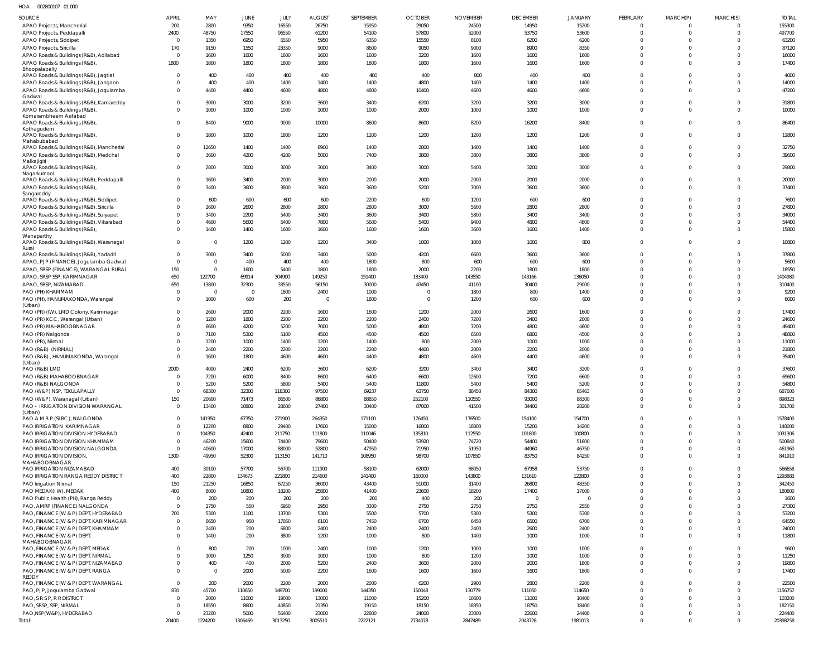| HOA | 002800107 01 000 |  |
|-----|------------------|--|
|     |                  |  |

| SOURCE                                                              | <b>APRIL</b>               | MAY            | <b>JUNE</b>    | JULY           | <b>AUGUST</b>  | <b>SEPTEMBER</b> | <b>OCTOBER</b> | <b>NOVEMBER</b> | <b>DECEMBER</b> | <b>JANUARY</b> | <b>FEBRUARY</b>      | MARCH(P)                | MARCH(S)             | <b>TOTAL</b>      |
|---------------------------------------------------------------------|----------------------------|----------------|----------------|----------------|----------------|------------------|----------------|-----------------|-----------------|----------------|----------------------|-------------------------|----------------------|-------------------|
| APAO Projects, Mancherial                                           | 200                        | 2800           | 9350           | 16550          | 26750          | 15950            | 29050          | 24500           | 14950           | 15200          | $\Omega$             | 0                       | $\Omega$             | 155300            |
| APAO Projects, Peddapalli                                           | 2400                       | 48750          | 17550          | 96550          | 61200          | 54100            | 57800          | 52000           | 53750           | 53600          | $\Omega$             | $\Omega$                | $\Omega$             | 497700            |
| APAO Projects, Siddipet                                             | $\Omega$                   | 1350           | 6950           | 6550           | 5950           | 6350             | 15550          | 8100            | 6200            | 6200           | $\Omega$             | $\Omega$                | $\Omega$             | 63200             |
| APAO Projects, Siricilla                                            | 170                        | 9150           | 1550           | 23350          | 9000           | 8600             | 9050           | 9000            | 8900            | 8350           | $\Omega$             | $\Omega$                |                      | 87120             |
| APAO Roads & Buildings (R&B), Adilabad                              | $\overline{0}$             | 1600           | 1600           | 1600           | 1600           | 1600             | 3200           | 1600            | 1600            | 1600           | $\Omega$             | $\Omega$                | $\Omega$             | 16000             |
| APAO Roads & Buildings (R&B),                                       | 1800                       | 1800           | 1800           | 1800           | 1800           | 1800             | 1800           | 1600            | 1600            | 1600           | $\Omega$             | $\Omega$                | $\Omega$             | 17400             |
| Bhoopalapally<br>APAO Roads & Buildings (R&B), Jagtial              | $\Omega$                   | 400            | 400            | 400            | 400            | 400              | 400            | 800             | 400             | 400            | $\Omega$             | $\Omega$                | $\Omega$             | 4000              |
| APAO Roads & Buildings (R&B), Jangaon                               | $\Omega$                   | 400            | 400            | 1400           | 1400           | 1400             | 4800           | 1400            | 1400            | 1400           | $\Omega$             | $\Omega$                | $\Omega$             | 14000             |
| APAO Roads & Buildings (R&B), Jogulamba                             | $\Omega$                   | 4400           | 4400           | 4600           | 4800           | 4800             | 10400          | 4600            | 4600            | 4600           | $\Omega$             | $\Omega$                | $\Omega$             | 47200             |
| Gadwal                                                              |                            |                |                |                |                |                  |                |                 |                 |                |                      |                         |                      |                   |
| APAO Roads & Buildings (R&B), Kamareddy                             | $\Omega$                   | 3000           | 3000           | 3200           | 3600           | 3400             | 6200           | 3200            | 3200            | 3000           | $\Omega$             | $\Omega$                | $\Omega$             | 31800             |
| APAO Roads & Buildings (R&B),<br>Komarambheem Asifabad              | $\mathbf{0}$               | 1000           | 1000           | 1000           | 1000           | 1000             | 2000           | 1000            | 1000            | 1000           | $\Omega$             | 0                       | $\Omega$             | 10000             |
| APAO Roads & Buildings (R&B)                                        | $\Omega$                   | 8400           | 9000           | 9000           | 10000          | 8600             | 8600           | 8200            | 16200           | 8400           | $\Omega$             | $\mathbf 0$             | $\Omega$             | 86400             |
| Kothagudem                                                          |                            |                |                |                |                |                  |                |                 |                 |                |                      |                         |                      |                   |
| APAO Roads & Buildings (R&B),                                       | $\mathbf{0}$               | 1800           | 1000           | 1800           | 1200           | 1200             | 1200           | 1200            | 1200            | 1200           | $\Omega$             | $\mathbf 0$             | $\Omega$             | 11800             |
| Mahabubabad<br>APAO Roads & Buildings (R&B), Mancherial             | $\mathbf 0$                | 12650          | 1400           | 1400           | 8900           | 1400             | 2800           | 1400            | 1400            | 1400           | $\Omega$             | $\mathbf 0$             | $\Omega$             | 32750             |
| APAO Roads & Buildings (R&B), Medchal                               | $\mathbf{0}$               | 3600           | 4200           | 4200           | 5000           | 7400             | 3800           | 3800            | 3800            | 3800           | $\Omega$             | $\Omega$                | $\Omega$             | 39600             |
| Malkajigiri                                                         |                            |                |                |                |                |                  |                |                 |                 |                |                      |                         |                      |                   |
| APAO Roads & Buildings (R&B),                                       | $\mathbf{0}$               | 2800           | 3000           | 3000           | 3000           | 3400             | 3000           | 5400            | 3200            | 3000           | $\Omega$             | $\mathbf 0$             | $\Omega$             | 29800             |
| Nagarkurnool<br>APAO Roads & Buildings (R&B), Peddapalli            | $\mathbf{0}$               | 1600           | 3400           | 2000           | 3000           | 2000             | 2000           | 2000            | 2000            | 2000           | $\Omega$             | $\mathbf 0$             | $\Omega$             | 20000             |
| APAO Roads & Buildings (R&B),                                       | $\Omega$                   | 3400           | 3600           | 3800           | 3600           | 3600             | 5200           | 7000            | 3600            | 3600           | $\Omega$             | $\Omega$                | $\Omega$             | 37400             |
| Sangareddy                                                          |                            |                |                |                |                |                  |                |                 |                 |                |                      |                         |                      |                   |
| APAO Roads & Buildings (R&B), Siddipet                              | $\Omega$                   | 600            | 600            | 600            | 600            | 2200             | 600            | 1200            | 600             | 600            | $\Omega$             | $\Omega$                | $\Omega$             | 7600              |
| APAO Roads & Buildings (R&B), Siricilla                             | $\Omega$                   | 2600           | 2600           | 2800           | 2800           | 2800             | 3000           | 5600            | 2800            | 2800           | $\Omega$             | $\Omega$                | $\Omega$             | 27800             |
| APAO Roads & Buildings (R&B), Suryapet                              | $\Omega$                   | 3400           | 2200           | 5400           | 3400           | 3600             | 3400           | 5800            | 3400            | 3400           | $\Omega$             | $\Omega$                | $\Omega$             | 34000             |
| APAO Roads & Buildings (R&B), Vikarabad                             | $\Omega$                   | 4600           | 5600           | 6400           | 7800           | 5600             | 5400           | 9400            | 4800            | 4800           | $\Omega$             | $\Omega$                | $\Omega$             | 54400             |
| APAO Roads & Buildings (R&B),                                       | $\Omega$                   | 1400           | 1400           | 1600           | 1600           | 1600             | 1600           | 3600            | 1600            | 1400           | $\Omega$             | $\mathbf 0$             | $\Omega$             | 15800             |
| Wanaparthy<br>APAO Roads & Buildings (R&B), Waranagal               | $\overline{0}$             | $\overline{0}$ | 1200           | 1200           | 1200           | 3400             | 1000           | 1000            | 1000            | 800            | $\Omega$             | $\mathbf 0$             | $\Omega$             | 10800             |
| Rural                                                               |                            |                |                |                |                |                  |                |                 |                 |                |                      |                         |                      |                   |
| APAO Roads & Buildings (R&B), Yadadri                               | $\overline{0}$             | 3000           | 3400           | 5000           | 3400           | 5000             | 4200           | 6600            | 3600            | 3600           | $\Omega$             | $\Omega$                | $\Omega$             | 37800             |
| APAO, PJP (FINANCE), Jogulamba Gadwal                               | $\overline{0}$             | $\overline{0}$ | 400            | 400            | 400            | 1800             | 800            | 600             | 600             | 600            | $\Omega$             | $\Omega$                | $\Omega$             | 5600              |
| APAO, SRSP (FINANCE), WARANGAL RURAL                                | 150                        | $\overline{0}$ | 1600           | 5400           | 1800           | 1800             | 2000           | 2200            | 1800            | 1800           | $\Omega$             | $\Omega$                | $\Omega$             | 18550             |
| APAO, SRSP SSP, KARIMNAGAR                                          | 650                        | 122700         | 69914          | 304900         | 149250         | 151400           | 183400         | 143550          | 143166          | 136050         | $\Omega$             | $\Omega$                | $\Omega$             | 1404980           |
| APAO, SRSP, NIZAMABAD                                               | 650                        | 13800          | 32300          | 33550          | 56150          | 30000            | 43450          | 41100           | 30400           | 29000          | $\Omega$             | $\Omega$                | $\Omega$             | 310400            |
| PAO (PH) KHAMMAM                                                    | $\Omega$                   | $\overline{0}$ | $\circ$        | 1800           | 2400           | 1000             | $\Omega$       | 1800            | 800             | 1400           | $\Omega$             | $\Omega$                | $\Omega$             | 9200              |
| PAO (PH), HANUMAKONDA, Warangal<br>(Urban)                          | $\Omega$                   | 1000           | 600            | 200            | $\overline{0}$ | 1800             | $\overline{0}$ | 1200            | 600             | 600            | $\Omega$             | $\Omega$                | $\Omega$             | 6000              |
| PAO (PR) (IW), LMD Colony, Karimnagar                               | $\mathbf{0}$               | 2600           | 2000           | 2200           | 1600           | 1600             | 1200           | 2000            | 2600            | 1600           | $\Omega$             | $\Omega$                | $\Omega$             | 17400             |
| PAO (PR) KCC, Warangal (Urban)                                      | $\Omega$                   | 1200           | 1800           | 2200           | 2200           | 2200             | 2400           | 7200            | 3400            | 2000           | $\Omega$             | $\Omega$                | $\Omega$             | 24600             |
| PAO (PR) MAHABOOBNAGAR                                              | $\Omega$                   | 6600           | 4200           | 5200           | 7000           | 5000             | 4800           | 7200            | 4800            | 4600           | $\Omega$             | $\Omega$                | $\Omega$             | 49400             |
| PAO (PR) Nalgonda                                                   | $\Omega$                   | 7100           | 5300           | 5100           | 4500           | 4500             | 4500           | 6500            | 6800            | 4500           | $\Omega$             | $\Omega$                | $\Omega$             | 48800             |
| PAO (PR), Nirmal                                                    | $\Omega$                   | 1200           | 1000           | 1400           | 1200           | 1400             | 800            | 2000            | 1000            | 1000           | $\Omega$             | $\Omega$                | $\Omega$             | 11000             |
| PAO (R&B) (NIRMAL)                                                  | $\Omega$                   | 2400           | 2200           | 2200           | 2200           | 2200             | 4400           | 2000            | 2200            | 2000           | $\Omega$             | $\Omega$                | $\Omega$             | 21800             |
| PAO (R&B), HANUMAKONDA, Warangal                                    | $\Omega$                   | 1600           | 1800           | 4600           | 4600           | 4400             | 4800           | 4600            | 4400            | 4600           | $\Omega$             | $\Omega$                | $\Omega$             | 35400             |
| (Urban)<br>PAO (R&B) LMD                                            | 2000                       | 4000           | 2400           | 6200           | 3600           | 6200             | 3200           | 3400            | 3400            | 3200           | $\Omega$             | $\Omega$                | $\Omega$             | 37600             |
| PAO (R&B) MAHABOOBNAGAR                                             | $\overline{0}$             | 7200           | 6000           | 8400           | 8600           | 6400             | 6600           | 12600           | 7200            | 6600           | $\Omega$             | $\mathbf{0}$            | $\Omega$             | 69600             |
| PAO (R&B) NALGONDA                                                  |                            | 5200           | 5200           | 5800           | 5400           | 5400             | 11800          | 5400            | 5400            | 5200           |                      | $\cap$                  |                      | 54800             |
| PAO (W&P) NSP, TEKULAPALLY                                          | $\Omega$                   | 68300          | 32300          | 118300         | 97500          | 69237            | 63750          | 88450           | 84300           | 65463          | $\Omega$             | $\Omega$                | $\Omega$             | 687600            |
| PAO (W&P), Waranagal (Urban)                                        | 150                        | 20600          | 71473          | 86500          | 86800          | 88850            | 252100         | 110550          | 93000           | 88300          | $\mathbf{0}$         | $\mathbf 0$             | $\Omega$             | 898323            |
| PAO - IRRIGATION DIVISION WARANGAL                                  | $\overline{0}$             | 13400          | 10800          | 28600          | 27400          | 30400            | 87000          | 41500           | 34400           | 28200          | $\Omega$             | $\Omega$                | $\Omega$             | 301700            |
| (Urban)                                                             |                            |                |                |                |                |                  |                |                 |                 |                |                      |                         |                      |                   |
| PAO A M R P (SLBC), NALGONDA                                        | $\Omega$                   | 141950         | 67350          | 271900         | 264350         | 171100           | 176450         | 176500          | 154100          | 154700         | $\Omega$             | $\Omega$                | $\Omega$             | 1578400           |
| PAO IRRIGATION KARIMNAGAR                                           | $\overline{0}$             | 12200          | 8800           | 29400          | 17600          | 15000            | 16800          | 18800           | 15200           | 14200          | $\Omega$             | $\Omega$                | $\Omega$             | 148000            |
| PAO IRRIGATION DIVISION HYDERABAD                                   | $\Omega$<br>$\Omega$       | 104350         | 42400          | 211750         | 111800         | 110046           | 135810         | 112550          | 101800          | 100800         | $\Omega$<br>$\Omega$ | $\Omega$<br>$\Omega$    | $\Omega$<br>$\Omega$ | 1031306<br>500840 |
| PAO IRRIGATION DIVISION KHAMMAM<br>PAO IRRIGATION DIVISION NALGONDA | $\overline{0}$             | 46200<br>40600 | 15600<br>17000 | 74400<br>88000 | 79600<br>52800 | 50400<br>47950   | 53920<br>71950 | 74720<br>51950  | 54400<br>44960  | 51600<br>46750 | $\Omega$             | 0                       | $\Omega$             | 461960            |
| PAO IRRIGATION DIVISION,                                            | 1300                       | 49950          | 52300          | 113150         | 141710         | 108950           | 98700          | 107850          | 83750           | 84250          | $\Omega$             | $\Omega$                | $\Omega$             | 841910            |
| MAHABOOBNAGAR                                                       |                            |                |                |                |                |                  |                |                 |                 |                |                      |                         |                      |                   |
| PAO IRRIGATION NIZAMABAD                                            | 400                        | 30100          | 57700          | 56700          | 111900         | 58100            | 62000          | 68050           | 67958           | 53750          | $\Omega$             | $\Omega$                | $\Omega$             | 566658            |
| PAO IRRIGATION RANGA REDDY DISTRICT                                 | 400                        | 22800          | 134673         | 221800         | 214600         | 141400           | 160000         | 143800          | 131610          | 122800         | $\Omega$             | $\mathbf 0$             | $\Omega$             | 1293883           |
| PAO Irrigation Nirmal                                               | 150                        | 21250          | 16850          | 67250          | 36000          | 43400            | 51000          | 31400           | 26800           | 48350          | $\Omega$             | $\Omega$                | $\Omega$             | 342450            |
| PAO MEDAK(IW), MEDAK                                                | 400                        | 8000           | 10800          | 18200          | 25800          | 41400            | 23600          | 18200           | 17400           | 17000          | $\Omega$             | $\Omega$                | $\Omega$             | 180800            |
| PAO Public Health (PH), Ranga Reddy                                 | $\overline{0}$             | 200            | 200            | 200            | 200            | 200              | 400            | 200             | $\mathbf{0}$    | $\mathbf{0}$   | $\Omega$             | $\Omega$                | $\Omega$             | 1600              |
| PAO, AMRP (FINANCE) NALGONDA                                        | $\Omega$                   | 2750           | 550            | 6950           | 2950           | 3300             | 2750           | 2750            | 2750            | 2550           | $\Omega$             | $\Omega$                | $\Omega$             | 27300             |
| PAO, FINANCE (W & P) DEPT, HYDERABAD                                | 700                        | 5300           | 1100           | 13700          | 5300           | 5500             | 5700           | 5300            | 5300            | 5300           | $\Omega$             | $\Omega$                | $\Omega$             | 53200             |
| PAO, FINANCE (W & P) DEPT, KARIMNAGAR                               | $\overline{0}$<br>$\Omega$ | 6650           | 950            | 17050          | 6100           | 7450             | 6700           | 6450            | 6500            | 6700           | $\Omega$<br>$\Omega$ | $\Omega$                | $\Omega$<br>$\Omega$ | 64550             |
| PAO, FINANCE (W & P) DEPT, KHAMMAM                                  | $\Omega$                   | 2400           | 200            | 6800           | 2400           | 2400             | 2400           | 2400            | 2600            | 2400           | $\Omega$             | $\mathbf 0$<br>$\Omega$ | $\Omega$             | 24000             |
| PAO, FINANCE (W & P) DEPT,<br>MAHABOOBNAGAR                         |                            | 1400           | 200            | 3800           | 1200           | 1000             | 800            | 1400            | 1000            | 1000           |                      |                         |                      | 11800             |
| PAO, FINANCE (W & P) DEPT, MEDAK                                    | $\Omega$                   | 800            | 200            | 1000           | 2400           | 1000             | 1200           | 1000            | 1000            | 1000           | $\Omega$             | $\mathbf 0$             | $\Omega$             | 9600              |
| PAO, FINANCE (W & P) DEPT, NIRMAL                                   | $\Omega$                   | 1000           | 1250           | 3000           | 1000           | 1000             | 800            | 1200            | 1000            | 1000           | $\Omega$             | $\mathbf 0$             | $\Omega$             | 11250             |
| PAO, FINANCE (W & P) DEPT, NIZAMABAD                                | $\Omega$                   | 400            | 400            | 2000           | 5200           | 2400             | 3600           | 2000            | 2000            | 1800           | $\Omega$             | $\mathbf 0$             | $\Omega$             | 19800             |
| PAO, FINANCE (W & P) DEPT, RANGA                                    | $\Omega$                   | $\overline{0}$ | 2000           | 5000           | 2200           | 1600             | 1600           | 1600            | 1600            | 1800           | $\Omega$             | $\Omega$                | $\Omega$             | 17400             |
| REDDY                                                               |                            |                |                |                |                |                  |                |                 |                 |                | $\Omega$             |                         |                      |                   |
| PAO, FINANCE (W & P) DEPT, WARANGAL                                 | $\overline{0}$<br>830      | 200<br>45700   | 2000<br>110650 | 2200<br>149700 | 2000<br>199000 | 2000<br>144350   | 6200<br>150048 | 2900<br>130779  | 2800<br>111050  | 2200<br>114650 | $\Omega$             | $\Omega$<br>$\Omega$    | $\Omega$<br>$\Omega$ | 22500<br>1156757  |
| PAO, PJP, Jogulamba Gadwal<br>PAO, S R S P, R R DISTRICT            | $\Omega$                   | 2000           | 11000          | 19000          | 13000          | 11000            | 15200          | 10600           | 11000           | 10400          | $\Omega$             | $\Omega$                | $\Omega$             | 103200            |
| PAO, SRSP, SSP, NIRMAL                                              | $\Omega$                   | 18550          | 8600           | 40850          | 21350          | 19150            | 18150          | 18350           | 18750           | 18400          | $\Omega$             | 0                       | $\Omega$             | 182150            |
| PAO, NSP(W&P), HYDERABAD                                            | $\Omega$                   | 23200          | 5000           | 56400          | 23000          | 22800            | 24000          | 23000           | 22600           | 24400          | $\Omega$             | 0                       | $\Omega$             | 224400            |
| Total:                                                              | 20400                      | 1224200        | 1306469        | 3013250        | 3005510        | 2222121          | 2734078        | 2847489         | 2043728         | 1981013        | $\Omega$             | $\mathbf 0$             | $\Omega$             | 20398258          |
|                                                                     |                            |                |                |                |                |                  |                |                 |                 |                |                      |                         |                      |                   |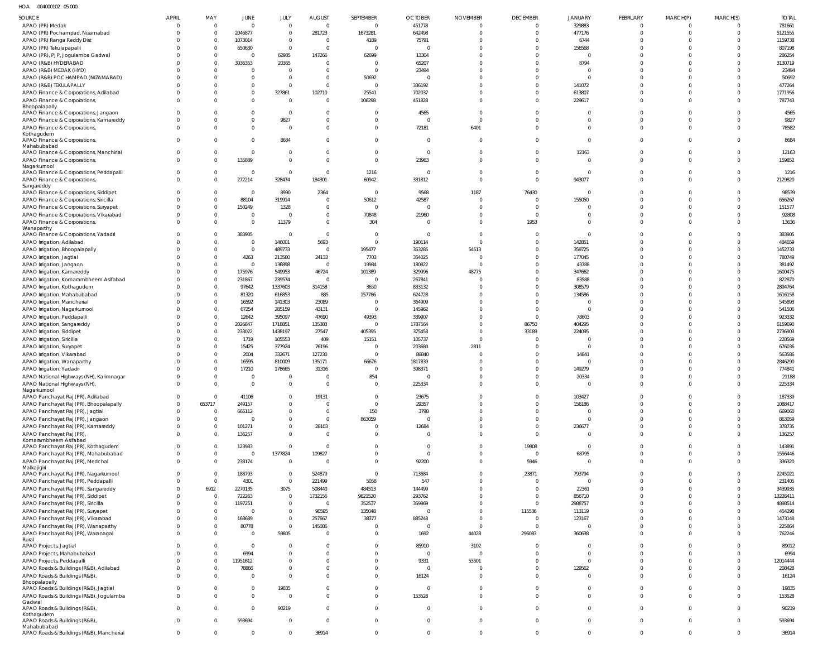HOA 004000102 05 000

| SOURCE                                                                  | <b>APRIL</b> | MAY                        | JUNE                      | JULY                       | <b>AUGUST</b>           | SEPTEMBER       | <b>OCTOBER</b>           | <b>NOVEMBER</b>                | <b>DECEMBER</b>            | <b>JANUARY</b>   | FEBRUARY             | MARCH(P)             | MARCH(S)                | <b>TOTAL</b>      |
|-------------------------------------------------------------------------|--------------|----------------------------|---------------------------|----------------------------|-------------------------|-----------------|--------------------------|--------------------------------|----------------------------|------------------|----------------------|----------------------|-------------------------|-------------------|
| APAO (PR) Medak                                                         |              | $\overline{0}$             | $\overline{0}$            | $\overline{0}$             | $\overline{0}$          | $\overline{0}$  | 451778                   | $\mathbf 0$                    | $\mathbf 0$                | 329883           | $\mathbf{0}$         | $\overline{0}$       | $\overline{0}$          | 781661            |
| APAO (PR) Pochampad, Nizamabad                                          |              | $\overline{0}$             | 2046877                   | $\overline{0}$             | 281723                  | 1673281         | 642498                   | $\Omega$                       | $\mathbf 0$                | 477176           | $\mathbf{0}$         | $\Omega$             | $\overline{0}$          | 5121555           |
| APAO (PR) Ranga Reddy Dist                                              |              | $\Omega$                   | 1073014                   | $\overline{0}$             | $\Omega$                | 4189            | 75791                    | $\Omega$                       | $\mathbf 0$                | 6744             | $\Omega$             | $\Omega$             | $\mathbf 0$             | 1159738           |
| APAO (PR) Tekulapapalli                                                 |              | $\Omega$                   | 650630                    | $\overline{0}$             | $\overline{0}$          | $\Omega$        | $\Omega$                 | $\Omega$                       | $\mathbf 0$                | 156568           | $\Omega$             | $\Omega$             | $\Omega$                | 807198            |
| APAO (PR), PJP, Jogulamba Gadwal                                        |              | $\Omega$                   | $\overline{0}$            | 62985                      | 147266                  | 62699           | 13304                    | $\Omega$                       | $\mathbf 0$                | $\overline{0}$   | $\Omega$             | $\Omega$             | $\Omega$                | 286254            |
| APAO (R&B) HYDERABAD                                                    |              | $\Omega$                   | 3036353                   | 20365                      | $\Omega$                | $\overline{0}$  | 65207                    | $\Omega$                       | $\Omega$                   | 8794             | $\Omega$             | $\Omega$             | $\Omega$                | 3130719           |
| APAO (R&B) MEDAK (HYD)                                                  |              | $\Omega$                   | $\overline{0}$            | $\overline{0}$             | $\Omega$                | $\overline{0}$  | 23494                    | $\Omega$                       | $\mathbf 0$                | $\overline{0}$   | $\Omega$             | $\Omega$             | $\mathbf 0$             | 23494             |
| APAO (R&B) POCHAMPAD (NIZAMABAD)                                        |              |                            | $\overline{0}$            | $\overline{0}$             | $\Omega$                | 50692           | $\Omega$                 | $\Omega$                       | $\Omega$                   | $\mathbf 0$      | $\Omega$             | $\Omega$             | $\Omega$                | 50692             |
| APAO (R&B) TEKULAPALLY                                                  |              |                            | $\overline{0}$            | $\overline{0}$             | $\Omega$                | $\overline{0}$  | 336192                   | $\Omega$                       | $\mathbf 0$                | 141072           | $\Omega$             | $\Omega$             | $\mathbf 0$             | 477264            |
| APAO Finance & Corporations, Adilabad                                   |              |                            | $\overline{0}$            | 327861                     | 102710                  | 25541           | 702037                   | $\Omega$                       | $\mathbf 0$                | 613807           | $\Omega$             | $\Omega$             | $\mathbf 0$             | 1771956           |
| APAO Finance & Corporations,<br>Bhoopalapally                           |              |                            | $\overline{0}$            | $\overline{0}$             | $\Omega$                | 106298          | 451828                   | $\Omega$                       | $\Omega$                   | 229617           | $\Omega$             | $\Omega$             | $\Omega$                | 787743            |
| APAO Finance & Corporations, Jangaon                                    |              |                            | $\overline{0}$            | $\overline{0}$             | $\Omega$                | $\Omega$        | 4565                     | $\Omega$                       | $\Omega$                   | 0                | $\Omega$             | $\Omega$             | $\Omega$                | 4565              |
| APAO Finance & Corporations, Kamareddy                                  |              | 0                          | $\overline{0}$            | 9827                       | $\Omega$                | $\overline{0}$  | $\Omega$                 | $\Omega$                       | $\mathbf 0$                | $\mathbf{0}$     | $\mathbf 0$          | $\Omega$             | $\mathbf 0$             | 9827              |
| APAO Finance & Corporations,                                            |              |                            | $\overline{0}$            | $\circ$                    | $\Omega$                | $\overline{0}$  | 72181                    | 6401                           | $\mathbf 0$                | $\mathbf 0$      | $\mathbf 0$          | $\Omega$             | $\Omega$                | 78582             |
| Kothagudem                                                              |              |                            |                           |                            |                         |                 |                          |                                |                            |                  |                      |                      |                         |                   |
| APAO Finance & Corporations,<br>Mahabubabad                             |              |                            | $\overline{0}$            | 8684                       | $\Omega$                | $\overline{0}$  | $\Omega$                 | $\Omega$                       | $\Omega$                   | $\mathbf 0$      | $\Omega$             | $\Omega$             | $\Omega$                | 8684              |
| APAO Finance & Corporations, Manchirial                                 | $\Omega$     | $\Omega$                   | $\overline{0}$            | $\overline{0}$             | $\Omega$                | $\overline{0}$  | $\overline{0}$           | $\Omega$                       | $\mathbf 0$                | 12163            | $\mathbf 0$          | $\Omega$             | $\mathbf 0$             | 12163             |
| APAO Finance & Corporations,                                            |              | $\Omega$                   | 135889                    | $\overline{0}$             | $\Omega$                | $\overline{0}$  | 23963                    | $\Omega$                       | $\mathbf 0$                | $\mathbf{0}$     | $\Omega$             | $\Omega$             | $\Omega$                | 159852            |
| Nagarkurnool                                                            |              |                            |                           |                            |                         |                 |                          |                                |                            |                  |                      |                      |                         |                   |
| APAO Finance & Corporations, Peddapalli                                 | $\Omega$     | $\Omega$                   | $\overline{0}$            | $\overline{0}$             | $\Omega$                | 1216            | 0                        | $\Omega$                       | $\mathbf 0$                | $\mathbf{0}$     | 0                    | $\Omega$             | $\mathbf 0$             | 1216              |
| APAO Finance & Corporations,                                            | $\Omega$     | $\Omega$                   | 272214                    | 328474                     | 184301                  | 69942           | 331812                   | $\Omega$                       | $\mathbf{0}$               | 943077           | $\Omega$             | $\Omega$             | $\Omega$                | 2129820           |
| Sangareddy<br>APAO Finance & Corporations, Siddipet                     |              | $\Omega$                   | $\Omega$                  | 8990                       | 2364                    | $\overline{0}$  | 9568                     | 1187                           | 76430                      | $\overline{0}$   | $\Omega$             | $\Omega$             | $\overline{0}$          | 98539             |
| APAO Finance & Corporations, Siricilla                                  |              | $\Omega$                   | 88104                     | 319914                     | $\Omega$                | 50612           | 42587                    | $\Omega$                       | $^{\circ}$                 | 155050           | $\Omega$             | $\Omega$             | $\Omega$                | 656267            |
| APAO Finance & Corporations, Suryapet                                   |              | $\Omega$                   | 150249                    | 1328                       | $\overline{0}$          | $\overline{0}$  | $\overline{0}$           | $\Omega$                       | $\mathbf 0$                | 0                | $\Omega$             | $\Omega$             | $\Omega$                | 151577            |
| APAO Finance & Corporations, Vikarabad                                  |              | $\mathbf 0$                | $\overline{0}$            | $\overline{0}$             | $\overline{0}$          | 70848           | 21960                    | $\Omega$                       | $\mathbf{0}$               | $\mathbf 0$      | $\mathbf 0$          | $\Omega$             | $\mathbf 0$             | 92808             |
| APAO Finance & Corporations,                                            |              | $\Omega$                   | $\overline{0}$            | 11379                      | $\overline{0}$          | 304             | $\Omega$                 | $\Omega$                       | 1953                       | $\mathbf{0}$     | $\Omega$             | $\Omega$             | $\Omega$                | 13636             |
| Wanaparthy                                                              |              |                            |                           |                            |                         |                 |                          |                                |                            |                  |                      |                      |                         |                   |
| APAO Finance & Corporations, Yadadri                                    |              |                            | 383905                    | $\overline{0}$             | $\overline{0}$          | $\overline{0}$  | $\overline{\mathbf{0}}$  | $\Omega$                       | $^{\circ}$                 | $\mathbf{0}$     | $\Omega$             | $\Omega$             | 0                       | 383905            |
| APAO Irrigation, Adilabad                                               |              | $\Omega$                   | $\overline{0}$            | 146001                     | 5693                    | $\overline{0}$  | 190114                   | $\Omega$                       | $\Omega$                   | 142851           | $\Omega$             | $\Omega$             | $\Omega$                | 484659            |
| APAO Irrigation, Bhoopalapally                                          |              | $\Omega$                   | $\overline{0}$            | 489733                     | $\overline{0}$          | 195477          | 353285                   | 54513                          | $\mathbf 0$                | 359725           | $\Omega$             | $\Omega$<br>$\Omega$ | $\Omega$                | 1452733           |
| APAO Irrigation, Jagtial                                                |              | $\Omega$<br>$\Omega$       | 4263<br>$\overline{0}$    | 213580<br>136898           | 24133<br>$\overline{0}$ | 7703<br>19984   | 354025<br>180822         | $\Omega$<br>$\Omega$           | $\mathbf 0$<br>$\mathbf 0$ | 177045<br>43788  | $\Omega$<br>$\Omega$ | $\Omega$             | $\Omega$<br>$\Omega$    | 780749<br>381492  |
| APAO Irrigation, Jangaon<br>APAO Irrigation, Kamareddy                  |              | $\Omega$                   | 175976                    | 549953                     | 46724                   | 101389          | 329996                   | 48775                          | $\mathbf 0$                | 347662           | $\Omega$             | $\Omega$             | $\Omega$                | 1600475           |
| APAO Irrigation, Komarambheem Asifabad                                  |              | $\Omega$                   | 231867                    | 239574                     | $\overline{0}$          | $\Omega$        | 267841                   | $\Omega$                       | $\mathbf 0$                | 83588            | $\Omega$             | $\Omega$             | $\Omega$                | 822870            |
| APAO Irrigation, Kothagudem                                             |              | $\Omega$                   | 97642                     | 1337603                    | 314158                  | 3650            | 833132                   | $\Omega$                       | $\Omega$                   | 308579           | $\Omega$             | $\Omega$             | $\Omega$                | 2894764           |
| APAO Irrigation, Mahabubabad                                            |              | $\Omega$                   | 81320                     | 616853                     | 885                     | 157786          | 624728                   | $\Omega$                       | $\mathbf 0$                | 134586           | $\Omega$             | $\Omega$             | $\Omega$                | 1616158           |
| APAO Irrigation, Mancherial                                             |              | $\Omega$                   | 16592                     | 141303                     | 23089                   | $\overline{0}$  | 364909                   | $\Omega$                       | $\mathbf 0$                | $\mathbf 0$      | $\Omega$             | $\Omega$             | $\Omega$                | 545893            |
| APAO Irrigation, Nagarkurnool                                           |              | $\Omega$                   | 67254                     | 285159                     | 43131                   | $\Omega$        | 145962                   | $\Omega$                       | $\mathbf 0$                | $\mathbf{0}$     | $\Omega$             | $\Omega$             | $\Omega$                | 541506            |
| APAO Irrigation, Peddapalli                                             |              | $\Omega$                   | 12642                     | 395097                     | 47690                   | 49393           | 339907                   | $\Omega$                       | $\mathbf 0$                | 78603            | $\Omega$             | $\Omega$             | $\Omega$                | 923332            |
| APAO Irrigation, Sangareddy                                             |              | $\Omega$                   | 2026847                   | 1718851                    | 135383                  | $\overline{0}$  | 1787564                  | $\Omega$                       | 86750                      | 404295           | $\Omega$             | $\Omega$             | $\Omega$                | 6159690           |
| APAO Irrigation, Siddipet                                               |              | $\Omega$                   | 233022                    | 1438197                    | 27547                   | 405395          | 375458                   | $\Omega$                       | 33189                      | 224095           | $\Omega$             | $\Omega$             | $\Omega$                | 2736903           |
| APAO Irrigation, Siricilla                                              |              | $\Omega$                   | 1719                      | 105553                     | 409                     | 15151           | 105737                   | $\Omega$                       | $\mathbf 0$                | $\mathbf 0$      | $\Omega$             | $\Omega$             | $\Omega$                | 228569            |
| APAO Irrigation, Suryapet                                               |              | $\Omega$                   | 15425                     | 377924                     | 76196                   | $\Omega$        | 203680                   | 2811                           | $\mathbf 0$                | $\mathbf 0$      | $\Omega$             | $\Omega$             | $\Omega$                | 676036            |
| APAO Irrigation, Vikarabad                                              |              | $\Omega$                   | 2004                      | 332671                     | 127230                  | $\overline{0}$  | 86840                    | $\Omega$                       | $\mathbf 0$                | 14841            | $\Omega$             | $\Omega$             | $\Omega$                | 563586            |
| APAO Irrigation, Wanaparthy                                             |              | $\Omega$                   | 16595                     | 810009                     | 135171                  | 66676           | 1817839                  | $\Omega$                       | $\Omega$                   | $\mathbf 0$      | $\Omega$             | $\Omega$             | $\Omega$                | 2846290           |
| APAO Irrigation, Yadadri                                                |              | $\Omega$                   | 17210                     | 178665                     | 31316                   | $\overline{0}$  | 398371                   | $\Omega$                       | $\mathbf 0$                | 149279           | $\mathbf 0$          | $\Omega$             | $\Omega$                | 774841            |
| APAO National Highways (NH), Karimnagar                                 |              | $\Omega$                   | $\overline{0}$            | $\overline{0}$             | $\Omega$                | 854             | $\Omega$                 | $\Omega$                       | $\Omega$                   | 20334            | $\Omega$             | $\Omega$             | $\Omega$                | 21188             |
| APAO National Highways (NH),<br>Nagarkurnool                            |              |                            |                           |                            |                         |                 | 225334                   |                                |                            |                  |                      |                      |                         | 225334            |
| APAO Panchayat Raj (PR), Adilabad                                       |              | $\Omega$                   | 41106                     | $\mathbf{0}$               | 19131                   | $\overline{0}$  | 23675                    | $\mathbf{0}$                   | $\mathbf 0$                | 103427           | $\mathbf{0}$         | $\overline{0}$       | $\mathbf{0}$            | 187339            |
| APAO Panchayat Raj (PR), Bhoopalapally                                  |              | 653717                     | 249157                    | $\mathbf 0$                | $\Omega$                | $\overline{0}$  | 29357                    | $\Omega$                       | $\mathbf 0$                | 156186           | $\mathbf{0}$         | $\Omega$             | $\mathbf{0}$            | 1088417           |
| APAO Panchayat Raj (PR), Jagtial                                        |              | $\overline{0}$             | 665112                    | $\mathbf 0$                | $\Omega$                | 150             | 3798                     | $\mathbf{0}$                   | $\mathbf 0$                | $\mathbf{0}$     | $\Omega$             | $\Omega$             | $\Omega$                | 669060            |
| APAO Panchayat Raj (PR), Jangaon                                        |              | $\overline{0}$             | $\overline{0}$            | $\mathbf 0$                | $\overline{0}$          | 863059          | $\overline{\mathbf{0}}$  | $\Omega$                       | $\mathbf 0$                | $\mathbf 0$      | $\mathbf 0$          | $\Omega$             | 0                       | 863059            |
| APAO Panchayat Raj (PR), Kamareddy                                      |              | $\overline{0}$             | 101271                    | $\mathbf 0$                | 28103                   | $\overline{0}$  | 12684                    | $\mathbf 0$                    | $\mathbf 0$                | 236677           | $\mathbf 0$          | $\Omega$             | $\mathbf 0$             | 378735            |
| APAO Panchayat Raj (PR),                                                | $\Omega$     | $\Omega$                   | 136257                    | $\mathbf 0$                | $\Omega$                | $\overline{0}$  | 0                        | $\Omega$                       | $\mathbf 0$                | $\mathbf{0}$     | $\mathbf 0$          | $\Omega$             | $\Omega$                | 136257            |
| Komarambheem Asifabad<br>APAO Panchayat Raj (PR), Kothagudem            | $\Omega$     | $\Omega$                   | 123983                    | $\mathbf 0$                | $\overline{0}$          | $\overline{0}$  | $\overline{0}$           | $\mathbf 0$                    | 19908                      | $\mathbf{0}$     | $\Omega$             | $\overline{0}$       | $\overline{0}$          | 143891            |
| APAO Panchayat Raj (PR), Mahabubabad                                    |              | $\mathbf 0$                | $\overline{0}$            | 1377824                    | 109827                  | $\overline{0}$  | $\overline{0}$           | $\mathbf 0$                    | $\overline{0}$             | 68795            | $\mathbf 0$          | $\overline{0}$       | $\mathbf{0}$            | 1556446           |
| APAO Panchayat Raj (PR), Medchal                                        | $\Omega$     | $\mathbf 0$                | 238174                    | $\mathbf 0$                | $\overline{0}$          | $\overline{0}$  | 92200                    | $\overline{0}$                 | 5946                       | $\mathbf{0}$     | $\mathbf{0}$         | $\overline{0}$       | $\mathbf{0}$            | 336320            |
| Malkajigiri                                                             |              |                            |                           |                            |                         |                 |                          |                                |                            |                  |                      |                      |                         |                   |
| APAO Panchayat Raj (PR), Nagarkurnool                                   | $\Omega$     | $\Omega$                   | 188793                    | $\overline{0}$             | 524879                  | $\overline{0}$  | 713684                   | $\mathbf 0$                    | 23871                      | 793794           | $\mathbf 0$          | $\overline{0}$       | $\mathbf 0$             | 2245021           |
| APAO Panchayat Raj (PR), Peddapalli                                     | $\Omega$     | $\Omega$                   | 4301                      | $\overline{0}$             | 221499                  | 5058            | 547                      | $\mathbf 0$                    | $\overline{0}$             | $\overline{0}$   | $\Omega$             | $\Omega$             | $\overline{0}$          | 231405            |
| APAO Panchayat Raj (PR), Sangareddy                                     |              | 6912                       | 2270135                   | 3075                       | 508440                  | 484513          | 144499                   | $\mathbf 0$                    | $\overline{0}$             | 22361            | $\mathbf 0$          | $\overline{0}$       | $\overline{0}$          | 3439935           |
| APAO Panchayat Raj (PR), Siddipet                                       |              | $\overline{0}$             | 722263                    | $\overline{0}$             | 1732156                 | 9621520         | 293762                   | $\mathbf 0$                    | $\mathbf 0$                | 856710           | $\Omega$             | $\Omega$             | $\overline{0}$          | 13226411          |
| APAO Panchayat Raj (PR), Siricilla                                      |              | $\Omega$<br>$\overline{0}$ | 1197251<br>$\overline{0}$ | $\mathbf 0$<br>$\mathbf 0$ | $\overline{0}$          | 352537          | 359969<br>$\overline{0}$ | $\mathbf{0}$<br>$\overline{0}$ | $\mathbf 0$                | 2988757          | $\Omega$<br>$\Omega$ | $\Omega$<br>$\Omega$ | $\mathbf 0$<br>$\Omega$ | 4898514           |
| APAO Panchayat Raj (PR), Suryapet<br>APAO Panchayat Raj (PR), Vikarabad |              | $\mathbf 0$                | 168689                    | $\mathbf 0$                | 90595<br>257667         | 135048<br>38377 | 885248                   | $\overline{0}$                 | 115536<br>$\overline{0}$   | 113119<br>123167 | $\Omega$             | $\Omega$             | $\mathbf 0$             | 454298<br>1473148 |
| APAO Panchayat Raj (PR), Wanaparthy                                     | $\Omega$     | $\mathbf 0$                | 80778                     | $\mathbf 0$                | 145086                  | $\circ$         | $\overline{0}$           | $\overline{0}$                 | $\mathbf{0}$               | $\mathbf 0$      | $\mathbf 0$          | $\overline{0}$       | $\mathbf{0}$            | 225864            |
| APAO Panchayat Raj (PR), Waranagal                                      | $\Omega$     | $\Omega$                   | $\overline{0}$            | 59805                      | $\Omega$                | $\overline{0}$  | 1692                     | 44028                          | 296083                     | 360638           | $\Omega$             | $\overline{0}$       | $\mathbf 0$             | 762246            |
| Rural                                                                   |              |                            |                           |                            |                         |                 |                          |                                |                            |                  |                      |                      |                         |                   |
| APAO Projects, Jagtial                                                  | $\Omega$     | $\Omega$                   | $\overline{0}$            | $\overline{0}$             | $\Omega$                | $\overline{0}$  | 85910                    | 3102                           | $\mathbf{0}$               | $\mathbf{0}$     | $\mathbf 0$          | $\overline{0}$       | $\mathbf{0}$            | 89012             |
| APAO Projects, Mahabubabad                                              |              | $\mathbf 0$                | 6994                      | $\mathbf 0$                | $\Omega$                | $\overline{0}$  | $\overline{0}$           | $\overline{0}$                 | $\mathbf 0$                | $\mathbf 0$      | $\Omega$             | $\overline{0}$       | $\mathbf{0}$            | 6994              |
| APAO Projects, Peddapalli                                               |              | $\overline{0}$             | 11951612                  | $\mathbf 0$                | $\Omega$                | $\overline{0}$  | 9331                     | 53501                          | $\mathbf 0$                | $\mathbf 0$      | $\Omega$             | $\overline{0}$       | $\mathbf{0}$            | 12014444          |
| APAO Roads & Buildings (R&B), Adilabad                                  |              | $\Omega$                   | 78866                     | $\mathbf{0}$               | $\overline{0}$          | $\overline{0}$  | $\overline{0}$           | $\mathbf 0$                    | $\mathbf 0$                | 129562           | $\mathbf 0$          | $\overline{0}$       | $\mathbf 0$             | 208428            |
| APAO Roads & Buildings (R&B),                                           | $\Omega$     | $\Omega$                   | $\circ$                   | $\overline{0}$             | $\Omega$                | $\overline{0}$  | 16124                    | $\overline{0}$                 | $\mathbf 0$                | $\mathbf{0}$     | $\Omega$             | $\overline{0}$       | $\mathbf{0}$            | 16124             |
| Bhoopalapally<br>APAO Roads & Buildings (R&B), Jagtial                  |              | $\Omega$                   | $\overline{0}$            | 19835                      | $\overline{0}$          | $\overline{0}$  | $\overline{0}$           | $\mathbf 0$                    | $\mathbf 0$                | $\mathbf 0$      | $\mathbf 0$          | $\overline{0}$       | $\mathbf{0}$            | 19835             |
| APAO Roads & Buildings (R&B), Jogulamba                                 | $\Omega$     | $\Omega$                   | $\overline{0}$            | $\overline{0}$             | $\Omega$                | $\overline{0}$  | 153528                   | $\overline{0}$                 | $\mathbf 0$                | $\mathbf{0}$     | $\Omega$             | $\overline{0}$       | $\mathbf{0}$            | 153528            |
| Gadwal                                                                  |              |                            |                           |                            |                         |                 |                          |                                |                            |                  |                      |                      |                         |                   |
| APAO Roads & Buildings (R&B),                                           | $\Omega$     | $\Omega$                   | $\overline{0}$            | 90219                      | $\Omega$                | $\overline{0}$  | $\overline{0}$           | $\overline{0}$                 | $\mathbf 0$                | $\mathbf{0}$     | $\mathbf 0$          | $\overline{0}$       | $\mathbf{0}$            | 90219             |
| Kothagudem<br>APAO Roads & Buildings (R&B),                             | $\Omega$     | $\Omega$                   | 593694                    | $\mathbf 0$                | $\overline{0}$          | $\overline{0}$  | $\overline{0}$           | $\overline{0}$                 | $\mathbf 0$                | $\mathbf{0}$     | $\mathbf{0}$         | $\overline{0}$       | $\mathbf{0}$            | 593694            |
| Mahabubabad                                                             |              |                            |                           |                            |                         |                 |                          |                                |                            |                  |                      |                      |                         |                   |
| APAO Roads & Buildings (R&B), Mancherial                                | $\Omega$     | $\mathbf 0$                | $\overline{0}$            | $\mathbf{0}$               | 36914                   | $\overline{0}$  | $\overline{0}$           | $\mathbf 0$                    | $\mathbf{0}$               | $\mathbf 0$      | $\mathbf 0$          | $\mathbf{0}$         | $\overline{0}$          | 36914             |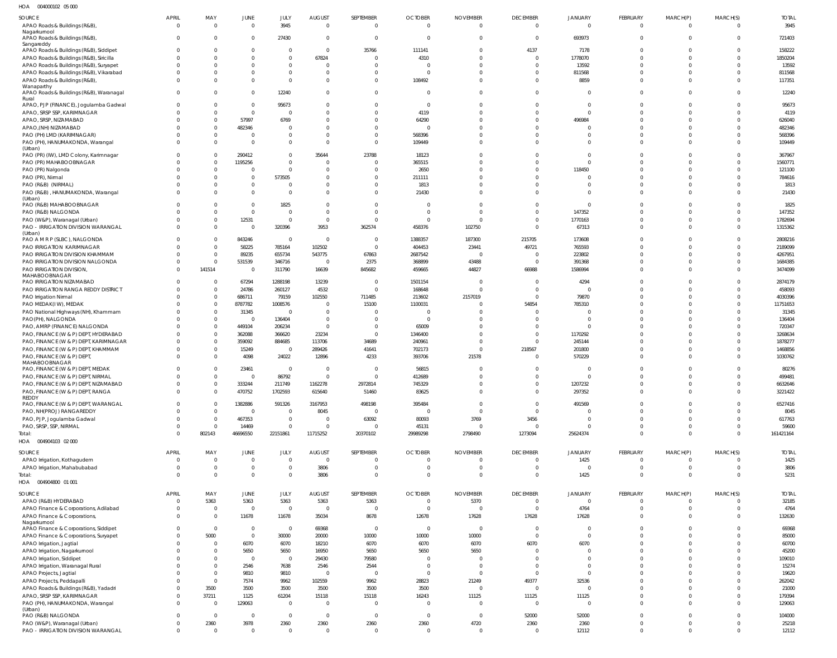004000102 05 000 HOA

| 1127<br><b>UUTUUU IUL UJUUU</b>                                       |                          |                                  |                             |                          |                                  |                                  |                                  |                                   |                                |                                  |                                |                      |                                  |                      |
|-----------------------------------------------------------------------|--------------------------|----------------------------------|-----------------------------|--------------------------|----------------------------------|----------------------------------|----------------------------------|-----------------------------------|--------------------------------|----------------------------------|--------------------------------|----------------------|----------------------------------|----------------------|
| <b>SOURCE</b><br>APAO Roads & Buildings (R&B)                         | <b>APRIL</b><br>$\Omega$ | MAY<br>$\overline{0}$            | <b>JUNE</b><br>$\mathbf 0$  | JULY<br>3945             | <b>AUGUST</b><br>$\overline{0}$  | SEPTEMBER<br>$\mathbf{0}$        | <b>OCTOBER</b><br>$\overline{0}$ | <b>NOVEMBER</b><br>$\overline{0}$ | <b>DECEMBER</b><br>$\mathbf 0$ | <b>JANUARY</b><br>$\overline{0}$ | <b>FEBRUARY</b><br>$\mathbf 0$ | MARCH(P)<br>$\Omega$ | MARCH(S)<br>$\Omega$             | <b>TOTAL</b><br>3945 |
| Nagarkurnool                                                          |                          |                                  |                             |                          |                                  |                                  |                                  |                                   |                                |                                  |                                |                      |                                  |                      |
| APAO Roads & Buildings (R&B)                                          |                          | $\Omega$                         | $\overline{0}$              | 27430                    | $\overline{0}$                   | $\overline{0}$                   | $\overline{0}$                   | $\mathbf{0}$                      | $\overline{0}$                 | 693973                           | $\Omega$                       | $\Omega$             | $\overline{\mathbf{0}}$          | 721403               |
| Sangareddy<br>APAO Roads & Buildings (R&B), Siddipet                  |                          | $\Omega$                         | $\overline{0}$              | $\Omega$                 | $\overline{0}$                   | 35766                            | 111141                           | $\mathbf 0$                       | 4137                           | 7178                             | $\Omega$                       | $\Omega$             | $\overline{0}$                   | 158222               |
| APAO Roads & Buildings (R&B), Siricilla                               |                          | $\Omega$                         | $\mathbf 0$                 | $\Omega$                 | 67824                            | $\overline{0}$                   | 4310                             | $\Omega$                          | $\mathbf 0$                    | 1778070                          | $\Omega$                       | $\Omega$             | $\overline{0}$                   | 1850204              |
| APAO Roads & Buildings (R&B), Suryapet                                |                          | $\Omega$                         | $\mathbf 0$                 | $\Omega$                 | $\Omega$                         | $\Omega$                         | $\Omega$                         | $\Omega$                          | $\mathbf 0$                    | 13592                            | $\Omega$                       | $\Omega$             | $\Omega$                         | 13592                |
| APAO Roads & Buildings (R&B), Vikarabad                               |                          | $\Omega$                         | $\mathbf{0}$                | $\Omega$                 | $\overline{0}$                   | $\overline{0}$                   | $\overline{0}$                   | $\Omega$                          | $\mathbf 0$                    | 811568                           | $\Omega$                       | $\Omega$             | $\overline{0}$                   | 811568               |
| APAO Roads & Buildings (R&B)<br>Wanaparthy                            |                          | $\Omega$                         | $\mathbf 0$                 | $\Omega$                 | $\Omega$                         | $\overline{0}$                   | 108492                           | $\Omega$                          | $\Omega$                       | 8859                             | $\Omega$                       | $\Omega$             | $\Omega$                         | 117351               |
| APAO Roads & Buildings (R&B), Waranagal                               |                          | $\Omega$                         | $\mathbf 0$                 | 12240                    | $\overline{0}$                   | $\overline{0}$                   | $\overline{0}$                   | $\Omega$                          | $\mathbf 0$                    | $\overline{0}$                   | $\Omega$                       | $\Omega$             | $\Omega$                         | 12240                |
| Rural<br>APAO, PJP (FINANCE), Jogulamba Gadwal                        |                          | $\overline{0}$                   | $\overline{0}$              | 95673                    | $\overline{0}$                   | $\Omega$                         | $\overline{0}$                   | $\Omega$                          | $\Omega$                       | $\overline{0}$                   | $\Omega$                       | $\Omega$             | $\Omega$                         | 95673                |
| APAO, SRSP SSP, KARIMNAGAR                                            |                          | $\overline{0}$                   | $\overline{0}$              | $\Omega$                 | $\overline{0}$                   | $\Omega$                         | 4119                             | $\Omega$                          | $\Omega$                       | $\mathbf{0}$                     | $\Omega$                       | $\Omega$             | $\Omega$                         | 4119                 |
| APAO, SRSP, NIZAMABAD                                                 |                          | $\overline{0}$                   | 57997                       | 6769                     | $\Omega$                         | $\Omega$                         | 64290                            | $\Omega$                          | $\Omega$                       | 496984                           | $\Omega$                       | $\Omega$             | $\Omega$                         | 626040               |
| APAO, (NH) NIZAMABAD                                                  |                          | $\overline{0}$                   | 482346                      | $\Omega$                 | $\Omega$                         | $\Omega$                         | $\overline{0}$                   | $\Omega$                          | $\Omega$                       | $\mathbf{0}$                     | $\Omega$                       | $\Omega$             | $\Omega$                         | 482346               |
| PAO (PH) LMD (KARIMNAGAR)                                             |                          | $\overline{0}$                   | $\overline{0}$              | $\Omega$                 | $\Omega$                         | $\Omega$                         | 568396                           | $\Omega$                          | $\Omega$                       | $\mathbf 0$                      | $\Omega$                       | $\Omega$             | $\Omega$                         | 568396               |
| PAO (PH), HANUMAKONDA, Warangal<br>(Urban)                            |                          | $\Omega$                         | $\mathbf{0}$                | $\Omega$                 | $\Omega$                         | $\Omega$                         | 109449                           | $\Omega$                          | $\Omega$                       | $\Omega$                         | $\Omega$                       | $\Omega$             | $\Omega$                         | 109449               |
| PAO (PR) (IW), LMD Colony, Karimnagar                                 |                          | $\Omega$                         | 290412                      | $\Omega$                 | 35644                            | 23788                            | 18123                            | $\Omega$                          | $\Omega$                       | $\Omega$                         | $\Omega$                       | $\cap$               | $\Omega$                         | 367967               |
| PAO (PR) MAHABOOBNAGAR                                                |                          | $\overline{0}$                   | 1195256                     | $\Omega$                 | $\overline{0}$                   | $\overline{0}$                   | 365515                           | $\Omega$                          | $\Omega$                       | $\mathbf{0}$                     | $\Omega$                       |                      | $\Omega$                         | 1560771              |
| PAO (PR) Nalgonda                                                     |                          | $\overline{0}$<br>$\Omega$       | $\overline{0}$              | $\Omega$                 | $\overline{0}$<br>$\overline{0}$ | $\Omega$                         | 2650                             | $\Omega$<br>$\Omega$              | $\Omega$<br>$\Omega$           | 118450                           | $\Omega$<br>$\Omega$           | $\Omega$<br>$\Omega$ | $\Omega$<br>$\Omega$             | 121100               |
| PAO (PR), Nirmal<br>PAO (R&B) (NIRMAL)                                |                          | $\Omega$                         | $\mathbf 0$<br>$\mathbf 0$  | 573505<br>$\Omega$       | $\overline{0}$                   | $\Omega$<br>$\mathbf 0$          | 211111<br>1813                   | $\Omega$                          | $\Omega$                       | $\overline{0}$<br>$\mathbf{0}$   | $\Omega$                       | $\Omega$             | $\Omega$                         | 784616<br>1813       |
| PAO (R&B), HANUMAKONDA, Warangal                                      |                          | $\Omega$                         | $\mathbf 0$                 | $\Omega$                 | $\Omega$                         | $\mathbf 0$                      | 21430                            | $\Omega$                          | $\Omega$                       | $\Omega$                         | $\Omega$                       | $\Omega$             | $\Omega$                         | 21430                |
| (Urban)                                                               |                          |                                  |                             |                          |                                  |                                  |                                  |                                   |                                |                                  |                                |                      |                                  |                      |
| PAO (R&B) MAHABOOBNAGAR<br>PAO (R&B) NALGONDA                         |                          | $\Omega$<br>$\Omega$             | $\mathbf{0}$<br>$\mathbf 0$ | 1825<br>$\Omega$         | $\Omega$<br>$\overline{0}$       | $\Omega$<br>$\Omega$             | $\Omega$<br>$\overline{0}$       | $\Omega$<br>$\Omega$              | $\Omega$<br>$\Omega$           | $\mathbf{0}$<br>147352           | $\Omega$<br>$\Omega$           | $\Omega$<br>$\Omega$ | $\Omega$<br>$\Omega$             | 1825<br>147352       |
| PAO (W&P), Waranagal (Urban)                                          |                          | $\overline{0}$                   | 12531                       | $\Omega$                 | $\overline{0}$                   | $\Omega$                         | $\Omega$                         | $\Omega$                          | $\mathbf 0$                    | 1770163                          | $\Omega$                       | $\Omega$             | $\overline{0}$                   | 1782694              |
| PAO - IRRIGATION DIVISION WARANGAL                                    |                          | $\mathbf 0$                      | $\overline{0}$              | 320396                   | 3953                             | 362574                           | 458376                           | 102750                            | $\mathbf 0$                    | 67313                            | $\Omega$                       | $\Omega$             | $\Omega$                         | 1315362              |
| (Urban)                                                               |                          |                                  |                             |                          |                                  |                                  |                                  |                                   |                                |                                  |                                | $\cap$               |                                  |                      |
| PAO A M R P (SLBC), NALGONDA<br>PAO IRRIGATION KARIMNAGAR             |                          | $\overline{0}$<br>$\overline{0}$ | 843246<br>58225             | $\overline{0}$<br>785164 | $\overline{0}$<br>102502         | $\overline{0}$<br>$\overline{0}$ | 1388357<br>404453                | 187300<br>23441                   | 215705<br>49721                | 173608<br>765593                 | $\Omega$<br>$\Omega$           | $\Omega$             | $\Omega$<br>$\Omega$             | 2808216<br>2189099   |
| PAO IRRIGATION DIVISION KHAMMAM                                       |                          | $\overline{0}$                   | 89235                       | 655734                   | 543775                           | 67863                            | 2687542                          | $\Omega$                          | $\overline{0}$                 | 223802                           | $\Omega$                       | $\Omega$             | $\Omega$                         | 4267951              |
| PAO IRRIGATION DIVISION NALGONDA                                      |                          | $\overline{0}$                   | 531539                      | 346716                   | $\overline{0}$                   | 2375                             | 368899                           | 43488                             | $\overline{0}$                 | 391368                           | $\Omega$                       | $\Omega$             | $\overline{0}$                   | 1684385              |
| PAO IRRIGATION DIVISION,                                              |                          | 141514                           | $\overline{0}$              | 311790                   | 16639                            | 845682                           | 459665                           | 44827                             | 66988                          | 1586994                          | $\Omega$                       | $\Omega$             | $\Omega$                         | 3474099              |
| MAHABOOBNAGAR<br>PAO IRRIGATION NIZAMABAD                             |                          | $\Omega$                         | 67294                       | 1288198                  | 13239                            | $\Omega$                         | 1501154                          | $\Omega$                          | $\Omega$                       | 4294                             | $\sqrt{2}$                     |                      | $\Omega$                         | 2874179              |
| PAO IRRIGATION RANGA REDDY DISTRICT                                   |                          | $\Omega$                         | 24786                       | 260127                   | 4532                             | $\Omega$                         | 168648                           | $\Omega$                          | $\Omega$                       | $\Omega$                         | $\Omega$                       | $\Omega$             | $\Omega$                         | 458093               |
| PAO Irrigation Nirmal                                                 |                          | $\overline{0}$                   | 686711                      | 79159                    | 102550                           | 711485                           | 213602                           | 2157019                           | $\overline{0}$                 | 79870                            | $\Omega$                       | $\cap$               | $\Omega$                         | 4030396              |
| PAO MEDAK(IW), MEDAK                                                  |                          | $\Omega$                         | 8787782                     | 1008576                  | $\Omega$                         | 15100                            | 1100031                          | $\Omega$                          | 54854                          | 785310                           | $\Omega$                       |                      | $\Omega$                         | 11751653             |
| PAO National Highways (NH), Khammam                                   |                          | $\Omega$<br>$\Omega$             | 31345<br>$\overline{0}$     | $\overline{0}$           | $\overline{0}$<br>$\overline{0}$ | $\Omega$<br>$\Omega$             | $\overline{0}$<br>$\Omega$       | $\Omega$<br>$\Omega$              | $\Omega$<br>$\Omega$           | $\Omega$<br>$\Omega$             | C<br>$\sqrt{2}$                |                      | $\Omega$<br>$\Omega$             | 31345<br>136404      |
| PAO(PH), NALGONDA<br>PAO, AMRP (FINANCE) NALGONDA                     |                          | $\Omega$                         | 449104                      | 136404<br>206234         | $\overline{0}$                   | $\Omega$                         | 65009                            | $\Omega$                          | $\Omega$                       | $\Omega$                         | C                              |                      | $\Omega$                         | 720347               |
| PAO, FINANCE (W & P) DEPT, HYDERABAD                                  |                          | $\Omega$                         | 362088                      | 366620                   | 23234                            | $\Omega$                         | 1346400                          | $\Omega$                          | $\Omega$                       | 1170292                          | C                              |                      | $\Omega$                         | 3268634              |
| PAO, FINANCE (W & P) DEPT, KARIMNAGAR                                 |                          | $\overline{0}$                   | 359092                      | 884685                   | 113706                           | 34689                            | 240961                           | $\Omega$                          | $\Omega$                       | 245144                           | $\sqrt{2}$                     |                      | $\Omega$                         | 1878277              |
| PAO, FINANCE (W & P) DEPT, KHAMMAM                                    |                          | $\Omega$                         | 15249                       | $\overline{0}$           | 289426                           | 41641                            | 702173                           | $\Omega$                          | 218567                         | 201800                           | $\Omega$                       | $\Omega$             | $\Omega$                         | 1468856              |
| PAO, FINANCE (W & P) DEPT,<br>MAHABOOBNAGAR                           |                          | $\Omega$                         | 4098                        | 24022                    | 12896                            | 4233                             | 393706                           | 21578                             | $\Omega$                       | 570229                           | $\Omega$                       | $\Omega$             | $\Omega$                         | 1030762              |
| PAO, FINANCE (W & P) DEPT, MEDAK                                      |                          | $\Omega$                         | 23461                       | $\Omega$                 | $\Omega$                         | $\Omega$                         | 56815                            | $\Omega$                          | $\Omega$                       | $\Omega$                         | $\Omega$                       |                      | $\Omega$                         | 80276                |
| PAO, FINANCE (W & P) DEPT, NIRMAL                                     | $\Omega$                 | $\Omega$                         | $\overline{0}$              | 86792                    | $\overline{0}$                   | $\Omega$                         | 412689                           | $\Omega$                          | $\Omega$                       | $\Omega$                         | $\Omega$                       | $\Omega$             | $\Omega$                         | 499481               |
| PAO, FINANCE (W & P) DEPT, NIZAMABAD                                  | 0                        | $\Omega$                         | 333244                      | 211749                   | 1162278                          | 2972814                          | 745329                           | $\overline{0}$                    | $\mathbf{0}$                   | 1207232                          | $\mathbf 0$                    | $\Omega$             | $\overline{0}$                   | 6632646              |
| PAO, FINANCE (W & P) DEPT, RANGA<br>REDDY                             | $\Omega$                 | $\overline{0}$                   | 470752                      | 1702593                  | 615640                           | 51460                            | 83625                            | $\overline{0}$                    | $\mathbf 0$                    | 297352                           | $\mathbf 0$                    | $\Omega$             | $\overline{0}$                   | 3221422              |
| PAO, FINANCE (W & P) DEPT, WARANGAL                                   | $\Omega$                 | $\overline{0}$                   | 1382886                     | 591326                   | 3167953                          | 498198                           | 395484                           | $\overline{0}$                    | $\mathbf 0$                    | 491569                           | $\Omega$                       | $\Omega$             | $\overline{0}$                   | 6527416              |
| PAO, NH(PROJ) RANGAREDDY                                              |                          | $\overline{0}$                   | $\overline{0}$              | $\Omega$                 | 8045                             | $\overline{0}$                   | $\overline{0}$                   | $\overline{0}$                    | $\mathbf 0$                    | $\Omega$                         | $\Omega$                       | $\Omega$             | $\Omega$                         | 8045                 |
| PAO, PJP, Jogulamba Gadwal                                            | $\Omega$<br>$\Omega$     | $\overline{0}$<br>$\overline{0}$ | 467353<br>14469             | $\Omega$<br>$\Omega$     | $\overline{0}$<br>$\overline{0}$ | 63092<br>$\overline{0}$          | 80093                            | 3769<br>$\overline{0}$            | 3456                           | $\overline{0}$<br>$\Omega$       | $\Omega$<br>$\mathbf 0$        | $\Omega$<br>$\Omega$ | $\Omega$<br>$\overline{0}$       | 617763               |
| PAO, SRSP, SSP, NIRMAL<br>Total:                                      | $\Omega$                 | 802143                           | 46696550                    | 22151861                 | 11715252                         | 20370102                         | 45131<br>29989298                | 2798490                           | $\mathbf 0$<br>1273094         | 25624374                         | $\Omega$                       | $\Omega$             | $\overline{0}$                   | 59600<br>161421164   |
| 004904103 02 000<br>HOA                                               |                          |                                  |                             |                          |                                  |                                  |                                  |                                   |                                |                                  |                                |                      |                                  |                      |
| SOURCE                                                                | <b>APRIL</b>             | MAY                              | <b>JUNE</b>                 | JULY                     | <b>AUGUST</b>                    | SEPTEMBER                        | <b>OCTOBER</b>                   | <b>NOVEMBER</b>                   | <b>DECEMBER</b>                | JANUARY                          | <b>FEBRUARY</b>                | MARCH(P)             | MARCH(S)                         | <b>TOTAL</b>         |
| APAO Irrigation, Kothagudem                                           | 0                        | $\overline{0}$                   | $\overline{0}$              | $\overline{0}$           | $\overline{0}$                   | $\mathbf 0$                      | $\overline{0}$                   | $\overline{0}$                    | $\overline{0}$                 | 1425                             | $\mathbf 0$                    | $\Omega$             | $\overline{0}$                   | 1425                 |
| APAO Irrigation, Mahabubabad                                          | $\mathbf 0$              | $\overline{0}$                   | $\overline{0}$              | $\Omega$                 | 3806                             | $\overline{0}$                   | $\overline{0}$                   | $\overline{0}$                    | $\overline{0}$                 | $\mathbf 0$                      | $\mathbf 0$                    | $\overline{0}$       | $\overline{\mathbf{0}}$          | 3806                 |
| Total:                                                                | $\Omega$                 | $\overline{0}$                   | $\overline{0}$              | $\overline{0}$           | 3806                             | $\overline{0}$                   | $\overline{0}$                   | $\overline{0}$                    | $\mathbf 0$                    | 1425                             | $\overline{0}$                 | $\Omega$             | $\overline{\mathbf{0}}$          | 5231                 |
| HOA  004904800  01  001                                               |                          |                                  |                             |                          |                                  |                                  |                                  |                                   |                                |                                  |                                |                      |                                  |                      |
| SOURCE                                                                | <b>APRIL</b>             | MAY                              | <b>JUNE</b>                 | JULY                     | <b>AUGUST</b>                    | SEPTEMBER                        | <b>OCTOBER</b>                   | <b>NOVEMBER</b>                   | <b>DECEMBER</b>                | JANUARY                          | <b>FEBRUARY</b>                | MARCH(P)             | MARCH(S)                         | <b>TOTAL</b>         |
| APAO (R&B) HYDERABAD                                                  | $\Omega$                 | 5363                             | 5363                        | 5363                     | 5363                             | 5363                             | $\mathbf 0$                      | 5370                              | $\overline{0}$                 | $\overline{0}$                   | $\overline{0}$                 | $\Omega$             | $\Omega$                         | 32185                |
| APAO Finance & Corporations, Adilabad<br>APAO Finance & Corporations, | 0<br>$\Omega$            | $\overline{0}$<br>$\overline{0}$ | $\overline{0}$<br>11678     | $\overline{0}$<br>11678  | $\overline{0}$<br>35034          | $\overline{0}$<br>8678           | $\overline{0}$<br>12678          | $\mathbf{0}$<br>17628             | $\overline{0}$<br>17628        | 4764<br>17628                    | $\overline{0}$<br>$\Omega$     | $\Omega$<br>$\Omega$ | $\overline{0}$<br>$\overline{0}$ | 4764<br>132630       |
| Nagarkurnool                                                          |                          |                                  |                             |                          |                                  |                                  |                                  |                                   |                                |                                  |                                |                      |                                  |                      |
| APAO Finance & Corporations, Siddipet                                 | <sup>0</sup>             | $\overline{0}$                   | $\overline{0}$              | $\overline{0}$           | 69368                            | $\overline{0}$                   | $\overline{0}$                   | $\overline{0}$                    | $\overline{0}$                 | $\overline{0}$                   | $\Omega$                       | $\Omega$             | $\Omega$                         | 69368                |
| APAO Finance & Corporations, Suryapet                                 |                          | 5000                             | $\overline{0}$              | 30000                    | 20000                            | 10000                            | 10000                            | 10000                             | $\mathbf 0$                    | $\mathbf{0}$                     | $\Omega$                       | $\Omega$             | $\overline{0}$                   | 85000                |
| APAO Irrigation, Jagtial<br>APAO Irrigation, Nagarkurnool             |                          | $\overline{0}$<br>$\overline{0}$ | 6070<br>5650                | 6070<br>5650             | 18210<br>16950                   | 6070<br>5650                     | 6070<br>5650                     | 6070<br>5650                      | 6070<br>$\Omega$               | 6070<br>$\overline{0}$           | $\Omega$<br>$\Omega$           | $\Omega$<br>$\Omega$ | $\Omega$<br>$\overline{0}$       | 60700<br>45200       |
| APAO Irrigation, Siddipet                                             |                          | $\Omega$                         | $\overline{0}$              | $\overline{0}$           | 29430                            | 79580                            | $\Omega$                         | $\mathbf{0}$                      | $\Omega$                       | $\Omega$                         | $\Omega$                       | $\Omega$             | $\Omega$                         | 109010               |
| APAO Irrigation, Waranagal Rural                                      |                          | $\overline{0}$                   | 2546                        | 7638                     | 2546                             | 2544                             | $\overline{0}$                   | $\overline{0}$                    | $\overline{0}$                 | $\overline{0}$                   | $\Omega$                       | $\Omega$             | $\overline{0}$                   | 15274                |
| APAO Projects, Jagtial                                                |                          | $\overline{0}$                   | 9810                        | 9810                     | $\overline{0}$                   | $\overline{0}$                   | $\overline{0}$                   | $\mathbf 0$                       | $\mathbf 0$                    | $\Omega$                         | $\Omega$                       | $\Omega$             | $\Omega$                         | 19620                |
| APAO Projects, Peddapalli                                             |                          | $\overline{0}$                   | 7574                        | 9962                     | 102559                           | 9962                             | 28823                            | 21249                             | 49377                          | 32536                            | $\Omega$                       | $\Omega$             | $\overline{0}$                   | 262042               |
| APAO Roads & Buildings (R&B), Yadadri<br>APAO, SRSP SSP, KARIMNAGAR   |                          | 3500<br>37211                    | 3500<br>1125                | 3500<br>61204            | 3500<br>15118                    | 3500<br>15118                    | 3500<br>16243                    | $\mathbf 0$<br>11125              | $\overline{0}$<br>11125        | $\overline{0}$<br>11125          | $\Omega$<br>$\mathbf 0$        | $\Omega$<br>$\Omega$ | $\Omega$<br>$\overline{0}$       | 21000<br>179394      |
| PAO (PH), HANUMAKONDA, Warangal                                       | $\Omega$                 | $\overline{0}$                   | 129063                      | $\overline{0}$           | $\overline{0}$                   | 0                                | $\overline{0}$                   | $\overline{0}$                    | $\overline{0}$                 | $\overline{0}$                   | $\Omega$                       | $\Omega$             | $\Omega$                         | 129063               |
| (Urban)                                                               |                          |                                  |                             |                          |                                  |                                  |                                  |                                   |                                |                                  |                                |                      |                                  |                      |
| PAO (R&B) NALGONDA                                                    |                          | $\overline{0}$                   | $\overline{0}$              | $\overline{0}$           | $\overline{0}$                   | $\overline{0}$                   | $\overline{0}$                   | $\overline{0}$                    | 52000                          | 52000                            | $\mathbf 0$                    | $\Omega$             | $\overline{0}$                   | 104000               |
| PAO (W&P), Waranagal (Urban)<br>PAO - IRRIGATION DIVISION WARANGAL    | $\Omega$<br>$\Omega$     | 2360<br>$\overline{0}$           | 3978<br>$\overline{0}$      | 2360<br>$\Omega$         | 2360<br>$\overline{0}$           | 2360<br>$\overline{0}$           | 2360<br>$\overline{0}$           | 4720<br>$\overline{0}$            | 2360<br>$\overline{0}$         | 2360<br>12112                    | $\overline{0}$<br>$\mathbf 0$  | $\Omega$<br>$\Omega$ | $\overline{0}$<br>$\overline{0}$ | 25218<br>12112       |
|                                                                       |                          |                                  |                             |                          |                                  |                                  |                                  |                                   |                                |                                  |                                |                      |                                  |                      |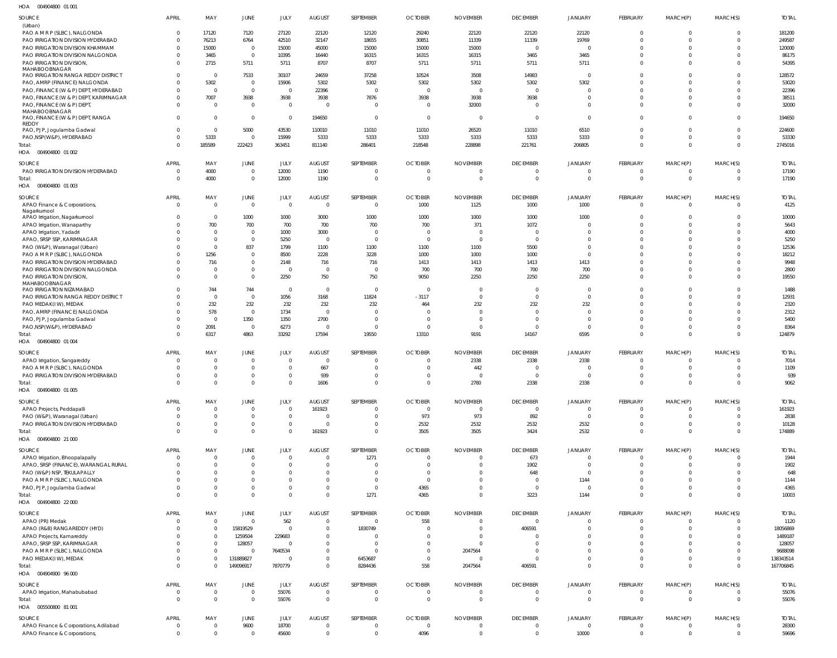004904800 01 001 HOA

| SOURCE                                                                |                         |                      |                        |                        |                                  |                |                            |                             |                                   |                         |                      |                             |                |                |
|-----------------------------------------------------------------------|-------------------------|----------------------|------------------------|------------------------|----------------------------------|----------------|----------------------------|-----------------------------|-----------------------------------|-------------------------|----------------------|-----------------------------|----------------|----------------|
|                                                                       | APRIL                   | MAY                  | JUNE                   | JULY                   | <b>AUGUST</b>                    | SEPTEMBER      | <b>OCTOBER</b>             | <b>NOVEMBER</b>             | <b>DECEMBER</b>                   | <b>JANUARY</b>          | FEBRUARY             | MARCH(P)                    | MARCH(S)       | <b>TOTAL</b>   |
| (Urban)                                                               |                         |                      |                        |                        |                                  |                |                            |                             |                                   |                         |                      |                             |                |                |
| PAO A M R P (SLBC), NALGONDA                                          | $\Omega$                | 17120                | 7120                   | 27120                  | 22120                            | 12120          | 29240                      | 22120                       | 22120                             | 22120                   | $\Omega$             | $\Omega$                    |                | 181200         |
| PAO IRRIGATION DIVISION HYDERABAD                                     | $\Omega$                | 76213                | 6764                   | 42510                  | 32147                            | 18655          | 30851                      | 11339                       | 11339                             | 19769                   | $\Omega$             | $\Omega$                    |                | 249587         |
| PAO IRRIGATION DIVISION KHAMMAM                                       | $\Omega$                | 15000                | $\overline{0}$         | 15000                  | 45000                            | 15000          | 15000                      | 15000                       | $\Omega$                          | $\Omega$                | $\Omega$             | $\Omega$                    |                | 120000         |
| PAO IRRIGATION DIVISION NALGONDA                                      | $\Omega$                | 3465                 | $\,0\,$                | 10395                  | 16440                            | 16315          | 16315                      | 16315                       | 3465                              | 3465                    | $\Omega$             | $\Omega$                    |                | 86175          |
| PAO IRRIGATION DIVISION,                                              | $\Omega$                | 2715                 | 5711                   | 5711                   | 8707                             | 8707           | 5711                       | 5711                        | 5711                              | 5711                    | $\Omega$             | $\Omega$                    |                | 54395          |
| MAHABOOBNAGAR                                                         |                         |                      |                        |                        |                                  |                |                            |                             |                                   |                         |                      |                             |                |                |
| PAO IRRIGATION RANGA REDDY DISTRICT                                   | $\Omega$                | $\Omega$             | 7533                   | 30107                  | 24659                            | 37258          | 10524                      | 3508                        | 14983                             | $\overline{0}$          | $\Omega$             | $\Omega$                    |                | 128572         |
| PAO, AMRP (FINANCE) NALGONDA                                          |                         | 5302                 | $\overline{0}$         | 15906                  | 5302                             | 5302           | 5302                       | 5302                        | 5302                              | 5302                    |                      | $\Omega$                    |                | 53020          |
| PAO, FINANCE (W & P) DEPT, HYDERABAD                                  |                         | $\Omega$             | $\overline{0}$         | $\overline{0}$         | 22396                            | $\Omega$       | $\Omega$                   |                             | $\Omega$                          | $\Omega$                | $\Omega$             | $\Omega$                    |                | 22396          |
| PAO, FINANCE (W & P) DEPT, KARIMNAGAR                                 |                         | 7007                 | 3938                   | 3938                   | 3938                             | 7876           | 3938                       | 3938                        | 3938                              | $\Omega$                | $\Omega$             | $\Omega$                    |                | 38511          |
|                                                                       |                         | $\Omega$             | $\overline{0}$         |                        | - 0                              |                | $\Omega$                   |                             | $\Omega$                          | $\Omega$                | $\Omega$             | $\Omega$                    |                |                |
| PAO, FINANCE (W & P) DEPT,<br>MAHABOOBNAGAR                           |                         |                      |                        | $\overline{0}$         |                                  | $\Omega$       |                            | 32000                       |                                   |                         |                      |                             |                | 32000          |
| PAO, FINANCE (W & P) DEPT, RANGA                                      | $\Omega$                | $\Omega$             | $\overline{0}$         | $\overline{0}$         | 194650                           | $\overline{0}$ | $\Omega$                   | - 0                         | $\overline{0}$                    | $\Omega$                | $\Omega$             | $\mathbf{0}$                |                | 194650         |
| REDDY                                                                 |                         |                      |                        |                        |                                  |                |                            |                             |                                   |                         |                      |                             |                |                |
| PAO, PJP, Jogulamba Gadwal                                            | $\Omega$                | $\Omega$             | 5000                   | 43530                  | 110010                           | 11010          | 11010                      | 26520                       | 11010                             | 6510                    | $\Omega$             | $\Omega$                    |                | 224600         |
| PAO, NSP(W&P), HYDERABAD                                              | $\Omega$                | 5333                 | $\overline{0}$         | 15999                  | 5333                             | 5333           | 5333                       | 5333                        | 5333                              | 5333                    | $\Omega$             | $\Omega$                    |                | 53330          |
| Total:                                                                | $\Omega$                | 185589               | 222423                 | 363451                 | 811140                           | 286401         | 218548                     | 228898                      | 221761                            | 206805                  | $\Omega$             | $\Omega$                    | $\Omega$       | 2745016        |
| HOA  004904800  01  002                                               |                         |                      |                        |                        |                                  |                |                            |                             |                                   |                         |                      |                             |                |                |
|                                                                       |                         |                      |                        |                        |                                  |                |                            |                             |                                   |                         |                      |                             |                |                |
| SOURCE                                                                | <b>APRIL</b>            | MAY                  | JUNE                   | JULY                   | <b>AUGUST</b>                    | SEPTEMBER      | <b>OCTOBER</b>             | <b>NOVEMBER</b>             | <b>DECEMBER</b>                   | <b>JANUARY</b>          | FEBRUARY             | MARCH(P)                    | MARCH(S)       | <b>TOTAL</b>   |
| PAO IRRIGATION DIVISION HYDERABAD                                     | $\mathbf 0$             | 4000                 | $\,0\,$                | 12000                  | 1190                             | $\mathbf{0}$   | $\Omega$                   | - 0                         | $\overline{0}$                    | $\overline{0}$          | $\mathbf{0}$         | $\overline{0}$              | $\Omega$       | 17190          |
| Total:                                                                | $\Omega$                | 4000                 | $\,0\,$                | 12000                  | 1190                             | $\mathbf 0$    | $\Omega$                   | $\Omega$                    | $\overline{0}$                    | $\overline{0}$          | $\mathbf{0}$         | $\overline{0}$              | $\Omega$       | 17190          |
| HOA  004904800  01 003                                                |                         |                      |                        |                        |                                  |                |                            |                             |                                   |                         |                      |                             |                |                |
|                                                                       |                         |                      |                        |                        |                                  |                |                            |                             |                                   |                         |                      |                             |                |                |
| SOURCE                                                                | APRIL                   | MAY                  | JUNE                   | JULY                   | <b>AUGUST</b>                    | SEPTEMBER      | <b>OCTOBER</b>             | <b>NOVEMBER</b>             | <b>DECEMBER</b>                   | <b>JANUARY</b>          | FEBRUARY             | MARCH(P)                    | MARCH(S)       | <b>TOTAL</b>   |
| APAO Finance & Corporations,                                          | $\Omega$                | $\Omega$             | $\overline{0}$         | $\overline{0}$         | $\Omega$                         | $\Omega$       | 1000                       | 1125                        | 1000                              | 1000                    | $\Omega$             | $\overline{0}$              |                | 4125           |
| Nagarkurnool                                                          |                         |                      |                        |                        |                                  |                |                            |                             |                                   |                         |                      |                             |                |                |
| APAO Irrigation, Nagarkurnool                                         |                         | $\Omega$             | 1000                   | 1000                   | 3000                             | 1000           | 1000                       | 1000                        | 1000                              | 1000                    | $\Omega$             | $\Omega$                    |                | 10000          |
| APAO Irrigation, Wanaparthy                                           |                         | 700                  | 700                    | 700                    | 700                              | 700            | 700                        | 371                         | 1072                              | $\Omega$                |                      | $\Omega$                    |                | 5643           |
| APAO Irrigation, Yadadri                                              |                         | $\Omega$             | $\overline{0}$         | 1000                   | 3000                             | $\Omega$       | $\Omega$                   | $\Omega$                    | $\Omega$                          | $\Omega$                | $\Omega$             | $\Omega$                    |                | 4000           |
| APAO, SRSP SSP, KARIMNAGAR                                            |                         | $\Omega$             | $\overline{0}$         | 5250                   | $\overline{0}$                   | $\Omega$       | $\Omega$                   | $\Omega$                    | $\Omega$                          | $\Omega$                | $\Omega$             | $\Omega$                    |                | 5250           |
| PAO (W&P), Waranagal (Urban)                                          |                         | $\Omega$             | 837                    | 1799                   | 1100                             | 1100           | 1100                       | 1100                        | 5500                              | $\Omega$                |                      | $\Omega$                    |                | 12536          |
| PAO A M R P (SLBC), NALGONDA                                          |                         | 1256                 | $\overline{0}$         | 8500                   | 2228                             | 3228           | 1000                       | 1000                        | 1000                              | $\Omega$                |                      | $\Omega$                    |                | 18212          |
| PAO IRRIGATION DIVISION HYDERABAD                                     |                         | 716                  | $\,0\,$                | 2148                   | 716                              | 716            | 1413                       | 1413                        | 1413                              | 1413                    | $\Omega$             | $\Omega$                    |                | 9948           |
| PAO IRRIGATION DIVISION NALGONDA                                      |                         | $\Omega$             | $\overline{0}$         | $\mathbf{0}$           | $\overline{0}$                   | $\Omega$       | 700                        | 700                         | 700                               | 700                     | $\Omega$             | $\Omega$                    |                | 2800           |
| PAO IRRIGATION DIVISION,                                              |                         | $\Omega$             | $\overline{0}$         | 2250                   | 750                              | 750            | 9050                       | 2250                        | 2250                              | 2250                    | $\Omega$             | $\Omega$                    |                | 19550          |
| MAHABOOBNAGAR                                                         |                         |                      |                        |                        |                                  |                |                            |                             |                                   |                         |                      |                             |                |                |
| PAO IRRIGATION NIZAMABAD                                              | $\Omega$                | 744                  | 744                    | $\overline{0}$         | $\overline{0}$                   | $\Omega$       | $\Omega$                   | - 0                         | $\overline{0}$                    | $\Omega$                | $\Omega$             | $\Omega$                    |                | 1488           |
| PAO IRRIGATION RANGA REDDY DISTRICT                                   |                         | $\Omega$             | $\,0\,$                | 1056                   | 3168                             | 11824          | $-3117$                    | $\Omega$                    | $\Omega$                          | $\Omega$                | $\Omega$             | $\Omega$                    |                | 12931          |
| PAO MEDAK(IW), MEDAK                                                  |                         | 232                  | 232                    | 232                    | 232                              | 232            | 464                        | 232                         | 232                               | 232                     | $\Omega$             | $\Omega$                    |                | 2320           |
| PAO, AMRP (FINANCE) NALGONDA                                          |                         | 578                  | $\,0\,$                | 1734                   | $\overline{0}$                   | $\Omega$       | - 0                        | - 0                         | $\Omega$                          | $\Omega$                | $\Omega$             | $\Omega$                    |                | 2312           |
| PAO, PJP, Jogulamba Gadwal                                            |                         | $\Omega$             | 1350                   | 1350                   | 2700                             | $\Omega$       |                            |                             | $\Omega$                          | $\Omega$                | $\Omega$             | $\Omega$                    |                | 5400           |
|                                                                       |                         |                      | $\overline{0}$         |                        | $\overline{0}$                   | $\Omega$       | - 0                        |                             | $\Omega$                          | $\Omega$                | $\Omega$             | $\Omega$                    |                | 8364           |
| PAO, NSP(W&P), HYDERABAD                                              |                         | 2091                 |                        | 6273                   |                                  |                |                            |                             |                                   |                         |                      |                             |                |                |
| Total:                                                                |                         | 6317                 | 4863                   | 33292                  | 17594                            | 19550          | 13310                      | 9191                        | 14167                             | 6595                    | $\Omega$             | $\Omega$                    | $\Omega$       | 124879         |
| HOA  004904800  01  004                                               |                         |                      |                        |                        |                                  |                |                            |                             |                                   |                         |                      |                             |                |                |
| SOURCE                                                                | <b>APRIL</b>            | MAY                  | <b>JUNE</b>            | JULY                   | <b>AUGUST</b>                    | SEPTEMBER      | <b>OCTOBER</b>             | <b>NOVEMBER</b>             | <b>DECEMBER</b>                   | <b>JANUARY</b>          | FEBRUARY             | MARCH(P)                    | MARCH(S)       | <b>TOTAL</b>   |
|                                                                       |                         |                      |                        |                        |                                  |                |                            |                             |                                   |                         |                      |                             |                |                |
|                                                                       |                         |                      |                        |                        |                                  |                |                            |                             |                                   |                         |                      |                             |                |                |
| APAO Irrigation, Sangareddy                                           | $\Omega$                | $\Omega$             | $\overline{0}$         | $\overline{0}$         | $\overline{0}$                   | $\Omega$       | - 0                        | 2338                        | 2338                              | 2338                    | $\Omega$             | $\Omega$                    |                | 7014           |
| PAO A M R P (SLBC), NALGONDA                                          | $\Omega$                | $\Omega$             | $\overline{0}$         | $\overline{0}$         | 667                              |                | $\Omega$                   | 442                         | $\Omega$                          | $\Omega$                | $\Omega$             | $\Omega$                    |                | 1109           |
| PAO IRRIGATION DIVISION HYDERABAD                                     | $\Omega$                | $\Omega$             | $\overline{0}$         | $\Omega$               | 939                              | $\Omega$       | $\Omega$                   | $\Omega$                    | $\Omega$                          | $\Omega$                | $\Omega$             | $\Omega$                    |                | 939            |
| Total:                                                                |                         |                      | $\overline{0}$         | $\Omega$               | 1606                             | U              |                            | 2780                        | 2338                              | 2338                    |                      |                             |                | 9062           |
| HOA  004904800  01 005                                                |                         |                      |                        |                        |                                  |                |                            |                             |                                   |                         |                      |                             |                |                |
|                                                                       | APRIL                   |                      |                        |                        |                                  | SEPTEMBER      |                            |                             |                                   | <b>JANUARY</b>          |                      |                             |                |                |
| SOURCE                                                                | -0                      | MAY<br>$\Omega$      | <b>JUNE</b>            | JULY<br>$\overline{0}$ | <b>AUGUST</b>                    | $\Omega$       | <b>OCTOBER</b><br>$\Omega$ | <b>NOVEMBER</b><br>$\Omega$ | <b>DECEMBER</b><br>$\overline{0}$ | $\Omega$                | FEBRUARY<br>$\Omega$ | MARCH(P)<br>$\mathbf{0}$    | MARCH(S)       | <b>TOTAL</b>   |
| APAO Projects, Peddapalli                                             | $\Omega$                |                      | $\overline{0}$         |                        | 161923                           |                |                            |                             |                                   |                         |                      |                             |                | 161923         |
| PAO (W&P), Waranagal (Urban)                                          |                         | $\Omega$             | $\overline{0}$         | $\overline{0}$         | - 0                              | $\Omega$       | 973                        | 973                         | 892                               | $\Omega$                | $\Omega$             | $\Omega$                    |                | 2838           |
| PAO IRRIGATION DIVISION HYDERABAD                                     | $\Omega$                | $\Omega$             | $\overline{0}$         | $\mathbf 0$            | - 0                              | $\Omega$       | 2532                       | 2532                        | 2532                              | 2532                    | $\Omega$             | $\mathbf{0}$                |                | 10128          |
| Total:                                                                | $\Omega$                | $\Omega$             | $\overline{0}$         | $\mathbf 0$            | 161923                           | $\mathbf 0$    | 3505                       | 3505                        | 3424                              | 2532                    | $\Omega$             | $\mathbf 0$                 | $\Omega$       | 174889         |
| HOA  004904800  21 000                                                |                         |                      |                        |                        |                                  |                |                            |                             |                                   |                         |                      |                             |                |                |
| SOURCE                                                                | APRIL                   | MAY                  | JUNE                   | JULY                   | <b>AUGUST</b>                    | SEPTEMBER      | <b>OCTOBER</b>             | <b>NOVEMBER</b>             | <b>DECEMBER</b>                   | <b>JANUARY</b>          | FEBRUARY             | MARCH(P)                    | MARCH(S)       | <b>TOTAL</b>   |
| APAO Irrigation, Bhoopalapally                                        | $\Omega$                | $\Omega$             | $\overline{0}$         | $\overline{0}$         | $\overline{0}$                   | 1271           | $\Omega$                   | $\Omega$                    | 673                               | $\Omega$                | $\Omega$             | 0                           |                | 1944           |
|                                                                       | $\Omega$                | $\Omega$             | $\overline{0}$         | $\overline{0}$         | $\Omega$                         |                | $\Omega$                   | $\Omega$                    | 1902                              | $\Omega$                | $\Omega$             | $\mathbf 0$                 | $\Omega$       |                |
| APAO, SRSP (FINANCE), WARANGAL RURAL                                  | $\Omega$                | $\Omega$             |                        |                        | $\Omega$                         | $\Omega$       | - 0                        |                             |                                   | $\Omega$                | $\Omega$             | $\Omega$                    |                | 1902           |
| PAO (W&P) NSP, TEKULAPALLY                                            |                         | $\Omega$             | $\overline{0}$         | $\mathbf{0}$           |                                  |                |                            |                             | 648                               |                         |                      |                             |                | 648            |
| PAO A M R P (SLBC), NALGONDA                                          |                         |                      | $\overline{0}$         | $\mathbf{0}$           | $\Omega$                         | $\Omega$       | - 0                        |                             | $\overline{0}$                    | 1144                    | $\Omega$             | $\mathbf{0}$                |                | 1144           |
| PAO, PJP, Jogulamba Gadwal                                            | $\Omega$                | $\Omega$             | $\,0\,$                | $\mathbf 0$            | $\overline{0}$                   | $\overline{0}$ | 4365                       |                             | $\overline{0}$                    | $\overline{0}$          | $\Omega$             | $\overline{0}$              | $\Omega$       | 4365           |
| Total:                                                                | $\Omega$                | $\Omega$             | $\overline{0}$         | $\overline{0}$         | $\Omega$                         | 1271           | 4365                       | $\Omega$                    | 3223                              | 1144                    | $\Omega$             | $\overline{0}$              | $\Omega$       | 10003          |
| HOA  004904800  22 000                                                |                         |                      |                        |                        |                                  |                |                            |                             |                                   |                         |                      |                             |                |                |
|                                                                       |                         |                      |                        |                        |                                  |                |                            |                             |                                   |                         |                      |                             |                |                |
| SOURCE                                                                | APRIL                   | MAY                  | JUNE                   | JULY                   | <b>AUGUST</b>                    | SEPTEMBER      | <b>OCTOBER</b>             | <b>NOVEMBER</b>             | <b>DECEMBER</b>                   | <b>JANUARY</b>          | FEBRUARY             | MARCH(P)                    | MARCH(S)       | <b>TOTAL</b>   |
| APAO (PR) Medak                                                       | $\Omega$                | $\Omega$             | $\overline{0}$         | 562                    | $\Omega$                         | $\Omega$       | 558                        |                             | $\overline{0}$                    | $\Omega$                | $\Omega$             | $\Omega$                    |                | 1120           |
| APAO (R&B) RANGAREDDY (HYD)                                           | $\Omega$                | $\Omega$             | 15819529               | $\overline{0}$         | - 0                              | 1830749        | - 0                        |                             | 406591                            | $\Omega$                | $\Omega$             | $\mathbf{0}$                |                | 18056869       |
| APAO Projects, Kamareddy                                              |                         | $\Omega$             | 1259504                | 229683                 | 0                                |                |                            |                             | $\Omega$                          | $\Omega$                | $\Omega$             | $\Omega$                    |                | 1489187        |
| APAO, SRSP SSP, KARIMNAGAR                                            |                         | $\Omega$             | 128057                 | $\overline{0}$         | - 0                              |                | - 0                        |                             | $\Omega$                          | $\Omega$                | $\Omega$             | $\Omega$                    |                | 128057         |
| PAO A M R P (SLBC), NALGONDA                                          |                         | $\Omega$             | $\Omega$               | 7640534                | $\Omega$                         |                |                            | 2047564                     | $\Omega$                          | $\Omega$                | $\Omega$             | $\Omega$                    |                | 9688098        |
| PAO MEDAK(IW), MEDAK                                                  | $\Omega$                | $\Omega$             | 131889827              | $\overline{0}$         | 0                                | 6453687        | - 0                        |                             | $\Omega$                          | $\Omega$                | $\Omega$             | $\mathbf{0}$                |                | 138343514      |
| Total:                                                                | $\Omega$                | $\Omega$             | 149096917              | 7870779                | $\Omega$                         | 8284436        | 558                        | 2047564                     | 406591                            | $\Omega$                | $\Omega$             | $\Omega$                    | $\Omega$       | 167706845      |
| HOA  004904900  96  000                                               |                         |                      |                        |                        |                                  |                |                            |                             |                                   |                         |                      |                             |                |                |
|                                                                       |                         |                      |                        |                        |                                  |                |                            |                             |                                   |                         |                      |                             |                |                |
| SOURCE                                                                | APRIL                   | MAY                  | JUNE                   | JULY                   | <b>AUGUST</b>                    | SEPTEMBER      | <b>OCTOBER</b>             | <b>NOVEMBER</b>             | <b>DECEMBER</b>                   | <b>JANUARY</b>          | FEBRUARY             | MARCH(P)                    | MARCH(S)       | <b>TOTAL</b>   |
| APAO Irrigation, Mahabubabad                                          | $\mathbf 0$             | $\Omega$             | $\overline{0}$         | 55076                  | $\overline{0}$                   | 0              | $\Omega$                   |                             | $\overline{0}$                    | $\Omega$                | $\Omega$             | $\overline{0}$              |                | 55076          |
| Total:                                                                | $\mathbf{0}$            | $\Omega$             | $\,0\,$                | 55076                  | $\overline{0}$                   | $\mathbf{0}$   | $\Omega$                   | $\Omega$                    | $\overline{0}$                    | $\overline{0}$          | $\overline{0}$       | $\overline{0}$              | $\overline{0}$ | 55076          |
| HOA  005500800  81  001                                               |                         |                      |                        |                        |                                  |                |                            |                             |                                   |                         |                      |                             |                |                |
|                                                                       |                         |                      |                        |                        |                                  |                |                            |                             |                                   |                         |                      |                             |                |                |
| SOURCE                                                                | APRIL                   | MAY                  | <b>JUNE</b>            | JULY                   | <b>AUGUST</b>                    | SEPTEMBER      | <b>OCTOBER</b>             | <b>NOVEMBER</b>             | <b>DECEMBER</b>                   | <b>JANUARY</b>          | FEBRUARY             | MARCH(P)                    | MARCH(S)       | <b>TOTAL</b>   |
| APAO Finance & Corporations, Adilabad<br>APAO Finance & Corporations, | $\mathbf 0$<br>$\Omega$ | $\Omega$<br>$\Omega$ | 9600<br>$\overline{0}$ | 18700<br>45600         | $\overline{0}$<br>$\overline{0}$ | $\Omega$<br>0  | $\overline{0}$<br>4096     |                             | $\overline{0}$<br>$\Omega$        | $\overline{0}$<br>10000 | $\Omega$<br>$\Omega$ | $\mathbf{0}$<br>$\mathbf 0$ |                | 28300<br>59696 |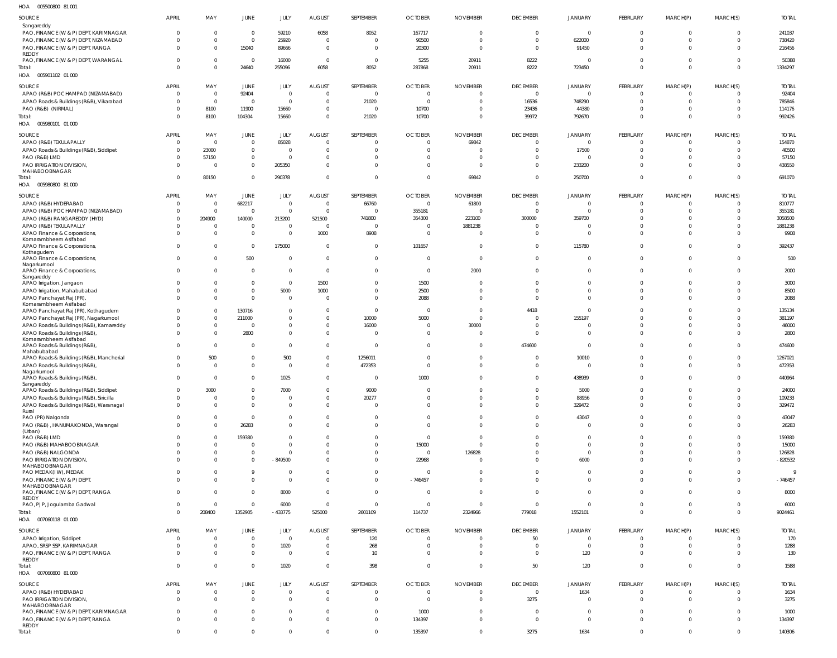005500800 81 001 HOA

| SOURCE                                            | APRIL          | MAY                    | <b>JUNE</b>    | JULY                   | <b>AUGUST</b>    | SEPTEMBER         | <b>OCTOBER</b> | <b>NOVEMBER</b> | <b>DECEMBER</b> | JANUARY        | <b>FEBRUARY</b> | MARCH(P)       | MARCH(S)       | <b>TOTAL</b> |
|---------------------------------------------------|----------------|------------------------|----------------|------------------------|------------------|-------------------|----------------|-----------------|-----------------|----------------|-----------------|----------------|----------------|--------------|
| Sangareddy                                        |                |                        |                |                        |                  |                   |                |                 |                 |                |                 |                |                |              |
| PAO, FINANCE (W & P) DEPT, KARIMNAGAR             | $\Omega$       | $\overline{0}$         | $\Omega$       | 59210                  | 6058             | 8052              | 167717         | $\Omega$        | $\Omega$        | $\mathbf{0}$   | $\Omega$        | $\Omega$       | $\overline{0}$ | 241037       |
| PAO, FINANCE (W & P) DEPT, NIZAMABAD              | $\Omega$       | $\Omega$               | $\overline{0}$ | 25920                  | $\mathbf 0$      | $\Omega$          | 90500          | $\Omega$        | $\Omega$        | 622000         | $\Omega$        | $\Omega$       | $\Omega$       | 738420       |
| PAO, FINANCE (W & P) DEPT, RANGA                  | $\Omega$       | $\overline{0}$         | 15040          | 89666                  | $\overline{0}$   | $\Omega$          | 20300          | $\overline{0}$  | $\Omega$        | 91450          | $\Omega$        | $\Omega$       | $\overline{0}$ | 216456       |
| REDDY                                             |                |                        |                |                        |                  |                   |                |                 |                 |                |                 |                |                |              |
| PAO, FINANCE (W & P) DEPT, WARANGAL               | $\Omega$       | $\Omega$               | $\Omega$       | 16000                  | $\overline{0}$   | $\Omega$          | 5255           | 20911           | 8222            | $\overline{0}$ | $\Omega$        | $\Omega$       | $\Omega$       | 50388        |
| Total:                                            | $\Omega$       | $\overline{0}$         | 24640          | 255096                 | 6058             | 8052              | 287868         | 20911           | 8222            | 723450         | $\Omega$        | $\Omega$       | $\overline{0}$ | 1334297      |
| HOA  005901102  01  000                           |                |                        |                |                        |                  |                   |                |                 |                 |                |                 |                |                |              |
| SOURCE                                            | <b>APRIL</b>   | MAY                    | JUNE           | JULY                   | <b>AUGUST</b>    | SEPTEMBER         | <b>OCTOBER</b> | <b>NOVEMBER</b> | <b>DECEMBER</b> | <b>JANUARY</b> | FEBRUARY        | MARCH(P)       | MARCH(S)       | <b>TOTAL</b> |
| APAO (R&B) POCHAMPAD (NIZAMABAD)                  | $\overline{0}$ | $\overline{0}$         | 92404          | $\overline{0}$         | $\overline{0}$   | $\overline{0}$    | $\overline{0}$ | $\overline{0}$  | $\overline{0}$  | $\overline{0}$ | $\overline{0}$  |                | - 0            | 92404        |
| APAO Roads & Buildings (R&B), Vikarabad           | $\Omega$       | $\overline{0}$         | $\overline{0}$ | $\overline{0}$         | $\mathbf 0$      | 21020             | $\overline{0}$ | $\overline{0}$  | 16536           | 748290         | $\overline{0}$  | $\Omega$       | $\overline{0}$ | 785846       |
| PAO (R&B) (NIRMAL)                                | $\Omega$       | 8100                   | 11900          | 15660                  | $\mathbf 0$      | $\circ$           | 10700          | $\overline{0}$  | 23436           | 44380          | $\overline{0}$  | $\Omega$       | $\overline{0}$ | 114176       |
| Total:                                            | $\Omega$       | 8100                   | 104304         | 15660                  | $\mathbf 0$      | 21020             | 10700          | $\overline{0}$  | 39972           | 792670         | $\mathbf{0}$    | $\Omega$       | $\overline{0}$ | 992426       |
| HOA   005980101   01   000                        |                |                        |                |                        |                  |                   |                |                 |                 |                |                 |                |                |              |
|                                                   |                |                        |                |                        |                  |                   |                |                 |                 |                |                 |                |                |              |
| SOURCE                                            | <b>APRIL</b>   | MAY                    | JUNE           | JULY                   | AUGUST           | SEPTEMBER         | <b>OCTOBER</b> | <b>NOVEMBER</b> | <b>DECEMBER</b> | <b>JANUARY</b> | FEBRUARY        | MARCH(P)       | MARCH(S)       | <b>TOTAL</b> |
| APAO (R&B) TEKULAPALLY                            | $\Omega$       | $\overline{0}$         | $\overline{0}$ | 85028                  | $\Omega$         | $\Omega$          | $\overline{0}$ | 69842           | $\bigcap$       | $\overline{0}$ | $\Omega$        | $\Omega$       | $\Omega$       | 154870       |
| APAO Roads & Buildings (R&B), Siddipet            | $\Omega$       | 23000                  | $\overline{0}$ | $\Omega$               | $\Omega$         | $\Omega$          | $\Omega$       | $\Omega$        | $\Omega$        | 17500          | $\Omega$        | $\Omega$       | $\Omega$       | 40500        |
| PAO (R&B) LMD                                     | $\Omega$       | 57150                  | $\overline{0}$ | $\overline{0}$         | $\Omega$         | $\Omega$          | $\Omega$       | $\Omega$        |                 | $\overline{0}$ | $\Omega$        | $\Omega$       | $\overline{0}$ | 57150        |
| PAO IRRIGATION DIVISION,                          | $\Omega$       | $\overline{0}$         | $\overline{0}$ | 205350                 | $\Omega$         | $\Omega$          | $\Omega$       | $\Omega$        | $\Omega$        | 233200         | $\Omega$        | $\Omega$       | $\Omega$       | 438550       |
| MAHABOOBNAGAR                                     |                |                        |                |                        |                  |                   |                |                 |                 |                |                 |                |                |              |
| Total:                                            | $\Omega$       | 80150                  | $\Omega$       | 290378                 | $\Omega$         | $\Omega$          | $\overline{0}$ | 69842           | $\Omega$        | 250700         | $\overline{0}$  | $\Omega$       | $\overline{0}$ | 691070       |
| HOA   005980800   81   000                        |                |                        |                |                        |                  |                   |                |                 |                 |                |                 |                |                |              |
| SOURCE                                            | <b>APRIL</b>   | MAY                    | JUNE           | JULY                   | <b>AUGUST</b>    | SEPTEMBER         | <b>OCTOBER</b> | <b>NOVEMBER</b> | <b>DECEMBER</b> | JANUARY        | FEBRUARY        | MARCH(P)       | MARCH(S)       | <b>TOTAL</b> |
| APAO (R&B) HYDERABAD                              | $\overline{0}$ | $\overline{0}$         | 682217         | $\overline{0}$         | $\overline{0}$   | 66760             | $\mathbf 0$    | 61800           | $\overline{0}$  | $\overline{0}$ | $\overline{0}$  |                | $\Omega$       | 810777       |
| APAO (R&B) POCHAMPAD (NIZAMABAD)                  | $\Omega$       | $\overline{0}$         | $\overline{0}$ | $\overline{0}$         | $\overline{0}$   | $\sqrt{ }$        | 355181         | $\circ$         | $\overline{0}$  | $\mathbf 0$    | $\overline{0}$  | $\Omega$       | $\overline{0}$ | 355181       |
| APAO (R&B) RANGAREDDY (HYD)                       | $\Omega$       | 204900                 | 140000         | 213200                 | 521500           | 741800            | 354300         | 223100          | 300000          | 359700         | $\Omega$        | $\Omega$       | $\overline{0}$ | 3058500      |
| APAO (R&B) TEKULAPALLY                            | $\Omega$       | $\overline{0}$         | $\overline{0}$ | $\Omega$               | $\overline{0}$   | $\Omega$          | $\overline{0}$ | 1881238         | $\Omega$        | $\overline{0}$ | $\Omega$        | $\Omega$       | $\overline{0}$ | 1881238      |
| APAO Finance & Corporations,                      | $\Omega$       | $\overline{0}$         | $\overline{0}$ | $\overline{0}$         | 1000             | 8908              | $\overline{0}$ | $\overline{0}$  | $\Omega$        | $\overline{0}$ | $\Omega$        | $\Omega$       | $\overline{0}$ | 9908         |
| Komarambheem Asifabad                             |                |                        |                |                        |                  |                   |                |                 |                 |                |                 |                |                |              |
| APAO Finance & Corporations,                      | $\Omega$       | $\overline{0}$         | $\overline{0}$ | 175000                 | $\overline{0}$   | $\overline{0}$    | 101657         | $\overline{0}$  | $\Omega$        | 115780         | $\overline{0}$  | $\Omega$       | $\overline{0}$ | 392437       |
| Kothagudem                                        |                |                        |                |                        |                  |                   |                |                 |                 |                |                 |                |                |              |
| APAO Finance & Corporations,                      | $\Omega$       | $\overline{0}$         | 500            | $\overline{0}$         | $\mathbf 0$      | $\mathbf 0$       | $\overline{0}$ | $\overline{0}$  | $\Omega$        | $\overline{0}$ | $\overline{0}$  | $\Omega$       | $\overline{0}$ | 500          |
| Nagarkurnool                                      |                |                        |                |                        |                  |                   |                |                 |                 |                |                 |                |                |              |
| APAO Finance & Corporations,                      | $\Omega$       | $\overline{0}$         | $\overline{0}$ | $\overline{0}$         | $\overline{0}$   | $\Omega$          | $\overline{0}$ | 2000            | $\Omega$        | $\overline{0}$ | $\overline{0}$  | $\Omega$       | $\overline{0}$ | 2000         |
| Sangareddy<br>APAO Irrigation, Jangaon            | $\Omega$       | $\mathbf{0}$           | $\overline{0}$ | $\overline{0}$         | 1500             | $\Omega$          | 1500           | $\mathbf{0}$    | $\Omega$        | $\mathbf 0$    | 0               | $\Omega$       | $\overline{0}$ | 3000         |
|                                                   | $\Omega$       | $\overline{0}$         | $\overline{0}$ | 5000                   |                  | $\Omega$          | 2500           | $\Omega$        | $\Omega$        | $\overline{0}$ | $\Omega$        | $\Omega$       | $\overline{0}$ | 8500         |
| APAO Irrigation, Mahabubabad                      | $\Omega$       | $\overline{0}$         | $\overline{0}$ |                        | 1000<br>$\Omega$ | $\Omega$          |                | $\Omega$        | $\Omega$        |                | $\Omega$        | $\Omega$       | $\Omega$       |              |
| APAO Panchayat Raj (PR)<br>Komarambheem Asifabad  |                |                        |                | $\overline{0}$         |                  |                   | 2088           |                 |                 | $\overline{0}$ |                 |                |                | 2088         |
| APAO Panchayat Raj (PR), Kothagudem               | $\Omega$       | $\overline{0}$         | 130716         | $\overline{0}$         | $\Omega$         | $\overline{0}$    | $\overline{0}$ | $\overline{0}$  | 4418            | $\overline{0}$ | $\Omega$        | $\Omega$       | $\Omega$       | 135134       |
| APAO Panchayat Raj (PR), Nagarkurnool             | $\Omega$       | $\overline{0}$         | 211000         | $\mathbf 0$            | $\mathbf 0$      | 10000             | 5000           | $\overline{0}$  | $\Omega$        | 155197         | $\Omega$        | $\Omega$       | $\overline{0}$ | 381197       |
| APAO Roads & Buildings (R&B), Kamareddy           | $\Omega$       | $\overline{0}$         | $\Omega$       | $\mathbf{0}$           | $\mathbf 0$      | 16000             | $\Omega$       | 30000           | $\Omega$        | $\overline{0}$ | $\Omega$        | $\Omega$       | $\overline{0}$ | 46000        |
| APAO Roads & Buildings (R&B),                     | $\Omega$       | $\overline{0}$         | 2800           | $\mathbf{0}$           | $\Omega$         | $\Omega$          | $\Omega$       | $\overline{0}$  | $\Omega$        | $\overline{0}$ | $\Omega$        | $\Omega$       | $\overline{0}$ | 2800         |
| Komarambheem Asifabad                             |                |                        |                |                        |                  |                   |                |                 |                 |                |                 |                |                |              |
| APAO Roads & Buildings (R&B),                     | $\Omega$       | $\overline{0}$         | $\overline{0}$ | $\mathbf{0}$           | $\Omega$         | $\overline{0}$    | $\Omega$       | $\overline{0}$  | 474600          | $\overline{0}$ | $\Omega$        | $\Omega$       | $\overline{0}$ | 474600       |
| Mahabubabad                                       |                |                        |                |                        |                  |                   |                |                 |                 |                |                 |                |                |              |
| APAO Roads & Buildings (R&B), Mancherial          | $\mathbf{0}$   | 500                    | $\mathbf 0$    | 500                    | 0                | 1256011           | 0              | $\overline{0}$  | 0               | 10010          | 0               | $\mathbf{0}$   | $\overline{0}$ | 1267021      |
| APAO Roads & Buildings (R&B)                      | $\Omega$       | $\mathbf 0$            | $\mathbf{0}$   | $\Omega$               | $\Omega$         | 472353            | $\overline{0}$ | $\Omega$        | $\Omega$        | $\mathbf{0}$   | $\overline{0}$  | $\Omega$       | $\overline{0}$ | 472353       |
| Nagarkurnool<br>APAO Roads & Buildings (R&B)      | $\Omega$       | $\overline{0}$         | $\Omega$       | 1025                   | $\Omega$         | $\Omega$          | 1000           | $\Omega$        | $\Omega$        | 438939         | $\Omega$        | $\Omega$       |                | 440964       |
| Sangareddy                                        |                |                        |                |                        |                  |                   |                |                 |                 |                |                 |                |                |              |
| APAO Roads & Buildings (R&B), Siddipet            |                |                        |                |                        |                  |                   |                |                 |                 |                |                 |                | $\Omega$       |              |
| APAO Roads & Buildings (R&B), Siricilla           | $\overline{0}$ |                        | $\Omega$       |                        | 0                |                   | $\overline{0}$ | $\overline{0}$  | $\Omega$        |                | $\overline{0}$  | $\Omega$       | $\overline{0}$ |              |
|                                                   | $\overline{0}$ | 3000<br>$\overline{0}$ |                | 7000<br>$\overline{0}$ | $\mathbf 0$      | 9000              | $\overline{0}$ | $\overline{0}$  | $\mathbf 0$     | 5000           | $\overline{0}$  | $\overline{0}$ | $\overline{0}$ | 24000        |
|                                                   | $\overline{0}$ | $\overline{0}$         | $\overline{0}$ | $\overline{0}$         | $\mathbf 0$      | 20277<br>$\Omega$ | $\overline{0}$ | $\overline{0}$  | $\Omega$        | 88956          | $\mathbf 0$     | $\overline{0}$ | $\overline{0}$ | 109233       |
| APAO Roads & Buildings (R&B), Waranagal<br>Rural  |                |                        | $\overline{0}$ |                        |                  |                   |                |                 |                 | 329472         |                 |                |                | 329472       |
| PAO (PR) Nalgonda                                 | $\Omega$       | $\mathbf{0}$           | $\overline{0}$ | $\overline{0}$         | $\mathbf 0$      | $\overline{0}$    | $\overline{0}$ | $\overline{0}$  | $\mathbf{0}$    | 43047          | $\overline{0}$  | $\overline{0}$ | $\overline{0}$ | 43047        |
| PAO (R&B), HANUMAKONDA, Warangal                  | $\Omega$       | $\overline{0}$         | 26283          | $\overline{0}$         | $\mathbf 0$      | $\overline{0}$    | $\mathbf{0}$   | $\overline{0}$  | $\mathbf 0$     | $\mathbf{0}$   | $\overline{0}$  | $\Omega$       | $\overline{0}$ | 26283        |
| (Urban)                                           |                |                        |                |                        |                  |                   |                |                 |                 |                |                 |                |                |              |
| PAO (R&B) LMD                                     | $\Omega$       | $^{\circ}$             | 159380         | $\overline{0}$         | $\Omega$         | $\Omega$          | $\overline{0}$ | $\overline{0}$  | $\Omega$        | $\overline{0}$ | $\overline{0}$  | $\Omega$       | $\overline{0}$ | 159380       |
| PAO (R&B) MAHABOOBNAGAR                           | $\Omega$       | $\mathbf 0$            | $\Omega$       | $\overline{0}$         | $\Omega$         | $\Omega$          | 15000          | $\Omega$        | $\Omega$        | $\overline{0}$ | $\Omega$        | $\Omega$       | $\overline{0}$ | 15000        |
| PAO (R&B) NALGONDA                                | $\Omega$       | $\overline{0}$         | $\mathbf{0}$   | $\overline{0}$         | $\mathbf 0$      | $\mathbf 0$       | $\overline{0}$ | 126828          | $\overline{0}$  | $\overline{0}$ | $\overline{0}$  | $\overline{0}$ | $\overline{0}$ | 126828       |
| PAO IRRIGATION DIVISION.                          | $\Omega$       | $\mathbf 0$            | $\mathbf 0$    | $-849500$              | $\Omega$         | $\mathbf{0}$      | 22968          | $\overline{0}$  | $\Omega$        | 6000           | $\mathbf 0$     | $\Omega$       | $\overline{0}$ | $-820532$    |
| MAHABOOBNAGAR                                     |                |                        |                |                        |                  |                   |                |                 |                 |                |                 |                |                |              |
| PAO MEDAK(IW), MEDAK                              | $\Omega$       | $^{\circ}$             | 9              | $\Omega$               | $\mathbf 0$      | $\overline{0}$    | 0              | $\overline{0}$  | $\overline{0}$  | $\overline{0}$ | $\overline{0}$  | $\Omega$       | $\overline{0}$ | - 9          |
| PAO, FINANCE (W & P) DEPT                         | $\Omega$       | $\mathbf 0$            | $\Omega$       | $\Omega$               | $\Omega$         | $\mathbf{0}$      | $-746457$      | $\overline{0}$  | $\Omega$        | $\overline{0}$ | $\overline{0}$  | $\Omega$       | $\overline{0}$ | $-746457$    |
| MAHABOOBNAGAR<br>PAO, FINANCE (W & P) DEPT, RANGA | $\Omega$       | $\mathbf 0$            | $\overline{0}$ | 8000                   | $\Omega$         | $\Omega$          | $\overline{0}$ | $\overline{0}$  | $\Omega$        | $\mathbf{0}$   | $\overline{0}$  | $\Omega$       | $\overline{0}$ | 8000         |
| REDDY                                             |                |                        |                |                        |                  |                   |                |                 |                 |                |                 |                |                |              |
| PAO, PJP, Jogulamba Gadwal                        | $\overline{0}$ | $\overline{0}$         | $\overline{0}$ | 6000                   | $\overline{0}$   | $\overline{0}$    | $\overline{0}$ | $\overline{0}$  | $\overline{0}$  | $\mathbf{0}$   | $\mathbf 0$     | $\overline{0}$ | $\overline{0}$ | 6000         |
| Total:                                            | $\Omega$       | 208400                 | 1352905        | $-433775$              | 525000           | 2601109           | 114737         | 2324966         | 779018          | 1552101        | $\mathbf{0}$    | $\Omega$       | $\overline{0}$ | 9024461      |
| HOA  007060118  01  000                           |                |                        |                |                        |                  |                   |                |                 |                 |                |                 |                |                |              |
|                                                   |                |                        |                |                        |                  |                   |                |                 |                 |                |                 |                |                |              |
| SOURCE                                            | <b>APRIL</b>   | MAY                    | <b>JUNE</b>    | <b>JULY</b>            | <b>AUGUST</b>    | SEPTEMBER         | <b>OCTOBER</b> | <b>NOVEMBER</b> | <b>DECEMBER</b> | <b>JANUARY</b> | FEBRUARY        | MARCH(P)       | MARCH(S)       | <b>TOTAL</b> |
| APAO Irrigation, Siddipet                         | $\overline{0}$ | $\overline{0}$         | $\overline{0}$ | $\overline{0}$         | $\Omega$         | 120               | $\overline{0}$ | $\overline{0}$  | 50              | $\overline{0}$ | $\overline{0}$  | $\Omega$       | $\Omega$       | 170          |
| APAO, SRSP SSP, KARIMNAGAR                        | $\Omega$       | $\overline{0}$         | $\mathbf 0$    | 1020                   | $\mathbf 0$      | 268               | $\overline{0}$ | $\overline{0}$  | $\overline{0}$  | $\mathbf{0}$   | $\overline{0}$  | $\Omega$       | $\overline{0}$ | 1288         |
| PAO, FINANCE (W & P) DEPT, RANGA                  | $\Omega$       | $\overline{0}$         | $\mathbf 0$    | $\Omega$               | $\Omega$         | 10                | $\overline{0}$ | $\overline{0}$  | $\Omega$        | 120            | $\mathbf 0$     | $\Omega$       | $\overline{0}$ | 130          |
| REDDY                                             | $\Omega$       | $\overline{0}$         | $\Omega$       |                        | $\overline{0}$   |                   | $\mathbf{0}$   | $\overline{0}$  | 50              |                | $\overline{0}$  | $\overline{0}$ | $\overline{0}$ |              |
| Total:                                            |                |                        |                | 1020                   |                  | 398               |                |                 |                 | 120            |                 |                |                | 1588         |
| HOA  007060800  81 000                            |                |                        |                |                        |                  |                   |                |                 |                 |                |                 |                |                |              |
| <b>SOURCE</b>                                     | <b>APRIL</b>   | MAY                    | <b>JUNE</b>    | JULY                   | <b>AUGUST</b>    | SEPTEMBER         | <b>OCTOBER</b> | <b>NOVEMBER</b> | <b>DECEMBER</b> | JANUARY        | FEBRUARY        | MARCH(P)       | MARCH(S)       | <b>TOTAL</b> |
| APAO (R&B) HYDERABAD                              | $\overline{0}$ | $\overline{0}$         | $\overline{0}$ | $\overline{0}$         | $\mathbf 0$      | - 0               | $\overline{0}$ | $\overline{0}$  | $\overline{0}$  | 1634           | $\overline{0}$  | $\Omega$       | $\overline{0}$ | 1634         |
| PAO IRRIGATION DIVISION,                          | $\overline{0}$ | $\overline{0}$         | $\mathbf 0$    | $\overline{0}$         | $\overline{0}$   | $\overline{0}$    | $\overline{0}$ | $\overline{0}$  | 3275            | $\mathbf{0}$   | $\overline{0}$  | $\overline{0}$ | $\overline{0}$ | 3275         |
| MAHABOOBNAGAR                                     |                |                        |                |                        |                  |                   |                |                 |                 |                |                 |                |                |              |
| PAO, FINANCE (W & P) DEPT, KARIMNAGAR             | $\overline{0}$ | $^{\circ}$             | $\mathbf{0}$   | $\overline{0}$         | $\mathbf 0$      | $\overline{0}$    | 1000           | $\overline{0}$  | $\overline{0}$  | $\overline{0}$ | $\overline{0}$  | $\overline{0}$ | $\overline{0}$ | 1000         |
| PAO, FINANCE (W & P) DEPT, RANGA                  | $\Omega$       | $\mathbf 0$            | $\mathbf{0}$   | $\overline{0}$         | $\Omega$         | $\overline{0}$    | 134397         | $\overline{0}$  | $\mathbf{0}$    | $\overline{0}$ | $\overline{0}$  | $\Omega$       | $\overline{0}$ | 134397       |
| REDDY<br>Total:                                   | $\overline{0}$ | $\mathbf{0}$           | $\Omega$       | $\mathbf{0}$           | $\Omega$         | $\Omega$          | 135397         | $\overline{0}$  | 3275            | 1634           | $\overline{0}$  | $\mathbf 0$    | $\overline{0}$ | 140306       |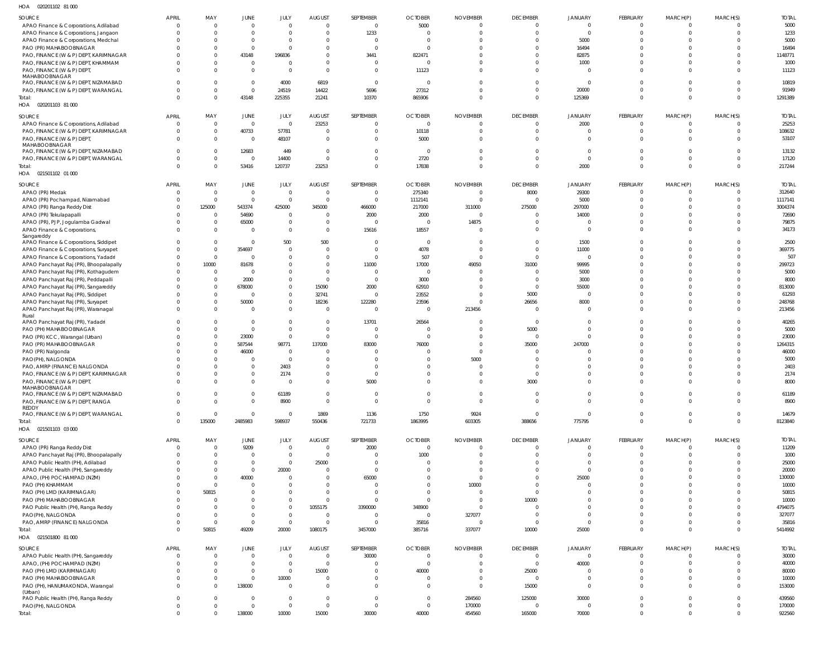| SOURCE                                        | APRIL                | MAY                              | JUNE                     | JULY                          | <b>AUGUST</b>                    | SEPTEMBER                      | <b>OCTOBER</b>    | <b>NOVEMBER</b>      | <b>DECEMBER</b>         | <b>JANUARY</b>    | FEBRUARY                   | MARCH(P)                      | MARCH(S)             | <b>TOTAL</b>     |
|-----------------------------------------------|----------------------|----------------------------------|--------------------------|-------------------------------|----------------------------------|--------------------------------|-------------------|----------------------|-------------------------|-------------------|----------------------------|-------------------------------|----------------------|------------------|
| APAO Finance & Corporations, Adilabad         | $\Omega$             | $\overline{0}$                   | $\overline{0}$           | $\overline{0}$                | $\overline{0}$                   | $\overline{0}$                 | 5000              | $\Omega$             | $\overline{0}$          | $\overline{0}$    | $\Omega$                   | $\overline{0}$                | $\Omega$             | 5000             |
| APAO Finance & Corporations, Jangaon          | $\Omega$             | $\Omega$                         | $\overline{0}$           | $\overline{0}$                | $\overline{0}$                   | 1233                           | $\Omega$          | $\Omega$             | $\overline{0}$          | $\overline{0}$    | $\Omega$                   | $\overline{0}$                | $\Omega$             | 1233             |
| APAO Finance & Corporations, Medchal          | $\Omega$             | $\Omega$                         | $\overline{0}$           | $\overline{0}$                | $\circ$                          | $\overline{0}$                 | $\Omega$          |                      | $\Omega$                | 5000              | $\Omega$                   | $\Omega$                      |                      | 5000             |
| PAO (PR) MAHABOOBNAGAR                        | - 0                  | $\Omega$                         | $\overline{0}$           | $\overline{0}$                | $\overline{0}$                   | $\overline{0}$                 |                   |                      | $\Omega$                | 16494             | $\Omega$                   | $\Omega$                      | $\Omega$             | 16494            |
| PAO, FINANCE (W & P) DEPT, KARIMNAGAR         | $\Omega$             | $\overline{0}$                   | 43148                    | 196836                        | $\overline{0}$                   | 3441                           | 822471            |                      | $\Omega$                | 82875             | $\Omega$                   | $\Omega$                      |                      | 1148771          |
| PAO, FINANCE (W & P) DEPT, KHAMMAM            | $\Omega$             | $\Omega$                         | $\overline{0}$           | $\overline{0}$                | $\overline{0}$                   | $\mathbf{0}$                   | $\Omega$          |                      | $\Omega$                | 1000              | $\Omega$                   | $\Omega$                      |                      | 1000             |
| PAO, FINANCE (W & P) DEPT,                    | $\Omega$             | $\Omega$                         | $\overline{0}$           | $\overline{0}$                | $\Omega$                         | $\overline{0}$                 | 11123             | $\Omega$             | $\Omega$                | $\overline{0}$    | $\Omega$                   | $\Omega$                      | $\Omega$             | 11123            |
| MAHABOOBNAGAR                                 | $\Omega$             | $\overline{0}$                   | $\overline{0}$           |                               |                                  | $\overline{0}$                 | $\Omega$          | $\cap$               | $\Omega$                | $\overline{0}$    | $\Omega$                   | $\Omega$                      | $\Omega$             |                  |
| PAO, FINANCE (W & P) DEPT, NIZAMABAD          | $\Omega$             | $\overline{0}$                   | $\overline{0}$           | 4000                          | 6819                             | 5696                           | 27312             | $\Omega$             | $\overline{0}$          | 20000             | $\Omega$                   | $\mathbf{0}$                  | $\Omega$             | 10819            |
| PAO, FINANCE (W & P) DEPT, WARANGAL<br>Total: | $\Omega$             | $\overline{0}$                   | 43148                    | 24519<br>225355               | 14422<br>21241                   | 10370                          | 865906            | $\Omega$             | $\Omega$                | 125369            | $\Omega$                   | $\overline{0}$                | $\Omega$             | 91949<br>1291389 |
| HOA<br>020201103 81 000                       |                      |                                  |                          |                               |                                  |                                |                   |                      |                         |                   |                            |                               |                      |                  |
|                                               |                      |                                  |                          |                               |                                  |                                |                   |                      |                         |                   |                            |                               |                      |                  |
| SOURCE                                        | APRIL                | MAY                              | JUNE                     | JULY                          | <b>AUGUST</b>                    | SEPTEMBER                      | <b>OCTOBER</b>    | <b>NOVEMBER</b>      | <b>DECEMBER</b>         | <b>JANUARY</b>    | FEBRUARY                   | MARCH(P)                      | MARCH(S)             | <b>TOTAL</b>     |
| APAO Finance & Corporations, Adilabad         | $\Omega$             | $\overline{0}$                   | $\overline{0}$           | $\overline{0}$                | 23253                            | $\overline{0}$                 | $\overline{0}$    | $\Omega$             | $\overline{0}$          | 2000              | $\overline{0}$             | $\overline{0}$                | $\Omega$             | 25253            |
| PAO, FINANCE (W & P) DEPT, KARIMNAGAR         | $\Omega$             | $\overline{0}$                   | 40733                    | 57781                         | $\overline{0}$                   | $\mathbf 0$                    | 10118             | $\Omega$             | $\overline{0}$          | $\overline{0}$    | $\Omega$                   | $\overline{0}$                | $\Omega$             | 108632           |
| PAO, FINANCE (W & P) DEPT,                    | $\Omega$             | $\overline{0}$                   | $\overline{0}$           | 48107                         | - 0                              | $\overline{0}$                 | 5000              | - 0                  | $\Omega$                | $\overline{0}$    | $\Omega$                   | $\overline{0}$                | $\Omega$             | 53107            |
| MAHABOOBNAGAR                                 | $\Omega$             | $\overline{0}$                   | 12683                    | 449                           | $\overline{0}$                   | $\overline{0}$                 | $\overline{0}$    |                      | $\Omega$                | $\overline{0}$    | $\Omega$                   | $\overline{0}$                | - 0                  | 13132            |
| PAO, FINANCE (W & P) DEPT, NIZAMABAD          | $\Omega$             | $\overline{0}$                   | $\overline{0}$           | 14400                         | $\overline{0}$                   | $\mathbf 0$                    | 2720              |                      | $\overline{0}$          | $\overline{0}$    | $\Omega$                   | $\overline{0}$                | $\Omega$             | 17120            |
| PAO, FINANCE (W & P) DEPT, WARANGAL<br>Total: | $\Omega$             | $\overline{0}$                   | 53416                    | 120737                        | 23253                            | $\mathbf{0}$                   | 17838             | $\Omega$             | $\Omega$                | 2000              | $\Omega$                   | $\overline{0}$                | $\Omega$             | 217244           |
| 021501102 01 000<br>HOA                       |                      |                                  |                          |                               |                                  |                                |                   |                      |                         |                   |                            |                               |                      |                  |
|                                               |                      |                                  |                          |                               |                                  |                                |                   |                      |                         |                   |                            |                               |                      |                  |
| SOURCE                                        | <b>APRIL</b>         | MAY                              | JUNE                     | JULY                          | <b>AUGUST</b>                    | SEPTEMBER                      | <b>OCTOBER</b>    | <b>NOVEMBER</b>      | <b>DECEMBER</b>         | <b>JANUARY</b>    | FEBRUARY                   | MARCH(P)                      | MARCH(S)             | <b>TOTAL</b>     |
| APAO (PR) Medak                               | $\Omega$             | $\overline{0}$                   | $\overline{0}$           | $\overline{0}$                | $\overline{0}$                   | $\mathbf 0$                    | 275340            | $\Omega$             | 8000                    | 29300             | $\Omega$                   | $\overline{0}$                | $\Omega$             | 312640           |
| APAO (PR) Pochampad, Nizamabad                | $\Omega$             | $\overline{0}$                   | $\overline{0}$           | $\overline{0}$                | $\overline{0}$                   | $\overline{0}$                 | 1112141           | $\overline{0}$       | $\overline{\mathbf{0}}$ | 5000              | $\Omega$                   | $\overline{0}$                | $\Omega$             | 1117141          |
| APAO (PR) Ranga Reddy Dist                    | $\Omega$             | 125000                           | 543374                   | 425000                        | 345000                           | 466000                         | 217000            | 311000               | 275000                  | 297000            | $\Omega$                   | $\Omega$                      | $\Omega$             | 3004374          |
| APAO (PR) Tekulapapalli                       | $\Omega$             | $\overline{0}$                   | 54690                    | $\overline{0}$                | $\circ$                          | 2000                           | 2000              | $\Omega$             | $\Omega$                | 14000             | $\Omega$                   | $\Omega$                      |                      | 72690            |
| APAO (PR), PJP, Jogulamba Gadwal              | $\Omega$             | $\overline{0}$                   | 65000                    | $\overline{0}$                | $\overline{0}$                   | $\Omega$                       | $\Omega$          | 14875                | $\Omega$                | $\Omega$          | $\Omega$                   | $\Omega$                      | $\Omega$             | 79875            |
| APAO Finance & Corporations,                  | $\Omega$             | $\overline{0}$                   | $\overline{0}$           | $\overline{0}$                | $\overline{0}$                   | 15616                          | 18557             | $\Omega$             | $\Omega$                | $\overline{0}$    | $\Omega$                   | $\Omega$                      | $\Omega$             | 34173            |
| Sangareddy                                    | $\Omega$             |                                  |                          |                               |                                  |                                |                   |                      | $\Omega$                |                   | $\Omega$                   | $\Omega$                      |                      | 2500             |
| APAO Finance & Corporations, Siddipet         |                      | $\overline{0}$                   | $\overline{0}$           | 500                           | 500                              | $\overline{0}$                 | $\overline{0}$    | $\Omega$             | $\Omega$                | 1500              | $\Omega$                   | $\Omega$                      |                      | 369775           |
| APAO Finance & Corporations, Suryapet         | $\Omega$<br>$\Omega$ | $\overline{0}$<br>$\overline{0}$ | 354697<br>$\overline{0}$ | $\overline{0}$<br>$\mathbf 0$ | $\overline{0}$                   | $\mathbf{0}$<br>$\overline{0}$ | 4078              | $\Omega$<br>$\Omega$ | $\Omega$                | 11000<br>$\Omega$ | $\Omega$                   | $\Omega$                      |                      | 507              |
| APAO Finance & Corporations, Yadadri          | $\Omega$             |                                  | 81678                    | $\overline{0}$                | $\overline{0}$<br>$\overline{0}$ | 11000                          | 507<br>17000      | 49050                | 31000                   | 99995             | $\Omega$                   | $\Omega$                      |                      | 299723           |
| APAO Panchayat Raj (PR), Bhoopalapally        | $\Omega$             | 10000<br>$\overline{0}$          | $\Omega$                 | $\mathbf{0}$                  | $\overline{0}$                   | $\overline{0}$                 | $\Omega$          |                      | $\Omega$                |                   | $\Omega$                   | $\Omega$                      |                      | 5000             |
| APAO Panchayat Raj (PR), Kothagudem           | - 0                  |                                  |                          | $\mathbf 0$                   | $\overline{0}$                   | $\overline{0}$                 |                   | $\Omega$             | - 0                     | 5000              | $\Omega$                   | $\Omega$                      |                      | 8000             |
| APAO Panchayat Raj (PR), Peddapalli           | $\Omega$             | $\overline{0}$<br>$\overline{0}$ | 2000                     | $\mathbf 0$                   |                                  | 2000                           | 3000              |                      | - 0                     | 3000<br>55000     | $\Omega$                   | $\Omega$                      |                      | 813000           |
| APAO Panchayat Raj (PR), Sangareddy           |                      | $\overline{0}$                   | 678000<br>$\overline{0}$ | $\mathbf 0$                   | 15090<br>32741                   | $\overline{0}$                 | 62910<br>23552    | $\Omega$             | 5000                    | $\overline{0}$    | $\Omega$                   | $\Omega$                      |                      | 61293            |
| APAO Panchayat Raj (PR), Siddipet             | $\Omega$             | $\overline{0}$                   | 50000                    | $\mathbf 0$                   | 18236                            |                                | 23596             | $\cap$               | 26656                   | 8000              | $\Omega$                   | $\Omega$                      |                      | 248768           |
| APAO Panchayat Raj (PR), Suryapet             | $\Omega$             | $\overline{0}$                   | $\overline{0}$           | $\mathbf 0$                   | $\overline{0}$                   | 122280<br>$\overline{0}$       | $\Omega$          | 213456               | - 0                     | $\overline{0}$    | $\Omega$                   | $\Omega$                      | $\Omega$             | 213456           |
| APAO Panchayat Raj (PR), Waranagal<br>Rural   |                      |                                  |                          |                               |                                  |                                |                   |                      |                         |                   |                            |                               |                      |                  |
| APAO Panchayat Raj (PR), Yadadri              | $\cap$               | $\overline{0}$                   | $\overline{0}$           | $\overline{0}$                | $\overline{0}$                   | 13701                          | 26564             |                      | $\overline{\mathbf{0}}$ | $\Omega$          | $\Omega$                   | $\Omega$                      |                      | 40265            |
| PAO (PH) MAHABOOBNAGAR                        |                      | $\overline{0}$                   | $\overline{0}$           | $\overline{0}$                | $\overline{0}$                   | $\overline{0}$                 | $\Omega$          | $\Omega$             | 5000                    | $\Omega$          | $\Omega$                   | $\Omega$                      |                      | 5000             |
|                                               |                      |                                  |                          |                               |                                  |                                |                   |                      |                         |                   |                            |                               |                      |                  |
| PAO (PR) KCC, Warangal (Urban)                |                      | $\overline{0}$                   | 23000                    | $\overline{0}$                | $\overline{0}$                   | $\overline{0}$                 | $\Omega$          | $\cap$               | - 0                     | $\Omega$          | $\Omega$                   | $\Omega$                      |                      | 23000            |
| PAO (PR) MAHABOOBNAGAR                        |                      | $\overline{0}$                   | 587544                   | 98771                         | 137000                           | 83000                          | 76000             | $\Omega$             | 35000                   | 247000            | $\Omega$                   | $\Omega$                      |                      | 1264315          |
| PAO (PR) Nalgonda                             |                      | $\Omega$                         | 46000                    | $\overline{0}$                | $\Omega$                         | $\Omega$                       |                   | $\Omega$             | $\Omega$                | $\cap$            | $\cap$                     | $\Omega$                      |                      | 46000            |
| PAO(PH), NALGONDA                             |                      | $\Omega$                         | $\overline{0}$           | $\overline{0}$                | $\overline{0}$                   | $\Omega$                       |                   | 5000                 | $\Omega$                | $\Omega$          | $\Omega$                   | $\Omega$                      |                      | 5000             |
| PAO, AMRP (FINANCE) NALGONDA                  | $\cap$               | $\Omega$                         | $\overline{0}$           | 2403                          | $\Omega$                         | <sup>0</sup>                   |                   | $\Omega$             | $\Omega$                | $\Omega$          | $\Omega$                   | $\Omega$                      |                      | 2403             |
| PAO, FINANCE (W & P) DEPT, KARIMNAGAR         | $\Omega$             | $\overline{0}$                   | $\Omega$                 | 2174                          | $\Omega$                         | $\Omega$                       | $\Omega$          | $\cap$               | $\Omega$                | $\Omega$          | $\Omega$                   | $\Omega$                      |                      | 2174             |
| PAO, FINANCE (W & P) DEPT.                    | $\overline{0}$       | $\overline{0}$                   | $\overline{0}$           | $\overline{0}$                | $\overline{0}$                   | 5000                           | $\mathbf{0}$      | $\Omega$             | 3000                    | $\overline{0}$    | $\Omega$                   | $\mathbf{0}$                  | $\Omega$             | 8000             |
| MAHABOOBNAGAR                                 |                      |                                  |                          |                               |                                  |                                |                   |                      |                         |                   |                            |                               |                      |                  |
| PAO, FINANCE (W & P) DEPT, NIZAMABAD          | $\Omega$             | $\overline{0}$                   | $\overline{0}$           | 61189                         | $\overline{0}$                   | $\mathbf 0$                    | $\Omega$          | $\Omega$             | $\overline{\mathbf{0}}$ | $\overline{0}$    | $\Omega$                   | $\overline{0}$                | $\Omega$             | 61189            |
| PAO, FINANCE (W & P) DEPT, RANGA              | $\Omega$             | $\overline{0}$                   | $\overline{0}$           | 8900                          | $\overline{0}$                   | $\overline{0}$                 | $\Omega$          | $\Omega$             | $\Omega$                | $\overline{0}$    | $\Omega$                   | $\Omega$                      | $\Omega$             | 8900             |
| REDDY                                         | $\Omega$             |                                  | $\overline{0}$           | $\overline{0}$                | 1869                             |                                |                   |                      | $\overline{0}$          | $\overline{0}$    | $\Omega$                   | $\overline{0}$                | $\Omega$             |                  |
| PAO, FINANCE (W & P) DEPT, WARANGAL<br>Total: | $\Omega$             | $\overline{0}$                   |                          |                               |                                  | 1136                           | 1750              | 9924                 |                         |                   | $\Omega$                   | $\overline{0}$                | $\Omega$             | 14679            |
|                                               |                      | 135000                           | 2485983                  | 598937                        | 550436                           | 721733                         | 1863995           | 603305               | 388656                  | 775795            |                            |                               |                      | 8123840          |
| HOA  021501103  03  000                       |                      |                                  |                          |                               |                                  |                                |                   |                      |                         |                   |                            |                               |                      |                  |
| SOURCE                                        | APRIL                | MAY                              | JUNE                     | JULY                          | <b>AUGUST</b>                    | SEPTEMBER                      | <b>OCTOBER</b>    | <b>NOVEMBER</b>      | <b>DECEMBER</b>         | <b>JANUARY</b>    | FEBRUARY                   | MARCH(P)                      | MARCH(S)             | <b>TOTAL</b>     |
| APAO (PR) Ranga Reddy Dist                    | $\Omega$             | $\overline{0}$                   | 9209                     | $\overline{0}$                | $\overline{0}$                   | 2000                           | $\overline{0}$    | $\Omega$             | $\overline{\mathbf{0}}$ | $\overline{0}$    | $\overline{0}$             | $\overline{0}$                | $\Omega$             | 11209            |
| APAO Panchayat Raj (PR), Bhoopalapally        | $\Omega$             | $\overline{0}$                   | $\overline{0}$           | $\overline{0}$                | $\overline{0}$                   | $\overline{0}$                 | 1000              | $\Omega$             | $\overline{0}$          | $\overline{0}$    | $\Omega$                   | $\overline{0}$                | $\Omega$             | 1000             |
| APAO Public Health (PH), Adilabad             | $\Omega$             | $\overline{0}$                   | $\overline{0}$           | $\overline{0}$                | 25000                            | $\overline{0}$                 | $\Omega$          | $\Omega$             | $\Omega$                | $\overline{0}$    | $\Omega$                   | $\overline{0}$                | $\Omega$             | 25000            |
| APAO Public Health (PH), Sangareddy           | $\Omega$             | $\overline{0}$                   | $\overline{0}$           | 20000                         | $\overline{0}$                   | $\overline{0}$                 |                   | $\Omega$             | $\overline{0}$          | $\overline{0}$    | $\Omega$                   | $\overline{0}$                |                      | 20000            |
| APAO, (PH) POCHAMPAD (NZM)                    | $\Omega$             | $\Omega$                         | 40000                    | $\overline{0}$                | $\overline{0}$                   | 65000                          | $\Omega$          | $\Omega$             | $\Omega$                | 25000             | $\Omega$                   | $\overline{0}$                | $\Omega$             | 130000           |
| PAO (PH) KHAMMAM                              | $\Omega$             | $\overline{0}$                   | $\overline{0}$           | $\overline{0}$                | $\overline{0}$                   | $\overline{0}$                 | $\Omega$          | 10000                | $\Omega$                | $\overline{0}$    | $\Omega$                   | $\overline{0}$                |                      | 10000            |
| PAO (PH) LMD (KARIMNAGAR)                     | $\Omega$             | 50815                            | $\overline{0}$           | $\overline{0}$                | $\overline{0}$                   | $\overline{0}$                 | $\Omega$          | $\Omega$             | $\overline{0}$          | $\Omega$          | $\Omega$                   | $\overline{0}$                |                      | 50815            |
| PAO (PH) MAHABOOBNAGAR                        | $\Omega$             | $\Omega$                         | $\mathbf 0$              | $\mathbf 0$                   | $\overline{0}$                   | $\mathbf{0}$                   | $\Omega$          | $\Omega$             | 10000                   | $\Omega$          | $\Omega$<br>$\Omega$       | $\overline{0}$                | $\Omega$<br>$\Omega$ | 10000            |
| PAO Public Health (PH), Ranga Reddy           | $\Omega$             | $\Omega$                         | $\mathbf 0$              | $\overline{0}$                | 1055175                          | 3390000                        | 348900            | $\Omega$             | - 0                     | $\Omega$          | $\Omega$                   | $\overline{0}$                |                      | 4794075          |
| PAO(PH), NALGONDA                             | $\Omega$<br>$\Omega$ | $\overline{0}$                   | $\overline{0}$           | $\overline{0}$                | $\overline{0}$                   | $\mathbf 0$                    | $\overline{0}$    | 327077<br>$\Omega$   | $\overline{0}$          | $\Omega$          | $\Omega$                   | $\overline{0}$                | $\Omega$             | 327077           |
| PAO, AMRP (FINANCE) NALGONDA                  | $\Omega$             | $\overline{0}$                   | $\overline{0}$           | $\overline{0}$                | $\overline{0}$                   | $\overline{0}$                 | 35816             |                      | $\overline{0}$          | $\overline{0}$    |                            | $\overline{0}$                | $\Omega$             | 35816            |
| Total:<br>HOA  021501800  81  000             |                      | 50815                            | 49209                    | 20000                         | 1080175                          | 3457000                        | 385716            | 337077               | 10000                   | 25000             | $\Omega$                   | $\overline{0}$                |                      | 5414992          |
| SOURCE                                        | <b>APRIL</b>         | MAY                              | JUNE                     | JULY                          | <b>AUGUST</b>                    | SEPTEMBER                      | <b>OCTOBER</b>    | <b>NOVEMBER</b>      | <b>DECEMBER</b>         | <b>JANUARY</b>    | FEBRUARY                   | MARCH(P)                      | MARCH(S)             | <b>TOTAL</b>     |
| APAO Public Health (PH), Sangareddy           | $\Omega$             | $\overline{0}$                   | $\overline{0}$           | $\overline{0}$                | $\overline{0}$                   | 30000                          | $\Omega$          | $\Omega$             | - 0                     | $\Omega$          | $\Omega$                   | $\overline{0}$                | $\Omega$             | 30000            |
| APAO, (PH) POCHAMPAD (NZM)                    | $\Omega$             | $\Omega$                         | $\mathbf 0$              | $\overline{0}$                | $\overline{0}$                   | $\overline{0}$                 | $\overline{0}$    | $\Omega$             | $\overline{0}$          | 40000             | $\Omega$                   | $\mathbf{0}$                  | $\Omega$             | 40000            |
| PAO (PH) LMD (KARIMNAGAR)                     | $\Omega$             | $\Omega$                         | $\overline{0}$           | $\overline{0}$                | 15000                            | $\mathbf{0}$                   | 40000             | $\Omega$             | 25000                   | $\Omega$          | $\Omega$                   | $\overline{0}$                | $\Omega$             | 80000            |
| PAO (PH) MAHABOOBNAGAR                        | $\Omega$             | $\overline{0}$                   | $\pmb{0}$                | 10000                         | $\overline{0}$                   | $\mathbf 0$                    | $\Omega$          | $\Omega$             | $\overline{\mathbf{0}}$ | $\overline{0}$    | $\Omega$                   | $\overline{0}$                | $\Omega$             | 10000            |
| PAO (PH), HANUMAKONDA, Warangal               | $\Omega$             | $\overline{0}$                   | 138000                   | $\overline{0}$                | $\Omega$                         | $\mathbf{0}$                   | $\Omega$          | $\Omega$             | 15000                   | $\Omega$          | $\Omega$                   | $\overline{0}$                | $\Omega$             | 153000           |
| (Urban)                                       |                      |                                  |                          |                               |                                  |                                |                   |                      |                         |                   |                            |                               |                      |                  |
| PAO Public Health (PH), Ranga Reddy           | $\Omega$             | $\overline{0}$                   | $\overline{0}$           | $\overline{0}$                | $\overline{0}$                   | $\mathbf{0}$                   | $\Omega$          | 284560               | 125000                  | 30000             | $\Omega$                   | $\Omega$                      |                      | 439560           |
| PAO(PH), NALGONDA<br>Total:                   | $\Omega$<br>$\Omega$ | $\overline{0}$<br>$\overline{0}$ | $\overline{0}$<br>138000 | $\overline{0}$<br>10000       | $\overline{0}$<br>15000          | $\mathbf{0}$<br>30000          | $\Omega$<br>40000 | 170000<br>454560     | $\Omega$<br>165000      | $\Omega$<br>70000 | $\Omega$<br>$\overline{0}$ | $\mathbf 0$<br>$\overline{0}$ | $\Omega$<br>$\Omega$ | 170000<br>922560 |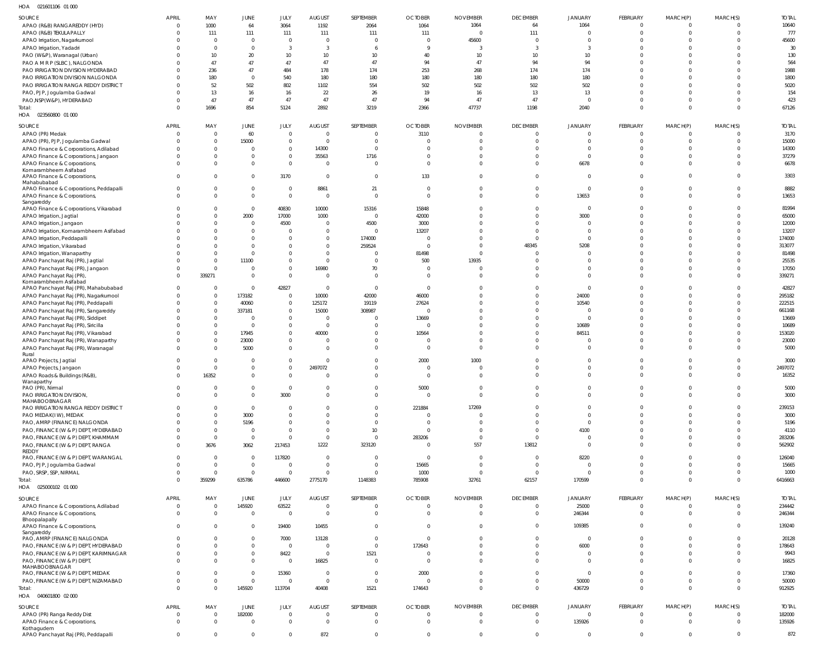021601106 01 000 HOA

| $\cdots$<br><b>PLICKLING</b> OF OOD               |              |                |                |                 |                 |                |                |                 |                 |                |                |                |                |              |
|---------------------------------------------------|--------------|----------------|----------------|-----------------|-----------------|----------------|----------------|-----------------|-----------------|----------------|----------------|----------------|----------------|--------------|
| SOURCE                                            | <b>APRIL</b> | MAY            | JUNE           | JULY            | <b>AUGUST</b>   | SEPTEMBER      | <b>OCTOBER</b> | <b>NOVEMBER</b> | <b>DECEMBER</b> | <b>JANUARY</b> | FEBRUARY       | MARCH(P)       | MARCH(S)       | <b>TOTAL</b> |
| APAO (R&B) RANGAREDDY (HYD)                       | $\Omega$     | 1000           | 64             | 3064            | 1192            | 2064           | 1064           | 1064            | 64              | 1064           | $\overline{0}$ | $\Omega$       | $\Omega$       | 10640        |
| APAO (R&B) TEKULAPALLY                            |              | 111            | 111            | 111             |                 | 111            | 111            | $\Omega$        | 111             | $\Omega$       | $\mathbf 0$    | $\Omega$       | $\Omega$       | 777          |
|                                                   |              |                |                |                 | 111             |                |                |                 |                 |                |                |                |                |              |
| APAO Irrigation, Nagarkurnool                     |              | $\overline{0}$ | $\mathbf 0$    | $\Omega$        | $\overline{0}$  | $\circ$        | $\Omega$       | 45600           | $\Omega$        | $\Omega$       | $\Omega$       | $\Omega$       | $\Omega$       | 45600        |
| APAO Irrigation, Yadadri                          |              | $\Omega$       | $\mathbf{0}$   | $\mathbf{3}$    | $\overline{3}$  | -6             | 9              | 3               | 3               | 3              | $\Omega$       | $\Omega$       | $\Omega$       | 30           |
| PAO (W&P), Waranagal (Urban)                      |              | 10             | 20             | 10 <sup>°</sup> | 10 <sup>°</sup> | 10             | 40             | 10              | 10              | 10             | $\Omega$       | $\Omega$       | $\Omega$       | 130          |
| PAO A M R P (SLBC), NALGONDA                      |              | 47             | 47             | 47              | 47              | 47             | 94             | 47              | 94              | 94             | $\Omega$       | $\Omega$       | $\Omega$       | 564          |
|                                                   |              |                |                |                 |                 |                |                |                 |                 |                |                |                |                |              |
| PAO IRRIGATION DIVISION HYDERABAD                 |              | 236            | 47             | 484             | 178             | 174            | 253            | 268             | 174             | 174            | $\Omega$       | $\Omega$       | $\Omega$       | 1988         |
| PAO IRRIGATION DIVISION NALGONDA                  |              | 180            | $\mathbf{0}$   | 540             | 180             | 180            | 180            | 180             | 180             | 180            | $\Omega$       | $\Omega$       | $\Omega$       | 1800         |
| PAO IRRIGATION RANGA REDDY DISTRICT               |              | 52             | 502            | 802             | 1102            | 554            | 502            | 502             | 502             | 502            | $\Omega$       | $\Omega$       | $\Omega$       | 5020         |
| PAO, PJP, Jogulamba Gadwal                        |              | 13             | 16             | 16              | 22              | 26             | 19             | 16              | 13              | 13             | $\Omega$       | $\Omega$       | $\Omega$       | 154          |
|                                                   |              |                |                |                 |                 |                |                |                 |                 |                |                |                |                |              |
| PAO, NSP(W&P), HYDERABAD                          |              | 47             | 47             | 47              | 47              | 47             | 94             | 47              | 47              | $\mathbf 0$    | $\Omega$       | $\Omega$       | $\Omega$       | 423          |
| Total:                                            | $\Omega$     | 1696           | 854            | 5124            | 2892            | 3219           | 2366           | 47737           | 1198            | 2040           | $\mathbf{0}$   | $\Omega$       | $\Omega$       | 67126        |
| HOA  023560800  01  000                           |              |                |                |                 |                 |                |                |                 |                 |                |                |                |                |              |
|                                                   |              |                |                |                 |                 |                |                |                 |                 |                |                |                |                |              |
| SOURCE                                            | <b>APRIL</b> | MAY            | JUNE           | JULY            | <b>AUGUST</b>   | SEPTEMBER      | <b>OCTOBER</b> | <b>NOVEMBER</b> | <b>DECEMBER</b> | JANUARY        | FEBRUARY       | MARCH(P)       | MARCH(S)       | <b>TOTAL</b> |
| APAO (PR) Medak                                   | $\Omega$     | $\overline{0}$ | 60             | $\overline{0}$  | $\overline{0}$  | $\circ$        | 3110           | $\overline{0}$  | $\Omega$        | $\mathbf 0$    | $\mathbf 0$    | $\overline{0}$ | $\overline{0}$ | 3170         |
|                                                   | $\Omega$     | $\mathbf 0$    | 15000          | $\Omega$        | $\overline{0}$  | $\circ$        | $\overline{0}$ | $\mathbf 0$     | $\Omega$        | $\mathbf{0}$   | $\mathbf{0}$   | $\Omega$       | $\overline{0}$ | 15000        |
| APAO (PR), PJP, Jogulamba Gadwal                  |              |                |                |                 |                 |                |                |                 |                 |                |                |                |                |              |
| APAO Finance & Corporations, Adilabad             |              | $\mathbf 0$    | $\mathbf 0$    | $\mathbf{0}$    | 14300           | $\circ$        | $\Omega$       | $\Omega$        | $\Omega$        | $\Omega$       | $\mathbf 0$    | $\Omega$       | $\Omega$       | 14300        |
| APAO Finance & Corporations, Jangaon              |              | $\Omega$       | $\mathbf 0$    | $\Omega$        | 35563           | 1716           | $\Omega$       | $\Omega$        | $\Omega$        | $\mathbf{0}$   | $\mathbf 0$    | $\Omega$       | $\Omega$       | 37279        |
| APAO Finance & Corporations,                      | <sup>0</sup> | $\Omega$       | $\mathbf 0$    | $\overline{0}$  | $\Omega$        | $\circ$        | $\Omega$       | $\Omega$        | $\Omega$        | 6678           | $\mathbf 0$    | $\Omega$       | $\Omega$       | 6678         |
| Komarambheem Asifabad                             |              |                |                |                 |                 |                |                |                 |                 |                |                |                |                |              |
| APAO Finance & Corporations,                      | $\Omega$     | $\mathbf 0$    | $\mathbf{0}$   | 3170            | $\overline{0}$  | $\overline{0}$ | 133            | $\Omega$        | $\Omega$        | $\mathbf{0}$   | $\overline{0}$ | $\Omega$       | $\Omega$       | 3303         |
| Mahabubabad                                       |              |                |                |                 |                 |                |                |                 |                 |                |                |                |                |              |
| APAO Finance & Corporations, Peddapalli           | 0            | $\overline{0}$ | $\overline{0}$ | $\Omega$        | 8861            | 21             | $\overline{0}$ | $\overline{0}$  | $\Omega$        | $\overline{0}$ | $\mathbf 0$    | $\Omega$       | $\overline{0}$ | 8882         |
|                                                   |              |                |                |                 |                 |                |                |                 |                 |                |                |                |                |              |
| APAO Finance & Corporations,                      | $\Omega$     | $\Omega$       | $\mathbf 0$    | $\overline{0}$  | $\overline{0}$  | $\overline{0}$ | $\overline{0}$ | $\Omega$        | $\Omega$        | 13653          | $\mathbf 0$    | $\Omega$       | $\Omega$       | 13653        |
| Sangareddy                                        |              |                |                |                 |                 |                |                |                 |                 |                |                |                |                |              |
| APAO Finance & Corporations, Vikarabad            |              | $\overline{0}$ | $\mathbf 0$    | 40830           | 10000           | 15316          | 15848          | $\Omega$        | $\Omega$        | $\overline{0}$ | $\overline{0}$ | $\Omega$       | $\overline{0}$ | 81994        |
| APAO Irrigation, Jagtial                          |              | $\mathbf{0}$   | 2000           | 17000           | 1000            | $\overline{0}$ | 42000          | $\Omega$        | $\Omega$        | 3000           | $\overline{0}$ | $\Omega$       | $\Omega$       | 65000        |
| APAO Irrigation, Jangaon                          |              | $\mathbf{0}$   | $\overline{0}$ | 4500            | $\overline{0}$  | 4500           | 3000           | $\Omega$        | $\Omega$        | $\mathbf 0$    | $\mathbf 0$    | $\Omega$       | $\Omega$       | 12000        |
| APAO Irrigation, Komarambheem Asifabad            |              | $\Omega$       | $\mathbf 0$    | $\Omega$        | $\overline{0}$  | $\overline{0}$ | 13207          | $\Omega$        | $\Omega$        | $\mathbf{0}$   | $\Omega$       | $\Omega$       | $\Omega$       | 13207        |
|                                                   |              |                |                |                 |                 |                |                |                 |                 |                |                |                |                |              |
| APAO Irrigation, Peddapalli                       |              | $\Omega$       | $\mathbf 0$    | $\Omega$        | $\overline{0}$  | 174000         | $\Omega$       | $\Omega$        | $\Omega$        | $\overline{0}$ | $\Omega$       | $\Omega$       | $\Omega$       | 174000       |
| APAO Irrigation, Vikarabad                        |              | $\Omega$       | $\mathbf 0$    | $\Omega$        | $\Omega$        | 259524         | $\overline{0}$ | $\overline{0}$  | 48345           | 5208           | $\Omega$       | $\Omega$       | $\Omega$       | 313077       |
| APAO Irrigation, Wanaparthy                       |              | $\mathbf{0}$   | $\mathbf 0$    | $\Omega$        | $\overline{0}$  | $\circ$        | 81498          | $\Omega$        | $\Omega$        | $\Omega$       | $\Omega$       | $\Omega$       | $\Omega$       | 81498        |
|                                                   |              | $\overline{0}$ |                | $\Omega$        |                 |                |                |                 | $\Omega$        | $\Omega$       | $\Omega$       | $\Omega$       | $\Omega$       | 25535        |
| APAO Panchayat Raj (PR), Jagtial                  |              |                | 11100          |                 | $\overline{0}$  | $\circ$        | 500            | 13935           |                 |                |                |                |                |              |
| APAO Panchayat Raj (PR), Jangaon                  | $\Omega$     | $\overline{0}$ | $\mathbf 0$    | $\mathbf{0}$    | 16980           | 70             | $\overline{0}$ | $\overline{0}$  | $\Omega$        | $\Omega$       | $\mathbf{0}$   | $\Omega$       | $\Omega$       | 17050        |
| APAO Panchayat Raj (PR),                          | $\Omega$     | 339271         | $\mathbf 0$    | $\Omega$        | $\overline{0}$  | $\overline{0}$ | $\Omega$       | $\Omega$        | $\Omega$        | $\Omega$       | $\Omega$       | $\Omega$       | $\Omega$       | 339271       |
| Komarambheem Asifabad                             |              |                |                |                 |                 |                |                |                 |                 |                |                |                |                |              |
| APAO Panchayat Raj (PR), Mahabubabad              | $\Omega$     | $\overline{0}$ | $\mathbf{0}$   | 42827           | $\overline{0}$  | $\overline{0}$ | $\overline{0}$ | $\Omega$        | $\Omega$        | $\mathbf 0$    | $\Omega$       | $\Omega$       | $\overline{0}$ | 42827        |
| APAO Panchayat Raj (PR), Nagarkurnool             | $\Omega$     | $\mathbf 0$    | 173182         | $\Omega$        | 10000           | 42000          | 46000          | $\Omega$        | $\Omega$        | 24000          | $\Omega$       | $\Omega$       | $\Omega$       | 295182       |
|                                                   |              |                |                |                 |                 |                |                |                 |                 |                |                |                |                |              |
| APAO Panchayat Raj (PR), Peddapalli               |              | $\mathbf{0}$   | 40060          | $\mathbf{0}$    | 125172          | 19119          | 27624          | $\Omega$        | $\Omega$        | 10540          | $\Omega$       | $\Omega$       | $\Omega$       | 222515       |
| APAO Panchayat Raj (PR), Sangareddy               |              | $\mathbf{0}$   | 337181         | $\overline{0}$  | 15000           | 308987         | $\overline{0}$ | $\Omega$        | $\Omega$        | 0              | $\Omega$       | $\Omega$       | $\Omega$       | 661168       |
| APAO Panchayat Raj (PR), Siddipet                 |              | $\mathbf{0}$   | $\overline{0}$ | $\mathbf 0$     | $\overline{0}$  | $\Omega$       | 13669          | $\Omega$        | $\Omega$        | $\Omega$       | $\Omega$       | $\Omega$       | $\Omega$       | 13669        |
| APAO Panchayat Raj (PR), Siricilla                |              | $\mathbf{0}$   | $\mathbf{0}$   | $\Omega$        | $\overline{0}$  | $\Omega$       | $\Omega$       | $\Omega$        | $\Omega$        | 10689          | $\Omega$       | $\Omega$       | $\Omega$       | 10689        |
|                                                   |              |                |                |                 |                 |                |                |                 |                 |                |                |                |                |              |
| APAO Panchayat Raj (PR), Vikarabad                |              | $\mathbf 0$    | 17945          | $\mathbf 0$     | 40000           | $\mathbf{0}$   | 10564          | $\Omega$        | $\Omega$        | 84511          | $\Omega$       | $\Omega$       | $\Omega$       | 153020       |
| APAO Panchayat Raj (PR), Wanaparthy               |              | $\mathbf{0}$   | 23000          | $\Omega$        | $\overline{0}$  | $\Omega$       | $\overline{0}$ | $\Omega$        | $\Omega$        | $\mathbf 0$    | $\Omega$       | $\Omega$       | $\Omega$       | 23000        |
| APAO Panchayat Raj (PR), Waranagal                |              | $\mathbf 0$    | 5000           | $\Omega$        | $\Omega$        | $\Omega$       | $\Omega$       | $\Omega$        | $\Omega$        | $\Omega$       | $\Omega$       | $\Omega$       | $\Omega$       | 5000         |
| Rural                                             |              |                |                |                 |                 |                |                |                 |                 |                |                |                |                |              |
| APAO Projects, Jagtial                            |              | $\overline{0}$ | $\mathbf 0$    | $\Omega$        | $\overline{0}$  | $\Omega$       | 2000           | 1000            | $\Omega$        | $\Omega$       | $\Omega$       | $\Omega$       | $\Omega$       | 3000         |
|                                                   | $\Omega$     | $\overline{0}$ |                | $\Omega$        | 2497072         | $\Omega$       | $\Omega$       | $\Omega$        | $\Omega$        | $\Omega$       | $\mathbf{0}$   | $\Omega$       | $\Omega$       | 2497072      |
| APAO Projects, Jangaon                            |              |                | $\mathbf 0$    |                 |                 |                |                |                 |                 |                |                |                |                |              |
| APAO Roads & Buildings (R&B),                     | $\Omega$     | 16352          | $\mathbf{0}$   | $\Omega$        | $\overline{0}$  | $\Omega$       | $\Omega$       | $\Omega$        | $\Omega$        | $\Omega$       | $\Omega$       | $\Omega$       | $\Omega$       | 16352        |
| wanapartny                                        |              |                |                |                 |                 |                |                |                 |                 |                |                |                |                |              |
| PAO (PR), Nirmal                                  | 0            | $\overline{0}$ | $\overline{0}$ | $\Omega$        | $\overline{0}$  | - 0            | 5000           | $\overline{0}$  | $\Omega$        | 0              | $\mathbf 0$    | 0              | $\overline{0}$ | 5000         |
| PAO IRRIGATION DIVISION,                          | $\mathbf 0$  | $\mathbf 0$    | $\mathbf 0$    | 3000            | $\overline{0}$  | $\overline{0}$ | $\overline{0}$ | $\overline{0}$  | $\Omega$        | $\mathbf 0$    | $\mathbf 0$    | $\overline{0}$ | $\mathbf{0}$   | 3000         |
| MAHABOOBNAGAR                                     |              |                |                |                 |                 |                |                |                 |                 |                |                |                |                |              |
| PAO IRRIGATION RANGA REDDY DISTRICT               |              | $\Omega$       | $\mathbf 0$    | $\Omega$        | $\mathbf 0$     | $\Omega$       | 221884         | 17269           | $\Omega$        | $\Omega$       | $\mathbf 0$    | $\Omega$       | $\Omega$       | 239153       |
|                                                   |              | $\overline{0}$ | 3000           | $\Omega$        | $\Omega$        | $\Omega$       | $\overline{0}$ | $\Omega$        | $\Omega$        | $\Omega$       | $\Omega$       | $\Omega$       | $\Omega$       | 3000         |
| PAO MEDAK(IW), MEDAK                              |              |                |                |                 |                 |                |                |                 |                 |                |                |                |                |              |
| PAO, AMRP (FINANCE) NALGONDA                      |              | $\mathbf{0}$   | 5196           | $\Omega$        | $\overline{0}$  | $\Omega$       | $\overline{0}$ | $\Omega$        | $\Omega$        | $\mathbf{0}$   | $\mathbf 0$    | $\Omega$       | $\Omega$       | 5196         |
| PAO, FINANCE (W & P) DEPT, HYDERABAD              |              | $\overline{0}$ | $\mathbf{0}$   | $\Omega$        | $\overline{0}$  | 10             | $\overline{0}$ | $\Omega$        | $\Omega$        | 4100           | $\Omega$       | $\Omega$       | $\Omega$       | 4110         |
| PAO, FINANCE (W & P) DEPT, KHAMMAM                |              | $\mathbf{0}$   | $\mathbf 0$    | $\Omega$        | $\overline{0}$  | $\overline{0}$ | 283206         | $\mathbf{0}$    | $\Omega$        | $\overline{0}$ | $\mathbf{0}$   | $\overline{0}$ | $\overline{0}$ | 283206       |
| PAO, FINANCE (W & P) DEPT, RANGA                  | $\Omega$     | 3676           | 3062           | 217453          | 1222            | 323120         | $\overline{0}$ | 557             | 13812           | $\overline{0}$ | $\mathbf 0$    | $\overline{0}$ | $\overline{0}$ | 562902       |
| REDDY                                             |              |                |                |                 |                 |                |                |                 |                 |                |                |                |                |              |
| PAO, FINANCE (W & P) DEPT, WARANGAL               | $\Omega$     | $\overline{0}$ | $\overline{0}$ | 117820          | $\overline{0}$  | - 0            | $\overline{0}$ | 0               | $\mathbf{0}$    | 8220           | $\mathbf 0$    | $\overline{0}$ | $\Omega$       | 126040       |
|                                                   | $\Omega$     | $\overline{0}$ | $\mathbf 0$    | $\Omega$        | $\overline{0}$  | $\Omega$       |                | $\Omega$        | $\Omega$        |                | $\Omega$       | $\Omega$       | $\Omega$       |              |
| PAO, PJP, Jogulamba Gadwal                        |              |                |                |                 |                 |                | 15665          |                 |                 | $\overline{0}$ |                |                |                | 15665        |
| PAO, SRSP, SSP, NIRMAL                            | $\Omega$     | $\mathbf{0}$   | $\mathbb O$    | $\overline{0}$  | $\overline{0}$  | $\Omega$       | 1000           | $\overline{0}$  | $\overline{0}$  | $\overline{0}$ | $\overline{0}$ | $\overline{0}$ | $\overline{0}$ | 1000         |
| Total:                                            | $\Omega$     | 359299         | 635786         | 446600          | 2775170         | 1148383        | 785908         | 32761           | 62157           | 170599         | $\mathbf 0$    | $\Omega$       | $\overline{0}$ | 6416663      |
| HOA  025000102  01 000                            |              |                |                |                 |                 |                |                |                 |                 |                |                |                |                |              |
|                                                   |              |                |                |                 |                 |                |                |                 |                 |                |                |                |                |              |
| SOURCE                                            | <b>APRIL</b> | MAY            | JUNE           | JULY            | <b>AUGUST</b>   | SEPTEMBER      | <b>OCTOBER</b> | <b>NOVEMBER</b> | <b>DECEMBER</b> | <b>JANUARY</b> | FEBRUARY       | MARCH(P)       | MARCH(S)       | <b>TOTAL</b> |
| APAO Finance & Corporations, Adilabad             | $\mathbf 0$  | $\overline{0}$ | 145920         | 63522           | $\overline{0}$  | $\overline{0}$ | $\overline{0}$ | $\overline{0}$  | $\Omega$        | 25000          | $\overline{0}$ | $\overline{0}$ | $\Omega$       | 234442       |
| APAO Finance & Corporations,                      | $\Omega$     | $\Omega$       | $\mathbf{0}$   | $\Omega$        | $\overline{0}$  | $\Omega$       | $\Omega$       | $\Omega$        | $\Omega$        | 246344         | $\mathbf{0}$   | $\Omega$       | $\Omega$       | 246344       |
|                                                   |              |                |                |                 |                 |                |                |                 |                 |                |                |                |                |              |
| Bhoopalapally                                     | $\Omega$     | $\Omega$       |                |                 | 10455           | $\Omega$       | $\Omega$       | $\Omega$        | $\Omega$        |                | $\Omega$       | $\Omega$       | $\Omega$       | 139240       |
| APAO Finance & Corporations,                      |              |                | $\mathbf 0$    | 19400           |                 |                |                |                 |                 | 109385         |                |                |                |              |
| Sangareddy                                        |              |                |                |                 |                 |                |                |                 |                 |                |                |                |                |              |
| PAO, AMRP (FINANCE) NALGONDA                      | $\Omega$     | $\Omega$       | $\Omega$       | 7000            | 13128           | $\Omega$       | $\overline{0}$ | $\Omega$        | $\Omega$        | $\Omega$       | $\Omega$       | $\Omega$       | $\Omega$       | 20128        |
| PAO, FINANCE (W & P) DEPT, HYDERABAD              |              | $\Omega$       | $\mathbf 0$    | $\Omega$        | $\overline{0}$  | $\overline{0}$ | 172643         | $\Omega$        | $\Omega$        | 6000           | $\Omega$       | $\Omega$       | $\Omega$       | 178643       |
| PAO, FINANCE (W & P) DEPT, KARIMNAGAR             | $\Omega$     | $\Omega$       | $\mathbf 0$    | 8422            | $\overline{0}$  | 1521           | - 0            | $\Omega$        | $\Omega$        | $\mathbf 0$    | $\overline{0}$ | $\overline{0}$ | $\Omega$       | 9943         |
| PAO, FINANCE (W & P) DEPT,                        |              | $\Omega$       | $\Omega$       | $\Omega$        | 16825           | $\Omega$       | - 0            | $\Omega$        | $\Omega$        | $\overline{0}$ | $\Omega$       | $\Omega$       | $\Omega$       | 16825        |
|                                                   |              |                |                |                 |                 |                |                |                 |                 |                |                |                |                |              |
| MAHABOOBNAGAR                                     |              |                | $\Omega$       |                 |                 |                |                |                 |                 |                |                |                |                |              |
| PAO, FINANCE (W & P) DEPT, MEDAK                  | $\Omega$     | $\Omega$       |                | 15360           | $\overline{0}$  | $\overline{0}$ | 2000           | $\Omega$        | $\Omega$        | $\overline{0}$ | $\Omega$       | $\Omega$       | $\Omega$       | 17360        |
| PAO, FINANCE (W & P) DEPT, NIZAMABAD              | $\Omega$     | $\mathbf{0}$   | $\mathbf{0}$   | $\Omega$        | $\overline{0}$  | $\overline{0}$ | $\overline{0}$ | $\Omega$        | $\Omega$        | 50000          | $\mathbf{0}$   | $\overline{0}$ | $\overline{0}$ | 50000        |
| Total:                                            | $\Omega$     | $\Omega$       | 145920         | 113704          | 40408           | 1521           | 174643         | $\Omega$        | $\Omega$        | 436729         | $\mathbf{0}$   | $\Omega$       | $\Omega$       | 912925       |
| HOA  040601800  02  000                           |              |                |                |                 |                 |                |                |                 |                 |                |                |                |                |              |
|                                                   |              |                |                |                 |                 |                |                |                 |                 |                |                |                |                |              |
| SOURCE                                            | <b>APRIL</b> | MAY            | JUNE           | JULY            | <b>AUGUST</b>   | SEPTEMBER      | <b>OCTOBER</b> | <b>NOVEMBER</b> | <b>DECEMBER</b> | JANUARY        | FEBRUARY       | MARCH(P)       | MARCH(S)       | <b>TOTAL</b> |
| APAO (PR) Ranga Reddy Dist                        | $\mathbf 0$  | $\overline{0}$ | 182000         | $\overline{0}$  | $\overline{0}$  | $\overline{0}$ | $\overline{0}$ | $\overline{0}$  | $\Omega$        | $\mathbf 0$    | $\overline{0}$ | $\overline{0}$ | $\overline{0}$ | 182000       |
| APAO Finance & Corporations,                      | $\Omega$     | $\mathbf{0}$   | $\overline{0}$ | $\Omega$        | $\Omega$        | $\Omega$       | $\Omega$       | $\Omega$        | $\Omega$        | 135926         | $\mathbf{0}$   | $\Omega$       | $\Omega$       | 135926       |
|                                                   |              |                |                |                 |                 |                |                |                 |                 |                |                |                |                |              |
| Kothagudem<br>APAO Panchayat Raj (PR), Peddapalli | $\mathbf 0$  | $\mathbf 0$    | $\mathbf 0$    | $\mathbf 0$     | 872             | $\overline{0}$ | $\overline{0}$ | $\mathbf 0$     | $\mathbf 0$     | $\overline{0}$ | $\mathbf 0$    | $\overline{0}$ | $\overline{0}$ | 872          |
|                                                   |              |                |                |                 |                 |                |                |                 |                 |                |                |                |                |              |
|                                                   |              |                |                |                 |                 |                |                |                 |                 |                |                |                |                |              |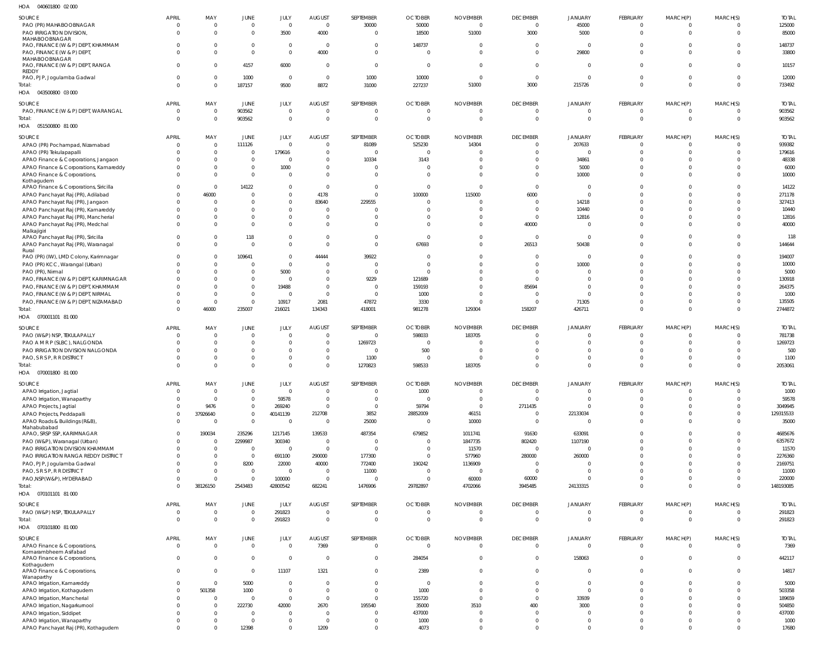| HOA<br>040601800 02 000                                                   |                      |                                  |                               |                                  |                            |                                |                          |                                  |                        |                            |                      |                                  |                      |                 |
|---------------------------------------------------------------------------|----------------------|----------------------------------|-------------------------------|----------------------------------|----------------------------|--------------------------------|--------------------------|----------------------------------|------------------------|----------------------------|----------------------|----------------------------------|----------------------|-----------------|
| SOURCE                                                                    | APRIL                | MAY                              | JUNE                          | JULY                             | <b>AUGUST</b>              | SEPTEMBER                      | <b>OCTOBER</b>           | <b>NOVEMBER</b>                  | <b>DECEMBER</b>        | <b>JANUARY</b>             | FEBRUARY             | MARCH(P)                         | MARCH(S)             | <b>TOTAL</b>    |
| PAO (PR) MAHABOOBNAGAR                                                    | $\Omega$             | $\overline{0}$                   | $\mathbf 0$                   | $\overline{0}$                   | $\overline{0}$             | 30000                          | 50000                    | $\overline{0}$                   | $\overline{0}$         | 45000                      | $\Omega$             | $\overline{0}$                   | $\Omega$             | 125000          |
| PAO IRRIGATION DIVISION,                                                  | $\cap$               | $\Omega$                         | $\mathbf 0$                   | 3500                             | 4000                       | $\overline{0}$                 | 18500                    | 51000                            | 3000                   | 5000                       | $\overline{0}$       | $\overline{0}$                   | $\Omega$             | 85000           |
| MAHABOOBNAGAR                                                             |                      |                                  |                               |                                  |                            |                                |                          |                                  |                        |                            |                      |                                  |                      |                 |
| PAO, FINANCE (W & P) DEPT, KHAMMAM<br>PAO, FINANCE (W & P) DEPT           |                      | $\Omega$<br>$\Omega$             | $\mathbf 0$<br>$\mathbf 0$    | $^{\circ}$<br>$\overline{0}$     | $\overline{0}$<br>4000     | $\overline{0}$<br>$\mathbf{0}$ | 148737<br>$\overline{0}$ | $\overline{0}$<br>$\overline{0}$ | $\Omega$<br>$\Omega$   | $\overline{0}$<br>29800    | $\Omega$<br>$\Omega$ | $\overline{0}$<br>$\Omega$       | $\Omega$<br>$\Omega$ | 148737<br>33800 |
| MAHABOOBNAGAR                                                             |                      |                                  |                               |                                  |                            |                                |                          |                                  |                        |                            |                      |                                  |                      |                 |
| PAO, FINANCE (W & P) DEPT, RANGA                                          |                      | $\Omega$                         | 4157                          | 6000                             | $\Omega$                   | $\overline{0}$                 | $\overline{0}$           | $\overline{0}$                   | $\Omega$               | $\overline{0}$             | $\Omega$             | $\Omega$                         | $\Omega$             | 10157           |
| REDDY                                                                     |                      |                                  |                               |                                  |                            |                                |                          |                                  |                        |                            |                      |                                  |                      |                 |
| PAO, PJP, Jogulamba Gadwal<br>Total:                                      | $\Omega$             | $\mathbf 0$<br>$\Omega$          | 1000                          | $\overline{0}$                   | $\overline{0}$<br>8872     | 1000                           | 10000                    | $\overline{0}$<br>51000          | $\overline{0}$<br>3000 | $\overline{0}$<br>215726   | $\Omega$<br>$\Omega$ | $\overline{0}$<br>$\overline{0}$ | $\Omega$<br>$\Omega$ | 12000<br>733492 |
| HOA  043500800  03  000                                                   |                      |                                  | 187157                        | 9500                             |                            | 31000                          | 227237                   |                                  |                        |                            |                      |                                  |                      |                 |
|                                                                           |                      |                                  |                               |                                  |                            |                                |                          |                                  |                        |                            |                      |                                  |                      |                 |
| SOURCE                                                                    | <b>APRIL</b>         | MAY                              | JUNE                          | JULY                             | <b>AUGUST</b>              | SEPTEMBER                      | <b>OCTOBER</b>           | <b>NOVEMBER</b>                  | <b>DECEMBER</b>        | <b>JANUARY</b>             | FEBRUARY             | MARCH(P)                         | MARCH(S)             | <b>TOTAL</b>    |
| PAO, FINANCE (W & P) DEPT, WARANGAL                                       | $\Omega$             | $\Omega$                         | 903562                        | $\mathbf 0$                      | $\Omega$                   | $\overline{0}$                 | 0                        | $\overline{0}$                   | $\overline{0}$         | $\overline{0}$             | $\overline{0}$       | $\overline{0}$                   |                      | 903562          |
| Total:                                                                    |                      | $\overline{0}$                   | 903562                        | $\overline{0}$                   | $\Omega$                   | $\overline{0}$                 | $\overline{0}$           | $\overline{0}$                   | $\overline{0}$         | $\overline{0}$             | $\Omega$             | $\overline{0}$                   | $\overline{0}$       | 903562          |
| HOA  051500800  81 000                                                    |                      |                                  |                               |                                  |                            |                                |                          |                                  |                        |                            |                      |                                  |                      |                 |
| SOURCE                                                                    | APRIL                | MAY                              | JUNE                          | JULY                             | <b>AUGUST</b>              | SEPTEMBER                      | <b>OCTOBER</b>           | <b>NOVEMBER</b>                  | <b>DECEMBER</b>        | <b>JANUARY</b>             | FEBRUARY             | MARCH(P)                         | MARCH(S)             | <b>TOTAL</b>    |
| APAO (PR) Pochampad, Nizamabad                                            | $\Omega$             | $\Omega$                         | 111126                        | $\overline{0}$                   | $\Omega$                   | 81089                          | 525230                   | 14304                            | $\Omega$               | 207633                     | $\Omega$             | $\overline{0}$                   | $\Omega$             | 939382          |
| APAO (PR) Tekulapapalli                                                   |                      | $\overline{0}$                   | $\mathbf 0$                   | 179616                           | $\Omega$                   | $\Omega$                       | $\overline{0}$           | C                                | $\Omega$               | $\Omega$                   | $\Omega$             | $\overline{0}$                   | $\Omega$             | 179616          |
| APAO Finance & Corporations, Jangaon                                      |                      | $\Omega$                         | $\mathbf 0$                   | $\overline{0}$                   | $\Omega$                   | 10334                          | 3143                     | $\Omega$                         | $\Omega$               | 34861                      | $\Omega$             | $\Omega$                         |                      | 48338           |
| APAO Finance & Corporations, Kamareddy                                    |                      | $\mathbf{0}$                     | $\mathbf 0$                   | 1000                             | $\Omega$                   | $\Omega$                       | $\Omega$                 | $\Omega$                         | $\Omega$               | 5000                       | $\Omega$             | $\Omega$                         | $\Omega$             | 6000            |
| APAO Finance & Corporations,<br>Kothagudem                                |                      | $\Omega$                         | $\mathbf 0$                   | $\Omega$                         | $\Omega$                   | $\Omega$                       | $\Omega$                 | $\Omega$                         | $\Omega$               | 10000                      | $\Omega$             | $\Omega$                         |                      | 10000           |
| APAO Finance & Corporations, Siricilla                                    | $\Omega$             | $\Omega$                         | 14122                         | $^{\circ}$                       | $\overline{0}$             | $\overline{0}$                 | $\Omega$                 | $\Omega$                         | $\overline{0}$         | $\overline{0}$             | $\Omega$             | $\Omega$                         | $\Omega$             | 14122           |
| APAO Panchayat Raj (PR), Adilabad                                         |                      | 46000                            | $\Omega$                      | $\mathbf 0$                      | 4178                       | $\overline{0}$                 | 100000                   | 115000                           | 6000                   | $\overline{0}$             | $\Omega$             | $\Omega$                         |                      | 271178          |
| APAO Panchayat Raj (PR), Jangaon                                          |                      | $\Omega$                         | $\Omega$                      | $\overline{0}$                   | 83640                      | 229555                         | $\Omega$                 | $\Omega$                         | $\Omega$               | 14218                      | $\Omega$             | $\Omega$                         | $\Omega$             | 327413          |
| APAO Panchayat Raj (PR), Kamareddy                                        |                      | $\Omega$                         | $\mathbf 0$                   | $\mathbf 0$                      | $\Omega$                   | $\Omega$                       | $\Omega$                 | $\Omega$                         | $\Omega$               | 10440                      | $\Omega$             | $\Omega$                         |                      | 10440           |
| APAO Panchayat Raj (PR), Mancherial                                       |                      | $\Omega$                         | $\mathbf 0$                   | $\mathbf 0$                      | $\Omega$                   | $\Omega$                       | $\Omega$                 | $\Omega$                         | $\Omega$               | 12816                      | $\Omega$             | $\Omega$                         |                      | 12816           |
| APAO Panchayat Raj (PR), Medchal                                          |                      | $\Omega$                         | $\mathbf 0$                   | $\Omega$                         | $\Omega$                   | $\Omega$                       | $\Omega$                 | $\Omega$                         | 40000                  | $\overline{0}$             | $\Omega$             | $\Omega$                         |                      | 40000           |
| Malkajigiri<br>APAO Panchayat Raj (PR), Siricilla                         |                      | $\Omega$                         | 118                           | $\mathbf 0$                      | $\Omega$                   | $\overline{0}$                 | $\Omega$                 | $\mathbf{0}$                     | $\overline{0}$         | $\overline{0}$             | $\Omega$             | $\overline{0}$                   | $\Omega$             | 118             |
| APAO Panchayat Raj (PR), Waranagal                                        |                      | $\Omega$                         | $\mathbf 0$                   | $\Omega$                         | $\Omega$                   | $\overline{0}$                 | 67693                    | $\mathbf{0}$                     | 26513                  | 50438                      | $\Omega$             | $\Omega$                         | $\Omega$             | 144644          |
| Rural                                                                     |                      |                                  |                               |                                  |                            |                                |                          |                                  |                        |                            |                      |                                  |                      |                 |
| PAO (PR) (IW), LMD Colony, Karimnagar                                     |                      | $\Omega$                         | 109641                        | $\overline{0}$                   | 44444                      | 39922                          | $\Omega$                 | $\Omega$                         | $\Omega$               | $\overline{0}$             | $\Omega$             | $\Omega$                         | $\Omega$             | 194007          |
| PAO (PR) KCC, Warangal (Urban)                                            |                      | $\Omega$                         | $\Omega$                      | $\overline{0}$                   | $\Omega$                   | $\Omega$                       | $\Omega$                 | $\Omega$                         | $\Omega$               | 10000                      | $\Omega$             | $\Omega$                         |                      | 10000           |
| PAO (PR), Nirmal                                                          |                      | $\Omega$                         | $\mathbf 0$                   | 5000                             | $\Omega$                   | $\Omega$                       | $\Omega$                 | $\Omega$                         | $\Omega$               | $\Omega$                   | $\Omega$             | $\Omega$                         |                      | 5000            |
| PAO, FINANCE (W & P) DEPT, KARIMNAGAR                                     |                      | <sup>0</sup>                     | $\mathbf 0$                   | $\overline{0}$                   | $\Omega$                   | 9229                           | 121689                   | $\Omega$                         | $\Omega$               | $\Omega$                   | $\Omega$             | $\Omega$                         |                      | 130918          |
| PAO, FINANCE (W & P) DEPT, KHAMMAM                                        |                      | $\Omega$<br>$\Omega$             | $\mathbf 0$                   | 19488                            | $\Omega$<br>$\Omega$       | $\Omega$<br>$\Omega$           | 159193                   | $\Omega$<br>$\Omega$             | 85694                  | $\Omega$<br>$\Omega$       | $\Omega$<br>$\Omega$ | $\Omega$<br>$\Omega$             |                      | 264375          |
| PAO, FINANCE (W & P) DEPT, NIRMAL<br>PAO, FINANCE (W & P) DEPT, NIZAMABAD |                      | $\Omega$                         | $\mathbf 0$<br>$\mathbf 0$    | $\overline{0}$<br>10917          | 2081                       | 47872                          | 1000<br>3330             | $\Omega$                         | $\Omega$<br>$\Omega$   | 71305                      | $\Omega$             | $\Omega$                         | $\Omega$             | 1000<br>135505  |
| Total:                                                                    |                      | 46000                            | 235007                        | 216021                           | 134343                     | 418001                         | 981278                   | 129304                           | 158207                 | 426711                     | $\Omega$             | $\Omega$                         | $\Omega$             | 2744872         |
| HOA  070001101  81 000                                                    |                      |                                  |                               |                                  |                            |                                |                          |                                  |                        |                            |                      |                                  |                      |                 |
|                                                                           |                      |                                  |                               |                                  |                            |                                |                          |                                  |                        |                            |                      |                                  |                      |                 |
| SOURCE                                                                    | APRIL                | MAY                              | JUNE                          | JULY                             | <b>AUGUST</b>              | SEPTEMBER                      | <b>OCTOBER</b>           | <b>NOVEMBER</b>                  | <b>DECEMBER</b>        | <b>JANUARY</b>             | FEBRUARY             | MARCH(P)                         | MARCH(S)             | <b>TOTAL</b>    |
| PAO (W&P) NSP, TEKULAPALLY                                                | - 0                  | $\overline{0}$                   | $\mathbf 0$                   | $\overline{0}$                   | $\Omega$                   | $\overline{0}$                 | 598033                   | 183705                           | $\Omega$               | $\Omega$                   | $\Omega$             | 0                                |                      | 781738          |
| PAO A M R P (SLBC), NALGONDA                                              |                      | $\Omega$                         | $\mathbf 0$                   | $\overline{0}$                   | $\Omega$                   | 1269723                        | $\overline{0}$           | $\Omega$                         | $\Omega$               | $\Omega$                   | $\Omega$             | $\Omega$                         |                      | 1269723         |
| PAO IRRIGATION DIVISION NALGONDA<br>PAO, S R S P, R R DISTRICT            |                      | $\mathbf{0}$<br>$\Omega$         | $\mathbf 0$<br>$\mathbf 0$    | $\overline{0}$<br>$\overline{0}$ | $\Omega$<br>$\Omega$       | $\overline{0}$<br>1100         | 500<br>$\overline{0}$    | 0<br>$\Omega$                    | $\Omega$<br>$\Omega$   | $\Omega$<br>$\Omega$       | $\Omega$<br>$\Omega$ | $\mathbf{0}$<br>$\Omega$         |                      | 500<br>1100     |
| Total:                                                                    |                      |                                  |                               |                                  |                            | 1270823                        | 598533                   | 183705                           | $\Omega$               | $\Omega$                   | $\Omega$             | $\Omega$                         | $\Omega$             | 2053061         |
|                                                                           |                      |                                  |                               |                                  |                            |                                |                          |                                  |                        |                            |                      |                                  |                      |                 |
|                                                                           |                      | $\Omega$                         | $\mathbf 0$                   | $\mathbf{0}$                     | $\Omega$                   |                                |                          |                                  |                        |                            |                      |                                  |                      |                 |
| HOA  070001800  81 000                                                    |                      |                                  |                               |                                  |                            |                                |                          |                                  |                        |                            |                      |                                  |                      |                 |
| SOURCE                                                                    | APRIL                | MAY                              | <b>JUNE</b>                   | JULY                             | <b>AUGUST</b>              | SEPTEMBER                      | <b>OCTOBER</b>           | <b>NOVEMBER</b>                  | <b>DECEMBER</b>        | <b>JANUARY</b>             | FEBRUARY             | MARCH(P)                         | MARCH(S)             | <b>TOTAL</b>    |
| APAO Irrigation, Jagtial                                                  | $\Omega$             | $\Omega$                         | $\mathbf 0$                   | $\overline{0}$                   | $\Omega$                   | $\overline{0}$                 | 1000                     | $\overline{0}$                   | $\Omega$               | $\Omega$                   | $\Omega$             | $\overline{0}$                   |                      | 1000            |
| APAO Irrigation, Wanaparthy                                               |                      | $\Omega$                         | $\mathbf 0$                   | 59578                            | $\overline{0}$             | $\overline{0}$                 | $\overline{0}$           | $\overline{0}$                   | $\Omega$               | $\overline{0}$             | $\Omega$             | $\Omega$                         |                      | 59578           |
| APAO Projects, Jagtial                                                    |                      | 9476                             | $\mathbf 0$                   | 269240                           | $\Omega$                   | $\Omega$                       | 59794                    | $\Omega$                         | 2711435                | $\Omega$                   | $\Omega$             | $\Omega$                         |                      | 3049945         |
| APAO Projects, Peddapalli                                                 | $\Omega$<br>$\Omega$ | 37926640<br>$\Omega$             | $\mathbf 0$                   | 40141139                         | 212708<br>$\Omega$         | 3852                           | 28852009                 | 46151                            | $\overline{0}$         | 22133034<br>$\Omega$       | $\Omega$<br>$\Omega$ | $\overline{0}$<br>$\Omega$       | $\Omega$<br>$\Omega$ | 129315533       |
| APAO Roads & Buildings (R&B),<br>Mahabubabad                              |                      |                                  | $\mathbf 0$                   | $\overline{0}$                   |                            | 25000                          | $\overline{0}$           | 10000                            | $\overline{0}$         |                            |                      |                                  |                      | 35000           |
| APAO, SRSP SSP, KARIMNAGAR                                                | $\Omega$             | 190034                           | 235296                        | 1217145                          | 139533                     | 487354                         | 679852                   | 1011741                          | 91630                  | 633091                     | $\Omega$             | $\Omega$                         |                      | 4685676         |
| PAO (W&P), Waranagal (Urban)                                              |                      | $\overline{0}$                   | 2299987                       | 300340                           | $\overline{0}$             | $\overline{0}$                 | $\overline{0}$           | 1847735                          | 802420                 | 1107190                    | $\Omega$             | $\Omega$                         |                      | 6357672         |
| PAO IRRIGATION DIVISION KHAMMAM                                           |                      | $\Omega$                         | $\overline{0}$                | $\overline{0}$                   | $\overline{0}$             | $\Omega$                       | $\overline{0}$           | 11570                            | $\overline{0}$         | $\overline{0}$             | $\Omega$             | $\Omega$                         |                      | 11570           |
| PAO IRRIGATION RANGA REDDY DISTRICT                                       |                      | $\Omega$                         | $\mathbf 0$                   | 691100                           | 290000                     | 177300                         | $\Omega$                 | 577960                           | 280000                 | 260000                     | $\Omega$             | $\Omega$                         |                      | 2276360         |
| PAO, PJP, Jogulamba Gadwal                                                |                      | $\Omega$                         | 8200                          | 22000                            | 40000                      | 772400                         | 190242                   | 1136909                          | $\overline{0}$         | $\Omega$                   | $\Omega$             | $\Omega$                         |                      | 2169751         |
| PAO, S R S P, R R DISTRICT                                                |                      | $\Omega$                         | $\mathbf 0$                   | $\overline{0}$                   | $\Omega$                   | 11000                          | $\Omega$                 | $\Omega$                         | $\overline{0}$         | $\overline{0}$             | $\Omega$             | $\Omega$                         |                      | 11000           |
| PAO, NSP (W&P), HYDERABAD                                                 |                      | $\Omega$                         | $\mathbf 0$                   | 100000                           | $\overline{0}$             | $\overline{0}$                 | $\overline{0}$           | 60000                            | 60000                  | $\Omega$                   | $\Omega$<br>$\Omega$ | $\overline{0}$                   | $\Omega$<br>$\Omega$ | 220000          |
| Total:                                                                    |                      | 38126150                         | 2543483                       | 42800542                         | 682241                     | 1476906                        | 29782897                 | 4702066                          | 3945485                | 24133315                   |                      | $\Omega$                         |                      | 148193085       |
| HOA  070101101  81  000                                                   |                      |                                  |                               |                                  |                            |                                |                          |                                  |                        |                            |                      |                                  |                      |                 |
| SOURCE                                                                    | <b>APRIL</b>         | MAY                              | JUNE                          | JULY                             | <b>AUGUST</b>              | SEPTEMBER                      | <b>OCTOBER</b>           | <b>NOVEMBER</b>                  | <b>DECEMBER</b>        | <b>JANUARY</b>             | FEBRUARY             | MARCH(P)                         | MARCH(S)             | <b>TOTAL</b>    |
| PAO (W&P) NSP, TEKULAPALLY                                                | $\overline{0}$       | $\overline{0}$                   | $\overline{0}$                | 291823                           | $\overline{0}$             | 0                              | 0                        | 0                                | $\overline{0}$         | $\overline{0}$             | $\overline{0}$       | $\overline{0}$                   | $\Omega$             | 291823          |
| Total:                                                                    | $\Omega$             | $\overline{0}$                   | $\overline{0}$                | 291823                           | $\overline{0}$             | $\overline{0}$                 | $\overline{0}$           | $\overline{0}$                   | $\overline{0}$         | $\overline{0}$             | $\overline{0}$       | $\overline{0}$                   | $\overline{0}$       | 291823          |
| HOA  070101800  81 000                                                    |                      |                                  |                               |                                  |                            |                                |                          |                                  |                        |                            |                      |                                  |                      |                 |
| SOURCE                                                                    | <b>APRIL</b>         | MAY                              | <b>JUNE</b>                   | JULY                             | <b>AUGUST</b>              | SEPTEMBER                      | <b>OCTOBER</b>           | <b>NOVEMBER</b>                  | <b>DECEMBER</b>        | <b>JANUARY</b>             | FEBRUARY             | MARCH(P)                         | MARCH(S)             | <b>TOTAL</b>    |
| APAO Finance & Corporations,                                              | $\Omega$             | $\Omega$                         | $\overline{0}$                | $\overline{0}$                   | 7369                       | $\mathbf{0}$                   | $\mathbf{0}$             | $\overline{0}$                   | $\Omega$               | $\overline{0}$             | $\Omega$             | $\overline{0}$                   | $\Omega$             | 7369            |
| Komarambheem Asifabad                                                     |                      |                                  |                               |                                  |                            |                                |                          |                                  |                        |                            |                      |                                  |                      |                 |
| APAO Finance & Corporations,<br>Kothagudem                                | $\Omega$             | $\Omega$                         | $\overline{0}$                | $\overline{0}$                   | $\overline{0}$             | $\mathbf 0$                    | 284054                   | $\mathbf 0$                      | $\overline{0}$         | 158063                     | $\Omega$             | $\overline{0}$                   | $\Omega$             | 442117          |
| APAO Finance & Corporations,                                              | $\Omega$             | $\overline{0}$                   | $\overline{0}$                | 11107                            | 1321                       | $\mathbf{0}$                   | 2389                     | $\mathbf{0}$                     | $\overline{0}$         | $\Omega$                   | $\Omega$             | $\mathbf 0$                      | $\Omega$             | 14817           |
| Wanaparthy                                                                |                      |                                  |                               |                                  |                            |                                |                          |                                  |                        |                            |                      |                                  |                      |                 |
| APAO Irrigation, Kamareddy                                                |                      | $\Omega$                         | 5000                          | $\overline{0}$                   | $\overline{0}$             | $\overline{0}$                 | $\overline{0}$           | $\overline{0}$                   | $\Omega$               | $\overline{0}$             | $\Omega$             | $\overline{0}$                   |                      | 5000            |
| APAO Irrigation, Kothagudem                                               | $\Omega$             | 501358                           | 1000                          | $\mathbf 0$                      | $\Omega$                   | $\overline{0}$                 | 1000                     | $\overline{0}$                   | $\Omega$               | $\overline{0}$             | $\Omega$             | $\Omega$                         | $\Omega$             | 503358          |
| APAO Irrigation, Mancherial                                               |                      | $\Omega$                         | $\overline{0}$                | $\mathbf 0$                      | $\overline{0}$             | $\overline{0}$                 | 155720                   | $\overline{0}$                   | $\Omega$               | 33939                      | $\Omega$             | $\Omega$                         | $\Omega$             | 189659          |
| APAO Irrigation, Nagarkurnool                                             |                      | $\Omega$                         | 222730                        | 42000                            | 2670                       | 195540                         | 35000                    | 3510                             | 400                    | 3000                       | $\Omega$             | $\Omega$                         | $\Omega$<br>$\Omega$ | 504850          |
| APAO Irrigation, Siddipet                                                 |                      | $\overline{0}$<br>$\overline{0}$ | $\overline{0}$<br>$\mathbf 0$ | $\overline{0}$<br>$\overline{0}$ | $\Omega$<br>$\overline{0}$ | $\overline{0}$<br>$\Omega$     | 437000                   | $\overline{0}$<br>$\overline{0}$ | $\Omega$<br>$\Omega$   | $\Omega$<br>$\overline{0}$ | $\Omega$<br>$\Omega$ | $\Omega$<br>$\overline{0}$       |                      | 437000          |
| APAO Irrigation, Wanaparthy<br>APAO Panchayat Raj (PR), Kothagudem        |                      | $\Omega$                         | 12398                         | $\mathbf 0$                      | 1209                       | $\overline{0}$                 | 1000<br>4073             | $\overline{0}$                   | $\Omega$               | $\Omega$                   | $\Omega$             | $\Omega$                         | $\Omega$             | 1000<br>17680   |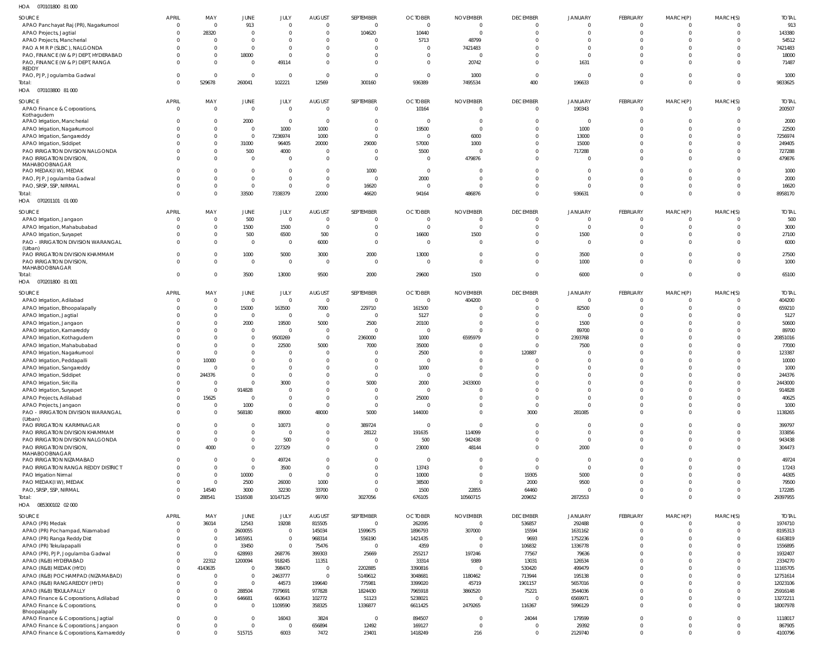070101800 81 000 HOA

| $\overline{\phantom{0}}$<br><b>UIUIUUU UIUU</b> U        |                      |              |                |                |                          |                |                |                 |                 |                          |                      |                |                      |              |
|----------------------------------------------------------|----------------------|--------------|----------------|----------------|--------------------------|----------------|----------------|-----------------|-----------------|--------------------------|----------------------|----------------|----------------------|--------------|
| SOURCE                                                   | <b>APRIL</b>         | MAY          | JUNE           | JULY           | <b>AUGUST</b>            | SEPTEMBER      | <b>OCTOBER</b> | <b>NOVEMBER</b> | <b>DECEMBER</b> | <b>JANUARY</b>           | FEBRUARY             | MARCH(P)       | MARCH(S)             | <b>TOTAL</b> |
| APAO Panchayat Raj (PR), Nagarkurnool                    | $\mathbf 0$          | $\mathsf{C}$ | 913            | $\overline{0}$ | $\overline{0}$           | $\Omega$       | $\Omega$       | $\Omega$        | $\Omega$        | $\Omega$                 | $\Omega$             | $\mathbf{0}$   | $\Omega$             | 913          |
| APAO Projects, Jagtial                                   | $\Omega$             | 28320        | $\overline{0}$ | $\overline{0}$ | $\overline{0}$           | 104620         | 10440          | $\Omega$        | $\Omega$        | $\overline{0}$           | $\Omega$             | $\overline{0}$ | $\Omega$             | 143380       |
| APAO Projects, Mancherial                                | $\Omega$             |              | $\overline{0}$ | $\overline{0}$ | $\Omega$                 |                | 5713           | 48799           |                 | - 0                      | $\Omega$             | $\Omega$       | $\Omega$             | 54512        |
| PAO A M R P (SLBC), NALGONDA                             | $\Omega$             | $\Omega$     | $\overline{0}$ | $\overline{0}$ | $\Omega$                 |                | $\Omega$       | 7421483         |                 | $\Omega$                 | $\Omega$             | $\Omega$       | $\Omega$             | 7421483      |
| PAO, FINANCE (W & P) DEPT, HYDERABAD                     | $\Omega$             |              |                | $\overline{0}$ | $\Omega$                 | $\Omega$       | $\Omega$       | $\Omega$        |                 | - 0                      | $\Omega$             |                | $\Omega$             |              |
|                                                          |                      | $\mathbf 0$  | 18000          |                |                          |                |                |                 |                 |                          | $\Omega$             | $\Omega$       |                      | 18000        |
| PAO, FINANCE (W & P) DEPT, RANGA<br>REDDY                | $\Omega$             | $\Omega$     | $\overline{0}$ | 49114          | $\Omega$                 | $\Omega$       | $\Omega$       | 20742           | $\Omega$        | 1631                     |                      | $\Omega$       | $\Omega$             | 71487        |
| PAO, PJP, Jogulamba Gadwal                               | $\Omega$             | $\Omega$     | $\Omega$       | $\overline{0}$ | $\overline{\mathbf{0}}$  | $\Omega$       | $\Omega$       | 1000            | $\overline{0}$  | $\overline{\mathbf{0}}$  | $\Omega$             | $\Omega$       | $\Omega$             | 1000         |
| Total:                                                   | $\Omega$             | 529678       | 260041         | 102221         | 12569                    | 300160         | 936389         | 7495534         | 400             | 196633                   | $\Omega$             | $\Omega$       | $\Omega$             | 9833625      |
| HOA  070103800  81 000                                   |                      |              |                |                |                          |                |                |                 |                 |                          |                      |                |                      |              |
|                                                          |                      |              |                |                |                          |                |                |                 |                 |                          |                      |                |                      |              |
| SOURCE                                                   | <b>APRIL</b>         | MAY          | JUNE           | JULY           | <b>AUGUST</b>            | SEPTEMBER      | <b>OCTOBER</b> | <b>NOVEMBER</b> | <b>DECEMBER</b> | <b>JANUARY</b>           | FEBRUARY             | MARCH(P)       | MARCH(S)             | <b>TOTAL</b> |
| APAO Finance & Corporations,                             | $\mathbf 0$          | $\mathbf 0$  | $\overline{0}$ | $\overline{0}$ | $\overline{0}$           | $\overline{0}$ | 10164          | $\Omega$        | $\overline{0}$  | 190343                   | $\overline{0}$       | $\overline{0}$ | $\overline{0}$       | 200507       |
| Kothagudem                                               |                      |              |                |                |                          |                |                |                 |                 |                          |                      |                |                      |              |
| APAO Irrigation, Mancherial                              | $\Omega$             | $\mathbf{0}$ | 2000           | $\overline{0}$ | $\overline{\mathbf{0}}$  | $\Omega$       | $\Omega$       | $\Omega$        | $\Omega$        | $\overline{\phantom{0}}$ | $\Omega$             | $\Omega$       | $\Omega$             | 2000         |
| APAO Irrigation, Nagarkurnool                            | $\Omega$             | $\mathbf{0}$ | $\overline{0}$ | 1000           | 1000                     | $\Omega$       | 19500          | $\Omega$        | $\Omega$        | 1000                     | $\Omega$             | $\Omega$       | $\Omega$             | 22500        |
| APAO Irrigation, Sangareddy                              | $\Omega$             | $\Omega$     | $\overline{0}$ | 7236974        | 1000                     | $\Omega$       | $\Omega$       | 6000            | $\Omega$        | 13000                    | $\Omega$             | $\Omega$       | $\Omega$             | 7256974      |
| APAO Irrigation, Siddipet                                | $\Omega$             | $\mathbf{0}$ | 31000          | 96405          | 20000                    | 29000          | 57000          | 1000            | $\Omega$        | 15000                    | $\Omega$             | $\Omega$       | $\Omega$             | 249405       |
| PAO IRRIGATION DIVISION NALGONDA                         | $\Omega$             | $\Omega$     | 500            | 4000           | $\overline{\mathbf{0}}$  |                | 5500           | $\sqrt{ }$      | $\Omega$        | 717288                   | $\Omega$             | $\Omega$       | $\Omega$             | 727288       |
| PAO IRRIGATION DIVISION,                                 | $\Omega$             | $\Omega$     | $\overline{0}$ | $\overline{0}$ | $\overline{0}$           | $\Omega$       | $\Omega$       | 479876          | $\Omega$        | $\overline{\mathbf{0}}$  | $\Omega$             | $\Omega$       | $\Omega$             | 479876       |
| MAHABOOBNAGAR                                            |                      |              |                |                |                          |                |                |                 |                 |                          |                      |                |                      |              |
| PAO MEDAK(IW), MEDAK                                     | $\Omega$             | $\Omega$     | $\overline{0}$ | $\overline{0}$ | $\overline{0}$           | 1000           | $\overline{0}$ | - 0             | $\Omega$        | $\overline{\mathbf{0}}$  | $\Omega$             | $\Omega$       | $\Omega$             | 1000         |
| PAO, PJP, Jogulamba Gadwal                               | $\Omega$             | $\Omega$     | $\overline{0}$ | $\overline{0}$ | $\overline{0}$           | $\Omega$       | 2000           | - 0             | $\Omega$        | $\overline{\mathbf{0}}$  | $\Omega$             | $\Omega$       | $\Omega$             | 2000         |
| PAO, SRSP, SSP, NIRMAL                                   | $\Omega$             | $\Omega$     | $\overline{0}$ | $\overline{0}$ | $\overline{0}$           | 16620          | $\Omega$       | $\Omega$        | $\Omega$        | $\overline{0}$           | $\Omega$             | $\Omega$       | $\Omega$             | 16620        |
| Total:                                                   | $\Omega$             | $\Omega$     | 33500          | 7338379        | 22000                    | 46620          | 94164          | 486876          | $\Omega$        | 936631                   | $\Omega$             | $\Omega$       | $\Omega$             | 8958170      |
| HOA  070201101  01  000                                  |                      |              |                |                |                          |                |                |                 |                 |                          |                      |                |                      |              |
| <b>SOURCE</b>                                            | <b>APRIL</b>         | MAY          | JUNE           | JULY           | <b>AUGUST</b>            | SEPTEMBER      | <b>OCTOBER</b> | <b>NOVEMBER</b> | <b>DECEMBER</b> | <b>JANUARY</b>           | FEBRUARY             | MARCH(P)       | MARCH(S)             | <b>TOTAL</b> |
|                                                          | $\Omega$             | $\Omega$     | 500            | $\overline{0}$ | $\overline{0}$           |                | - 0            | $\Omega$        |                 | - 0                      | $\Omega$             | $\Omega$       | $\Omega$             | 500          |
| APAO Irrigation, Jangaon<br>APAO Irrigation, Mahabubabad | $\Omega$             | $\Omega$     | 1500           | 1500           | $\overline{0}$           | $\Omega$       | $\Omega$       | $\Omega$        |                 | $\overline{\mathbf{0}}$  | $\Omega$             | $\Omega$       | $\Omega$             | 3000         |
|                                                          |                      |              |                |                |                          |                |                |                 |                 |                          |                      |                |                      |              |
| APAO Irrigation, Suryapet                                |                      | $\Omega$     | 500            | 6500           | 500                      | $\Omega$       | 16600          | 1500            | $\Omega$        | 1500                     | $\Omega$             | $\Omega$       | $\Omega$             | 27100        |
| PAO - IRRIGATION DIVISION WARANGAL                       | $\Omega$             | $\Omega$     | $\overline{0}$ | $\overline{0}$ | 6000                     | $\Omega$       | $\Omega$       | $\Omega$        | $\Omega$        | $\overline{\mathbf{0}}$  | $\Omega$             | $\Omega$       | $\Omega$             | 6000         |
| (Urban)<br>PAO IRRIGATION DIVISION KHAMMAM               | $\Omega$             | $\Omega$     | 1000           | 5000           | 3000                     | 2000           | 13000          | $\Omega$        |                 | 3500                     | $\Omega$             | $\Omega$       | $\Omega$             | 27500        |
| PAO IRRIGATION DIVISION,                                 | $\Omega$             | $\Omega$     | $\overline{0}$ | $\overline{0}$ | $\overline{0}$           | $\Omega$       | $\Omega$       | $\Omega$        | $\Omega$        | 1000                     | $\Omega$             | $\Omega$       | $\Omega$             | 1000         |
| MAHABOOBNAGAR                                            |                      |              |                |                |                          |                |                |                 |                 |                          |                      |                |                      |              |
| Total:                                                   | $\Omega$             | $\Omega$     | 3500           | 13000          | 9500                     | 2000           | 29600          | 1500            | $\Omega$        | 6000                     | $\Omega$             | $\mathbf{0}$   | $\Omega$             | 65100        |
| HOA  070201800  81 001                                   |                      |              |                |                |                          |                |                |                 |                 |                          |                      |                |                      |              |
|                                                          |                      |              |                |                |                          |                |                |                 |                 |                          |                      |                |                      |              |
| SOURCE                                                   | <b>APRIL</b>         | MAY          | JUNE           | JULY           | <b>AUGUST</b>            | SEPTEMBER      | <b>OCTOBER</b> | <b>NOVEMBER</b> | <b>DECEMBER</b> | JANUARY                  | <b>FEBRUARY</b>      | MARCH(P)       | MARCH(S)             | <b>TOTAL</b> |
| APAO Irrigation, Adilabad                                | $\overline{0}$       | $\mathbf{0}$ | $\overline{0}$ | $\overline{0}$ | $\overline{\mathbf{0}}$  | $\overline{0}$ | $\overline{0}$ | 404200          | $\overline{0}$  | $\overline{0}$           | $\overline{0}$       | 0              | $\overline{0}$       | 404200       |
| APAO Irrigation, Bhoopalapally                           | $\Omega$             | $\mathbf{0}$ | 15000          | 163500         | 7000                     | 229710         | 161500         |                 | $\Omega$        | 82500                    | $\Omega$             | $\Omega$       | $\Omega$             | 659210       |
| APAO Irrigation, Jagtial                                 | $\Omega$             | $\Omega$     | $\overline{0}$ | $\overline{0}$ | $\overline{\mathbf{0}}$  | $\Omega$       | 5127           |                 | $\Omega$        | $\overline{\mathbf{0}}$  | $\Omega$             | $\Omega$       | $\Omega$             | 5127         |
| APAO Irrigation, Jangaon                                 | $\Omega$             | $\mathbf{0}$ | 2000           | 19500          | 5000                     | 2500           | 20100          | $\Omega$        | $\Omega$        | 1500                     | $\Omega$             | $\Omega$       | $\Omega$             | 50600        |
| APAO Irrigation, Kamareddy                               |                      | $\Omega$     | $\overline{0}$ | $\overline{0}$ | $\overline{\phantom{0}}$ | $\Omega$       | $\Omega$       |                 | $\Omega$        | 89700                    | $\Omega$             | $\Omega$       | $\Omega$             | 89700        |
| APAO Irrigation, Kothagudem                              | $\Omega$             | $\Omega$     | $\overline{0}$ | 9500269        | $\overline{0}$           | 2360000        | 1000           | 6595979         | $\Omega$        | 2393768                  | $\Omega$             | $\Omega$       | $\Omega$             | 20851016     |
| APAO Irrigation, Mahabubabad                             |                      | $\Omega$     | $\overline{0}$ | 22500          | 5000                     | 7000           | 35000          |                 | $\Omega$        | 7500                     | $\Omega$             | $\Omega$       | $\Omega$             | 77000        |
| APAO Irrigation, Nagarkurnool                            | $\Omega$             | $\mathbf 0$  | $\overline{0}$ | $\overline{0}$ | $\overline{0}$           |                | 2500           |                 | 120887          | $\Omega$                 | $\Omega$             | $\Omega$       | <sup>0</sup>         | 123387       |
| APAO Irrigation, Peddapalli                              | $\Omega$             | 10000        | $\Omega$       | $\overline{0}$ | $\overline{0}$           |                | $\Omega$       |                 | $\Omega$        | $\Omega$                 | $\Omega$             | $\Omega$       | $\Omega$             | 10000        |
| APAO Irrigation, Sangareddy                              | $\Omega$             |              | $\Omega$       | $\overline{0}$ | $\overline{0}$           |                | 1000           |                 | $\Omega$        | $\Omega$                 | $\Omega$             | $\Omega$       | <sup>0</sup>         | 1000         |
| APAO Irrigation, Siddipet                                | $\Omega$             | 244376       | $\Omega$       | $\Omega$       | $\Omega$                 | $\Omega$       | $\Omega$       |                 | $\Omega$        | $\Omega$                 | $\Omega$             | $\Omega$       | $\Omega$             | 244376       |
| APAO Irrigation, Siricilla                               |                      |              | $\Omega$       | 3000           | - 0                      | 5000           | 2000           | 2433000         |                 | $\Omega$                 | $\Omega$             |                |                      | 2443000      |
| APAO Irrigation, Suryapet                                | $\Omega$             | $\Omega$     | 914828         | $\overline{0}$ | $\overline{0}$           | $\Omega$       | $\overline{0}$ | - 0             | $\Omega$        | $\Omega$                 | $\Omega$             | $\Omega$       | $\Omega$             | 914828       |
| APAO Projects, Adilabad                                  | $\mathbf 0$          | 15625        | $\overline{0}$ | $\overline{0}$ | $\overline{0}$           | $\Omega$       | 25000          |                 | $\Omega$        | $\overline{0}$           | $\overline{0}$       | $\Omega$       | $\Omega$             | 40625        |
| APAO Projects, Jangaon                                   | $\Omega$             | $\Omega$     | 1000           | $\overline{0}$ | $\overline{0}$           | $\Omega$       | $\Omega$       | $\Omega$        | $\overline{0}$  | $\overline{0}$           | $\overline{0}$       | $\Omega$       | $\Omega$             | 1000         |
| PAO - IRRIGATION DIVISION WARANGAL                       | $\Omega$             | $\Omega$     | 568180         | 89000          | 48000                    | 5000           | 144000         | $\Omega$        | 3000            | 281085                   | $\Omega$             | $\Omega$       | $\Omega$             | 1138265      |
| (Urban)                                                  |                      |              |                |                |                          |                |                |                 |                 |                          |                      |                |                      |              |
| PAO IRRIGATION KARIMNAGAR                                | $\Omega$             | $\Omega$     | $\Omega$       | 10073          | $\overline{0}$           | 389724         | $\Omega$       | $\Omega$        | $\overline{0}$  | $\overline{0}$           | $\Omega$             | $\Omega$       | $\Omega$             | 399797       |
| PAO IRRIGATION DIVISION KHAMMAM                          | $\Omega$             | $\Omega$     | $\overline{0}$ | $\overline{0}$ | $\overline{0}$           | 28122          | 191635         | 114099          | $\Omega$        | $\overline{0}$           | $\Omega$             | $\Omega$       | $\Omega$             | 333856       |
| PAO IRRIGATION DIVISION NALGONDA                         | $\Omega$             | $\Omega$     | $\Omega$       | 500            | $\overline{0}$           | $\Omega$       | 500            | 942438          | $\mathbf 0$     | $\overline{0}$           | $\overline{0}$       | $\Omega$       | $\Omega$             | 943438       |
| PAO IRRIGATION DIVISION,                                 | $\Omega$             | 4000         | $\Omega$       | 227329         | $\Omega$                 | $\Omega$       | 23000          | 48144           | $\Omega$        | 2000                     | $\Omega$             | $\Omega$       | $\Omega$             | 304473       |
| MAHABOOBNAGAR                                            |                      |              |                |                |                          |                |                |                 |                 |                          |                      |                |                      |              |
| PAO IRRIGATION NIZAMABAD                                 | $\Omega$             | $\Omega$     | $\overline{0}$ | 49724          | $\overline{0}$           | $\Omega$       | $\overline{0}$ | $\Omega$        | $\Omega$        | $\overline{0}$           | $\Omega$             | $\Omega$       | $\Omega$             | 49724        |
| PAO IRRIGATION RANGA REDDY DISTRICT                      | $\Omega$             | $\Omega$     | $\overline{0}$ | 3500           | $\overline{0}$           | $\Omega$       | 13743          | $\Omega$        | $\overline{0}$  | $\overline{0}$           | $\Omega$             | $\Omega$       | $\Omega$             | 17243        |
| PAO Irrigation Nirmal                                    | $\Omega$             | $\mathbf 0$  | 10000          | $\overline{0}$ | $\overline{0}$           | $\Omega$       | 10000          | $\Omega$        | 19305           | 5000                     | $\Omega$             | $\Omega$       | $\Omega$             | 44305        |
| PAO MEDAK(IW), MEDAK                                     | $\Omega$             | $\Omega$     | 2500           | 26000          | 1000                     | $\Omega$       | 38500          | $\Omega$        | 2000            | 9500                     | $\Omega$             | $\Omega$       | $\Omega$             | 79500        |
| PAO, SRSP, SSP, NIRMAL                                   | $\Omega$             | 14540        | 3000           | 32230          | 33700                    | $\Omega$       | 1500           | 22855           | 64460           | $\overline{0}$           | $\Omega$             | $\Omega$       | $\Omega$             | 172285       |
| Total:                                                   | $\Omega$             | 288541       | 1516508        | 10147125       | 99700                    | 3027056        | 676105         | 10560715        | 209652          | 2872553                  | $\Omega$             | $\Omega$       | $\Omega$             | 29397955     |
| HOA  085300102  02  000                                  |                      |              |                |                |                          |                |                |                 |                 |                          |                      |                |                      |              |
| SOURCE                                                   | <b>APRIL</b>         | MAY          | JUNE           | JULY           | <b>AUGUST</b>            | SEPTEMBER      | <b>OCTOBER</b> | <b>NOVEMBER</b> | <b>DECEMBER</b> | <b>JANUARY</b>           | FEBRUARY             | MARCH(P)       | MARCH(S)             | <b>TOTAL</b> |
|                                                          |                      |              |                |                |                          |                |                |                 |                 |                          |                      |                |                      |              |
| APAO (PR) Medak                                          | $\Omega$<br>$\Omega$ | 36014        | 12543          | 19208          | 815505                   | $\Omega$       | 262095         | $\Omega$        | 536857          | 292488                   | $\Omega$<br>$\Omega$ | $\Omega$       | $\Omega$<br>$\Omega$ | 1974710      |
| APAO (PR) Pochampad, Nizamabad                           |                      | $\Omega$     | 2600055        | $\overline{0}$ | 145034                   | 1599675        | 1896793        | 307000          | 15594           | 1631162                  |                      | $\Omega$       |                      | 8195313      |
| APAO (PR) Ranga Reddy Dist                               | $\Omega$             | $\Omega$     | 1455951        | $\overline{0}$ | 968314                   | 556190         | 1421435        | $\Omega$        | 9693            | 1752236                  | $\Omega$             | $\Omega$       | $\Omega$             | 6163819      |
| APAO (PR) Tekulapapalli                                  | $\Omega$             | $\Omega$     | 33450          | $\overline{0}$ | 75476                    | $\Omega$       | 4359           | $\Omega$        | 106832          | 1336778                  | $\Omega$             | $\Omega$       | $\Omega$             | 1556895      |
| APAO (PR), PJP, Jogulamba Gadwal                         | $\Omega$             | $\Omega$     | 628993         | 268776         | 399303                   | 25669          | 255217         | 197246          | 77567           | 79636                    | $\Omega$             | $\Omega$       | $\Omega$             | 1932407      |
| APAO (R&B) HYDERABAD                                     | $\Omega$             | 22312        | 1200094        | 918245         | 11351                    | $\Omega$       | 33314          | 9389            | 13031           | 126534                   | $\Omega$             | $\Omega$       | $\Omega$             | 2334270      |
| APAO (R&B) MEDAK (HYD)                                   | $\Omega$             | 4143635      | $\Omega$       | 398470         | $\overline{\mathbf{0}}$  | 2202885        | 3390816        |                 | 530420          | 499479                   | $\Omega$             | $\Omega$       | $\Omega$             | 11165705     |
| APAO (R&B) POCHAMPAD (NIZAMABAD)                         | $\Omega$             | $\mathsf{C}$ | $\overline{0}$ | 2463777        | $\overline{0}$           | 5149612        | 3048681        | 1180462         | 713944          | 195138                   | $\Omega$             | $\Omega$       | $\Omega$             | 12751614     |
| APAO (R&B) RANGAREDDY (HYD)                              | $\Omega$             | $\Omega$     | $\overline{0}$ | 44573          | 199640                   | 775981         | 3399020        | 45719           | 1901157         | 5657016                  | $\Omega$             | $\Omega$       | $\Omega$             | 12023106     |
| APAO (R&B) TEKULAPALLY                                   | $\Omega$             | $\Omega$     | 288504         | 7379691        | 977828                   | 1824430        | 7965918        | 3860520         | 75221           | 3544036                  | $\Omega$             | $\Omega$       | $\Omega$             | 25916148     |
| APAO Finance & Corporations, Adilabad                    | $\Omega$             | $\Omega$     | 646681         | 663643         | 102772                   | 51123          | 5238021        | $\Omega$        | $\Omega$        | 6569971                  | $\Omega$             | $\Omega$       | $\Omega$             | 13272211     |
| APAO Finance & Corporations,                             | $\Omega$             | $\Omega$     | $\overline{0}$ | 1109590        | 358325                   | 1336877        | 6611425        | 2479265         | 116367          | 5996129                  | $\Omega$             | $\Omega$       | $\Omega$             | 18007978     |
| Bhoopalapally                                            |                      |              |                |                |                          |                |                |                 |                 |                          |                      |                |                      |              |
| APAO Finance & Corporations, Jagtial                     | $\Omega$             | $\Omega$     | $\overline{0}$ | 16043          | 3824                     | $\Omega$       | 894507         | $\Omega$        | 24044           | 179599                   | $\Omega$             | $\Omega$       | $\Omega$             | 1118017      |
| APAO Finance & Corporations, Jangaon                     | $\Omega$             | $\Omega$     | $\Omega$       | $\overline{0}$ | 656894                   | 12492          | 169127         | $\Omega$        | $\overline{0}$  | 29392                    | $\overline{0}$       | $\overline{0}$ | $\Omega$             | 867905       |
| APAO Finance & Corporations, Kamareddy                   | $\Omega$             | $\Omega$     | 515715         | 6003           | 7472                     | 23401          | 1418249        | 216             | $\Omega$        | 2129740                  | $\Omega$             | $\Omega$       | $\Omega$             | 4100796      |
|                                                          |                      |              |                |                |                          |                |                |                 |                 |                          |                      |                |                      |              |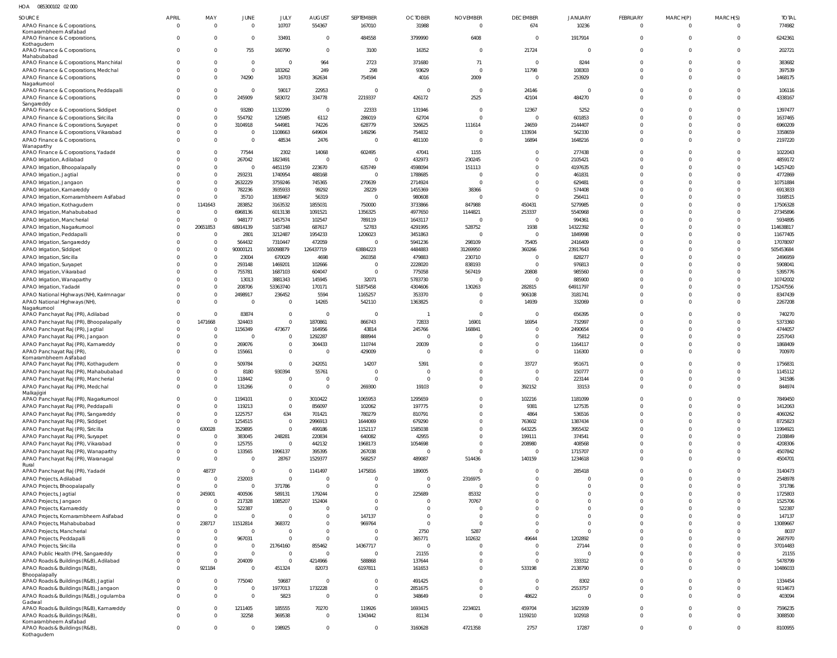| 085300102 02 000<br>HOA |
|-------------------------|
|-------------------------|

| SOURCE                                                                         | <b>APRIL</b>         | MAY                              | JUNE                       | JULY                                | <b>AUGUST</b>            | SEPTEMBER               | <b>OCTOBER</b>             | <b>NOVEMBER</b>         | <b>DECEMBER</b>            | <b>JANUARY</b>       | <b>FEBRUARY</b>      | MARCH(P)                         | MARCH(S)             | <b>TOTAL</b>          |
|--------------------------------------------------------------------------------|----------------------|----------------------------------|----------------------------|-------------------------------------|--------------------------|-------------------------|----------------------------|-------------------------|----------------------------|----------------------|----------------------|----------------------------------|----------------------|-----------------------|
| APAO Finance & Corporations,<br>Komarambheem Asifabad                          | $\Omega$             | $\overline{0}$                   | $\mathbf{0}$               | 10707                               | 554367                   | 167010                  | 31988                      | $\Omega$                | 674                        | 10236                | $\Omega$             | $\overline{0}$                   | $\overline{0}$       | 774982                |
| APAO Finance & Corporations,<br>Kothagudem                                     | $\Omega$             | 0                                | $\overline{0}$             | 33491                               | $\mathbf{0}$             | 484558                  | 3799990                    | 6408                    | $\mathbf 0$                | 1917914              | $\Omega$             | $\overline{0}$                   | $\overline{0}$       | 6242361               |
| APAO Finance & Corporations,<br>Mahabubabad                                    | $\Omega$             | $\overline{0}$                   | 755                        | 160790                              | $\mathbf 0$              | 3100                    | 16352                      | $\Omega$                | 21724                      | $\mathbf{0}$         | $\Omega$             | $\Omega$                         | $\Omega$             | 202721                |
| APAO Finance & Corporations, Manchirial                                        | $\Omega$             | $\overline{0}$                   | $\overline{0}$             | $\Omega$                            | 964                      | 2723                    | 371680                     | 71                      | $\mathbf 0$                | 8244                 | $\Omega$             | $\Omega$                         | $\Omega$             | 383682                |
| APAO Finance & Corporations, Medchal                                           | $\Omega$             | $\overline{0}$                   | $\overline{0}$             | 183262                              | 249                      | 298                     | 93629                      | $\Omega$                | 11798                      | 108303               | $\Omega$             | $\overline{0}$                   | $\Omega$             | 397539                |
| APAO Finance & Corporations,<br>Nagarkurnool                                   |                      | $\overline{0}$                   | 74290                      | 16703                               | 362634                   | 754594                  | 4016                       | 2009                    | $\overline{0}$             | 253929               | $\Omega$             | $\overline{0}$                   | $\Omega$             | 1468175               |
| APAO Finance & Corporations, Peddapalli                                        | $\Omega$             | $\overline{0}$                   | $\Omega$                   | 59017                               | 22953                    | - 0                     | - 0                        | $\Omega$                | 24146                      | $\mathbf{0}$         | $\Omega$             | $\overline{0}$                   | $\Omega$             | 106116                |
| APAO Finance & Corporations,<br>Sangareddy                                     | $\Omega$             | $\overline{0}$                   | 245909                     | 583072                              | 334778                   | 2219337                 | 426172                     | 2525                    | 42104                      | 484270               | $\Omega$             | $\overline{0}$                   | $\Omega$             | 4338167               |
| APAO Finance & Corporations, Siddipet                                          | $\Omega$             | 0                                | 93280                      | 1132299                             | $\overline{0}$           | 22333                   | 131946                     | $\Omega$                | 12367                      | 5252                 | $\Omega$             | $\Omega$                         | $\Omega$             | 1397477               |
| APAO Finance & Corporations, Siricilla                                         |                      | $\overline{0}$                   | 554792                     | 125985                              | 6112                     | 286019                  | 62704                      |                         | $\mathbf 0$                | 601853               | $\Omega$             | $\Omega$                         | $\Omega$             | 1637465               |
| APAO Finance & Corporations, Suryapet                                          |                      | $\overline{0}$                   | 3104918                    | 544981                              | 74226                    | 628779                  | 326625                     | 111614                  | 24659                      | 2144407              | $\Omega$             | $\Omega$                         | $\Omega$             | 6960209               |
| APAO Finance & Corporations, Vikarabad<br>APAO Finance & Corporations,         |                      | $\overline{0}$<br>$\overline{0}$ | $\overline{0}$<br>$\Omega$ | 1108663<br>48534                    | 649604<br>2476           | 149296<br>$\Omega$      | 754832<br>481100           |                         | 133934<br>16894            | 562330<br>1648216    | $\Omega$<br>$\Omega$ | $\Omega$<br>$\Omega$             | $\Omega$<br>$\Omega$ | 3358659<br>2197220    |
| Wanaparthy                                                                     |                      |                                  |                            |                                     |                          |                         |                            |                         |                            |                      |                      |                                  |                      |                       |
| APAO Finance & Corporations, Yadadri<br>APAO Irrigation, Adilabad              |                      | 0<br>$\overline{0}$              | 77544<br>267042            | 2302<br>1823491                     | 14068<br>$\overline{0}$  | 602495<br>$\Omega$      | 47041<br>432973            | 1155<br>230245          | $\mathbf 0$<br>$\Omega$    | 277438<br>2105421    | $\Omega$<br>$\Omega$ | $\Omega$<br>$\Omega$             | $\Omega$<br>$\Omega$ | 1022043<br>4859172    |
| APAO Irrigation, Bhoopalapally                                                 |                      | $\overline{0}$                   | $\overline{0}$             | 4451159                             | 223670                   | 635749                  | 4598094                    | 151113                  | $\Omega$                   | 4197635              | $\Omega$             | $\Omega$                         | $\Omega$             | 14257420              |
| APAO Irrigation, Jagtial                                                       |                      | $\overline{0}$                   | 293231                     | 1740954                             | 488168                   | $\Omega$                | 1788685                    |                         | $\Omega$                   | 461831               | $\Omega$             | $\Omega$                         | $\Omega$             | 4772869               |
| APAO Irrigation, Jangaon                                                       |                      | $\overline{0}$                   | 2632229                    | 3759246                             | 745365                   | 270639                  | 2714924                    | $\Omega$                | $\Omega$                   | 629481               | $\Omega$             | $\Omega$                         | $\Omega$             | 10751884              |
| APAO Irrigation, Kamareddy                                                     |                      | $\overline{0}$                   | 782236                     | 3935933                             | 99292                    | 28229                   | 1455369                    | 38366                   | $\mathbf 0$                | 574408               | $\Omega$<br>$\cap$   | $\Omega$                         | $\Omega$             | 6913833               |
| APAO Irrigation, Komarambheem Asifabad<br>APAO Irrigation, Kothagudem          | $\Omega$             | $\overline{0}$<br>1141643        | 35710<br>283852            | 1839467<br>3163532                  | 56319<br>1855031         | $\Omega$<br>750000      | 980608<br>3733866          | 847988                  | $\Omega$<br>450431         | 256411<br>5279985    | $\Omega$             | $\Omega$<br>$\Omega$             | $\Omega$<br>$\Omega$ | 3168515<br>17506328   |
| APAO Irrigation, Mahabubabad                                                   |                      | $\overline{0}$                   | 6968136                    | 6013138                             | 1091521                  | 1356325                 | 4977650                    | 1144821                 | 253337                     | 5540968              | $\cap$               | $\Omega$                         | $\Omega$             | 27345896              |
| APAO Irrigation, Mancherial                                                    |                      | $\overline{0}$                   | 948177                     | 1457574                             | 102547                   | 789119                  | 1643117                    | $\Omega$                | $\overline{0}$             | 994361               | $\Omega$             | $\Omega$                         | $\Omega$             | 5934895               |
| APAO Irrigation, Nagarkurnool                                                  |                      | 20651853                         | 68914139                   | 5187348                             | 687617                   | 52783                   | 4291995                    | 528752                  | 1938                       | 14322392             | $\Omega$             | $\Omega$                         | $\Omega$             | 114638817             |
| APAO Irrigation, Peddapalli                                                    |                      | $\overline{0}$                   | 2801                       | 3212487                             | 1954233                  | 1206023                 | 3451863                    | $\Omega$                | $\mathbf 0$                | 1849998              | $\Omega$             | $\Omega$                         | $\Omega$             | 11677405              |
| APAO Irrigation, Sangareddy<br>APAO Irrigation, Siddipet                       |                      | $\overline{0}$<br>$\overline{0}$ | 564432<br>90000121         | 7310447<br>165098879                | 472059<br>126437719      | $\Omega$<br>63884223    | 5941236<br>4484883         | 298109<br>31269950      | 75405<br>360266            | 2416409<br>23917643  | $\Omega$<br>$\Omega$ | $\Omega$<br>$\Omega$             | $\Omega$<br>$\Omega$ | 17078097<br>505453684 |
| APAO Irrigation, Siricilla                                                     |                      | $\overline{0}$                   | 23004                      | 670029                              | 4698                     | 260358                  | 479883                     | 230710                  | $\mathbf 0$                | 828277               | $\Omega$             | $\Omega$                         | $\Omega$             | 2496959               |
| APAO Irrigation, Suryapet                                                      |                      | $\overline{0}$                   | 293148                     | 1469201                             | 102666                   | $\Omega$                | 2228020                    | 838193                  | $\mathbf 0$                | 976813               | $\Omega$             | $\Omega$                         | $\Omega$             | 5908041               |
| APAO Irrigation, Vikarabad                                                     |                      | $\overline{0}$                   | 755781                     | 1687103                             | 604047                   | - 0                     | 775058                     | 567419                  | 20808                      | 985560               | $\Omega$             | $\Omega$                         | $\Omega$             | 5395776               |
| APAO Irrigation, Wanaparthy                                                    |                      | $\overline{0}$                   | 13013                      | 3881343                             | 145945                   | 32071                   | 5783730                    |                         | $\overline{0}$             | 885900               | $\Omega$<br>$\Omega$ | $\Omega$<br>$\Omega$             | $\Omega$<br>$\Omega$ | 10742002              |
| APAO Irrigation, Yadadri<br>APAO National Highways (NH), Karimnagar            |                      | $\overline{0}$<br>$\overline{0}$ | 208706<br>2498917          | 53363740<br>236452                  | 170171<br>5594           | 51875458<br>1165257     | 4304606<br>353370          | 130263                  | 282815<br>906108           | 64911797<br>3181741  | $\Omega$             | $\Omega$                         | $\Omega$             | 175247556<br>8347439  |
| APAO National Highways (NH),                                                   |                      | $\overline{0}$                   | $\overline{0}$             | $\overline{0}$                      | 14265                    | 542110                  | 1363825                    |                         | 14939                      | 332069               | $\Omega$             | $\Omega$                         | $\Omega$             | 2267208               |
| Nagarkurnool                                                                   | $\Omega$             | $\overline{0}$                   |                            | $\overline{0}$                      | $\mathbf 0$              | $\overline{\mathbf{0}}$ |                            | $\Omega$                | $\mathbf 0$                |                      | $\Omega$             | $\overline{0}$                   | $\Omega$             |                       |
| APAO Panchayat Raj (PR), Adilabad<br>APAO Panchayat Raj (PR), Bhoopalapally    | $\Omega$             | 1471668                          | 83874<br>324403            | $\Omega$                            | 1870861                  | 866743                  | 72833                      | 16901                   | 16954                      | 656395<br>732997     | $\Omega$             | $\Omega$                         | $\Omega$             | 740270<br>5373360     |
| APAO Panchayat Raj (PR), Jagtial                                               | $\Omega$             | $\overline{0}$                   | 1156349                    | 473677                              | 164956                   | 43814                   | 245766                     | 168841                  | $\mathbf 0$                | 2490654              | $\Omega$             | $\Omega$                         | $\Omega$             | 4744057               |
| APAO Panchayat Raj (PR), Jangaon                                               |                      | $\overline{0}$                   | $\epsilon$                 | $\overline{0}$                      | 1292287                  | 888944                  | $\Omega$                   |                         | $\Omega$                   | 75812                | $\Omega$             | $\Omega$                         | $\Omega$             | 2257043               |
| APAO Panchayat Raj (PR), Kamareddy                                             |                      | $\overline{0}$                   | 269076                     | $\Omega$                            | 304433                   | 110744                  | 20039                      |                         | $\mathbf 0$                | 1164117              | $\Omega$             | $\Omega$                         | $\Omega$             | 1868409               |
| APAO Panchayat Raj (PR),<br>Komarambheem Asifabad                              |                      | $\overline{0}$                   | 155661                     | $\Omega$                            | $\overline{0}$           | 429009                  | $\Omega$                   |                         | $\Omega$                   | 116300               | $\Omega$             | $\Omega$                         | $\Omega$             | 700970                |
| APAO Panchayat Raj (PR), Kothagudem                                            |                      | $\Omega$                         | 509784                     | $\Omega$                            | 242051                   | 14207                   | 5391                       | 0                       | 33727                      | 951671               | $\Omega$             | $\Omega$                         | <sup>0</sup>         | 1756831               |
| APAO Panchayat Raj (PR), Mahabubabad                                           | $\Omega$<br>$\cap$   | $\Omega$<br>$\Omega$             | 8180                       | 930394<br>$\Omega$                  | 55761<br>$\Omega$        | $\Omega$<br>$\Omega$    | $\Omega$<br>$\cap$         | $\Omega$<br>$\Omega$    | $\Omega$<br>$\Omega$       | 150777               | $\Omega$<br>$\cap$   | $\Omega$<br>$\Omega$             | $\Omega$<br>$\Omega$ | 1145112               |
| APAO Panchayat Raj (PR), Mancherial<br>APAO Panchayat Raj (PR), Medchal        | $\Omega$             | $\Omega$                         | 118442<br>131266           | $\Omega$                            | $\mathbf 0$              | 269300                  | 19103                      | $\mathbf 0$             | 392152                     | 223144<br>33153      | $\Omega$             | $\Omega$                         | $\Omega$             | 341586<br>844974      |
| Malkajigiri                                                                    |                      |                                  |                            |                                     |                          |                         |                            |                         |                            |                      |                      |                                  |                      |                       |
| APAO Panchayat Raj (PR), Nagarkurnool                                          | $\Omega$<br>$\Omega$ | $\overline{0}$                   | 1194101                    | $\Omega$<br>$\Omega$                | 3010422                  | 1065953                 | 1295659                    | $\mathbf 0$<br>$\Omega$ | 102216                     | 1181099              | $\Omega$<br>$\Omega$ | $\Omega$<br>$\Omega$             | $\Omega$             | 7849450               |
| APAO Panchayat Raj (PR), Peddapalli<br>APAO Panchayat Raj (PR), Sangareddy     | $\Omega$             | $\Omega$<br>$\overline{0}$       | 119213<br>1225757          | 634                                 | 856097<br>701421         | 102062<br>780279        | 197775<br>810791           | $\Omega$                | 9381<br>4864               | 127535<br>536516     | $\Omega$             | $\Omega$                         | $\Omega$<br>$\Omega$ | 1412063<br>4060262    |
| APAO Panchayat Raj (PR), Siddipet                                              | $\Omega$             | $\overline{0}$                   | 1254515                    | $\overline{0}$                      | 2996913                  | 1644069                 | 679290                     | $\mathbf 0$             | 763602                     | 1387434              | $\Omega$             | $\Omega$                         | $\Omega$             | 8725823               |
| APAO Panchayat Raj (PR), Siricilla                                             | $\Omega$             | 630028                           | 3529895                    | $\Omega$                            | 499186                   | 1152117                 | 1585038                    | $\Omega$                | 643225                     | 3955432              | $\Omega$             | $\Omega$                         | $\Omega$             | 11994921              |
| APAO Panchayat Raj (PR), Suryapet                                              | $\Omega$             | $\overline{0}$                   | 383045                     | 248281                              | 220834                   | 640082                  | 42955                      | $\Omega$                | 199111                     | 374541               | $\Omega$             | $\Omega$                         | $\Omega$             | 2108849               |
| APAO Panchayat Raj (PR), Vikarabad<br>APAO Panchayat Raj (PR), Wanaparthy      | $\Omega$<br>$\Omega$ | $\overline{0}$<br>$\overline{0}$ | 125755<br>133565           | $\overline{0}$<br>1996137           | 442132<br>395395         | 1968173<br>267038       | 1054698<br>$\overline{0}$  | $\mathbf 0$<br>$\Omega$ | 208980<br>$\mathbf 0$      | 408568<br>1715707    | $\Omega$<br>$\Omega$ | $\Omega$<br>$\Omega$             | $\Omega$<br>$\Omega$ | 4208306<br>4507842    |
| APAO Panchayat Raj (PR), Waranagal                                             | $\Omega$             | $\Omega$                         | $\overline{0}$             | 28767                               | 1529377                  | 568257                  | 489087                     | 514436                  | 140159                     | 1234618              | $\Omega$             | $\Omega$                         | $\Omega$             | 4504701               |
| Rural<br>APAO Panchayat Raj (PR), Yadadri                                      | $\Omega$             | 48737                            | $\overline{0}$             | $\overline{\mathbf{0}}$             | 1141497                  | 1475816                 | 189005                     | $\Omega$                | $\Omega$                   | 285418               | $\Omega$             | $\Omega$                         | $\Omega$             | 3140473               |
| APAO Projects, Adilabad                                                        | $\Omega$             | $\overline{0}$                   | 232003                     | $\overline{0}$                      | $\overline{0}$           | $\Omega$                | $\overline{0}$             | 2316975                 | $\mathbf 0$                | $\Omega$             | $\Omega$             | $\Omega$                         | $\Omega$             | 2548978               |
| APAO Projects, Bhoopalapally                                                   | $\Omega$             | $\overline{0}$                   | $\overline{0}$             | 371786                              | $\mathbf 0$              | $\overline{0}$          | $\overline{0}$             | $\mathbf 0$             | $\Omega$                   | $\Omega$             | $\Omega$             | $\Omega$                         | $\Omega$             | 371786                |
| APAO Projects, Jagtial                                                         | $\Omega$             | 245901                           | 400506                     | 589131                              | 179244                   | $\overline{0}$          | 225689                     | 85332                   | $\Omega$                   | $\Omega$             | $\Omega$             | $\Omega$                         | $\Omega$             | 1725803               |
| APAO Projects, Jangaon                                                         | $\Omega$<br>$\Omega$ | $\overline{0}$                   | 217328                     | 1085207                             | 152404                   | $\Omega$<br>$\Omega$    | $\overline{0}$<br>$\Omega$ | 70767                   | $\Omega$<br>$\Omega$       | $\Omega$             | $\Omega$<br>$\Omega$ | $\Omega$<br>$\Omega$             | $\Omega$<br>$\Omega$ | 1525706               |
| APAO Projects, Kamareddy<br>APAO Projects, Komarambheem Asifabad               | $\Omega$             | $\overline{0}$<br>$\overline{0}$ | 522387<br>$\Omega$         | $\overline{\mathbf{0}}$<br>$\Omega$ | 0<br>$\mathbf 0$         | 147137                  | $\overline{0}$             | $\overline{0}$          | $\Omega$                   | $\Omega$<br>$\Omega$ | $\Omega$             | $\Omega$                         | $\Omega$             | 522387<br>147137      |
| APAO Projects, Mahabubabad                                                     | $\Omega$             | 238717                           | 11512814                   | 368372                              | $\mathbf 0$              | 969764                  | $\overline{0}$             | $\Omega$                | $\Omega$                   | $\Omega$             | $\Omega$             | $\Omega$                         | $\Omega$             | 13089667              |
| APAO Projects, Mancherial                                                      | $\Omega$             | $\overline{0}$                   | $\Omega$                   | $\Omega$                            | $\mathbf 0$              | - 0                     | 2750                       | 5287                    | $\Omega$                   | $\Omega$             | $\Omega$             | $\Omega$                         | $\Omega$             | 8037                  |
| APAO Projects, Peddapalli                                                      | $\Omega$             | $\overline{0}$                   | 967031                     | $\Omega$                            | $\mathbf 0$              | $\Omega$                | 365771                     | 102632                  | 49644                      | 1202892              | $\Omega$             | $\Omega$                         | $\Omega$             | 2687970               |
| APAO Projects, Siricilla<br>APAO Public Health (PH), Sangareddy                | $\Omega$             | $\overline{0}$<br>$\overline{0}$ | $\Omega$<br>$\Omega$       | 21764160<br>$\Omega$                | 855462<br>$\overline{0}$ | 14367717<br>$\Omega$    | $\overline{0}$<br>21155    | $\Omega$                | $\mathbf 0$<br>$\mathbf 0$ | 27144<br>$\Omega$    | $\Omega$<br>$\Omega$ | $\Omega$<br>$\Omega$             | $\Omega$<br>$\Omega$ | 37014483<br>21155     |
| APAO Roads & Buildings (R&B), Adilabad                                         | $\Omega$             | $\overline{0}$                   | 204009                     | $\Omega$                            | 4214966                  | 588868                  | 137644                     | $\mathbf 0$             | $\Omega$                   | 333312               | $\Omega$             | $\overline{0}$                   | $\Omega$             | 5478799               |
| APAO Roads & Buildings (R&B),                                                  | $\Omega$             | 921184                           | $\Omega$                   | 451324                              | 82073                    | 6197811                 | 161653                     | $\mathbf 0$             | 533198                     | 2138790              | $\Omega$             | $\Omega$                         | $\Omega$             | 10486033              |
| Bhoopalapally                                                                  | $\Omega$             | $\overline{0}$                   |                            |                                     | $\mathbf 0$              | $\Omega$                |                            | $\Omega$                | $\mathbf{0}$               |                      | $\Omega$             | $\Omega$                         | $\Omega$             |                       |
| APAO Roads & Buildings (R&B), Jagtial<br>APAO Roads & Buildings (R&B), Jangaon | $\Omega$             | $\overline{0}$                   | 775040<br>$\Omega$         | 59687<br>1977013                    | 1732228                  | $\overline{0}$          | 491425<br>2851675          | $\mathbf 0$             | $\mathbf 0$                | 8302<br>2553757      | $\Omega$             | $\overline{0}$                   | $\Omega$             | 1334454<br>9114673    |
| APAO Roads & Buildings (R&B), Jogulamba                                        | $\Omega$             | $\Omega$                         | $\Omega$                   | 5823                                | $\mathbf 0$              | $\Omega$                | 348649                     | $\Omega$                | 48622                      | $\mathbf{0}$         | $\Omega$             | $\Omega$                         | $\Omega$             | 403094                |
| Gadwal                                                                         |                      |                                  |                            |                                     |                          |                         |                            |                         |                            |                      |                      |                                  |                      |                       |
| APAO Roads & Buildings (R&B), Kamareddy<br>APAO Roads & Buildings (R&B),       | $\Omega$<br>$\Omega$ | $\Omega$<br>$\overline{0}$       | 1211405<br>32258           | 185555<br>369538                    | 70270<br>$\mathbf 0$     | 119926<br>1343442       | 1693415<br>81134           | 2234021<br>$\mathbf 0$  | 459704<br>1159210          | 1621939<br>102918    | $\Omega$<br>$\Omega$ | $\overline{0}$<br>$\overline{0}$ | $\Omega$<br>$\Omega$ | 7596235<br>3088500    |
| Komarambheem Asifabad                                                          |                      |                                  |                            |                                     |                          |                         |                            |                         |                            |                      |                      |                                  |                      |                       |
| APAO Roads & Buildings (R&B),<br>Kothagudem                                    | $\mathbf 0$          | $\mathbf{0}$                     | $\overline{0}$             | 198925                              | $\mathbf 0$              | $\overline{0}$          | 3160628                    | 4721358                 | 2757                       | 17287                | $\overline{0}$       | $\mathbf 0$                      | $\overline{0}$       | 8100955               |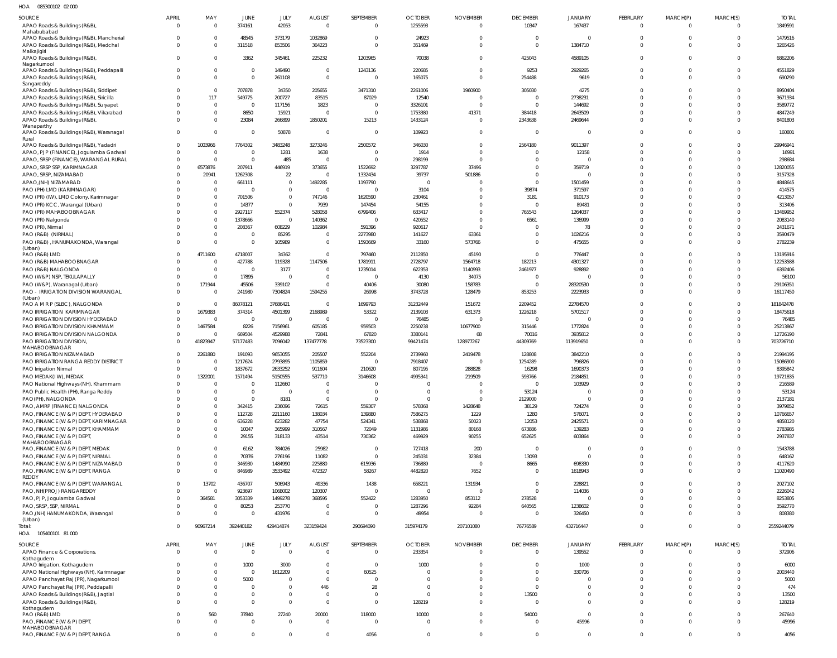| <b>SOURCE</b><br>APAO Roads & Buildings (R&B),                                                   | <b>APRIL</b><br>$\Omega$    | MAY<br>$\Omega$      | JUNE<br>374161             | JULY<br>42053           | <b>AUGUST</b><br>$\overline{0}$ | SEPTEMBER<br>$\overline{0}$      | <b>OCTOBER</b><br>1255593  | <b>NOVEMBER</b><br>$\overline{0}$ | <b>DECEMBER</b><br>10347        | <b>JANUARY</b><br>167437 | FEBRUARY<br>$\Omega$     | MARCH(P)<br>$\overline{0}$ | MARCH(S)<br>$\Omega$ | <b>TOTAL</b><br>1849591 |
|--------------------------------------------------------------------------------------------------|-----------------------------|----------------------|----------------------------|-------------------------|---------------------------------|----------------------------------|----------------------------|-----------------------------------|---------------------------------|--------------------------|--------------------------|----------------------------|----------------------|-------------------------|
| Mahabubabad<br>APAO Roads & Buildings (R&B), Mancherial<br>APAO Roads & Buildings (R&B), Medchal | $\Omega$<br>$\Omega$        | $\Omega$<br>$\Omega$ | 48545<br>311518            | 373179<br>853506        | 1032869<br>364223               | $\overline{0}$<br>$\overline{0}$ | 24923<br>351469            | $\overline{0}$<br>$\overline{0}$  | $\Omega$<br>$\mathbf 0$         | $\Omega$<br>1384710      | $\Omega$<br>$\Omega$     | $\mathbf 0$<br>$\mathbf 0$ | $\Omega$             | 1479516<br>3265426      |
| Malkajigiri<br>APAO Roads & Buildings (R&B),<br>Nagarkurnool                                     | $\Omega$                    | $\Omega$             | 3362                       | 345461                  | 225232                          | 1203965                          | 70038                      | $\overline{0}$                    | 425043                          | 4589105                  | $\Omega$                 | $\Omega$                   | $\Omega$             | 6862206                 |
| APAO Roads & Buildings (R&B), Peddapalli<br>APAO Roads & Buildings (R&B)                         | $\Omega$<br>$\Omega$        | $\Omega$             | $\mathbf 0$<br>$\mathbf 0$ | 149490<br>261108        | $^{\circ}$<br>$\mathbf 0$       | 1243136<br>$\Omega$              | 220685<br>165075           | $\overline{0}$<br>$\overline{0}$  | 9253<br>254488                  | 2929265<br>9619          | $\Omega$<br>$\Omega$     | $\mathbf 0$<br>$\Omega$    | $\Omega$             | 4551829<br>690290       |
| Sangareddy<br>APAO Roads & Buildings (R&B), Siddipet<br>APAO Roads & Buildings (R&B), Siricilla  | $\cup$                      | $\Omega$<br>117      | 707878                     | 34350                   | 205655                          | 3471310                          | 2261006                    | 1960900<br>$\circ$                | 305030<br>$\Omega$              | 4275                     | $\Omega$<br>$\Omega$     | $\Omega$<br>$\Omega$       | $\Omega$             | 8950404<br>3671934      |
| APAO Roads & Buildings (R&B), Suryapet                                                           |                             | $\Omega$             | 549775<br>$\overline{0}$   | 200727<br>117156        | 83515<br>1823                   | 87029<br>$\Omega$                | 12540<br>3326101           | $\Omega$                          | $\Omega$                        | 2738231<br>144692        | $\Omega$                 | $\Omega$                   | $\Omega$             | 3589772                 |
| APAO Roads & Buildings (R&B), Vikarabad                                                          | $\Omega$                    | $\Omega$             | 8650                       | 15921                   | $\Omega$                        | $\Omega$                         | 1753380                    | 41371                             | 384418                          | 2643509                  | $\Omega$                 | $\Omega$                   |                      | 4847249                 |
| APAO Roads & Buildings (R&B),                                                                    |                             | $\Omega$             | 23084                      | 266899                  | 1850201                         | 15213                            | 1433124                    | $\overline{0}$                    | 2343638                         | 2469644                  | $\Omega$                 | $\Omega$                   | $\Omega$             | 8401803                 |
| Wanaparthy<br>APAO Roads & Buildings (R&B), Waranagal                                            | $\Omega$                    | $\Omega$             | $\mathbf{0}$               | 50878                   | $\mathbf{0}$                    | $\Omega$                         | 109923                     | $\overline{0}$                    | $\Omega$                        | $\Omega$                 | $\Omega$                 | $\Omega$                   | $\Omega$             | 160801                  |
| Rural<br>APAO Roads & Buildings (R&B), Yadadri                                                   | $\Omega$                    | 1003966              | 7764302                    | 3483248                 | 3273246                         | 2500572                          | 346030                     | $\overline{0}$                    | 2564180                         | 9011397                  | $\Omega$                 | $\Omega$                   |                      | 29946941                |
| APAO, PJP (FINANCE), Jogulamba Gadwal                                                            | $\Omega$                    | $\Omega$             | $\mathbf 0$                | 1281                    | 1638                            | $\overline{0}$                   | 1914                       | $\overline{0}$                    | - 0                             | 12158                    | $\Omega$                 | $\Omega$                   | $\cap$               | 16991                   |
| APAO, SRSP (FINANCE), WARANGAL RURAL                                                             | $\Omega$                    | $\Omega$             | $\mathbf 0$                | 485                     | $\Omega$                        | $\Omega$                         | 298199                     | $\Omega$                          | $\Omega$                        | $\Omega$                 | $\Omega$                 | $\Omega$                   |                      | 298684                  |
| APAO, SRSP SSP, KARIMNAGAR                                                                       | $\Omega$                    | 6573876              | 207911                     | 446919                  | 373655                          | 1522692                          | 3297787                    | 37496                             | $\Omega$                        | 359719                   | $\Omega$                 | $\Omega$                   | $\Omega$             | 12820055                |
| APAO, SRSP, NIZAMABAD                                                                            |                             | 20941                | 1262308                    | 22                      | $\Omega$                        | 1332434                          | 39737                      | 501886                            | $\Omega$                        | $\Omega$                 | $\Omega$                 | $\Omega$                   |                      | 3157328                 |
| APAO, (NH) NIZAMABAD                                                                             |                             | $\Omega$<br>$\Omega$ | 661111<br>$\overline{0}$   | $\Omega$<br>$\mathbf 0$ | 1492285                         | 1193790                          | $\Omega$                   | $\Omega$                          | $\Omega$                        | 1501459                  | $\Omega$<br>$\Omega$     | $\Omega$<br>$\Omega$       |                      | 4848645                 |
| PAO (PH) LMD (KARIMNAGAR)<br>PAO (PR) (IW), LMD Colony, Karimnagar                               |                             | $\Omega$             | 701506                     | $\mathbf 0$             | $\Omega$<br>747146              | $\overline{0}$<br>1620590        | 3104<br>230461             | $\Omega$<br>$\Omega$              | 39874<br>3181                   | 371597<br>910173         | $\Omega$                 | $\Omega$                   |                      | 414575<br>4213057       |
| PAO (PR) KCC, Warangal (Urban)                                                                   |                             | $\Omega$             | 14377                      | $\mathbf 0$             | 7939                            | 147454                           | 54155                      | $\overline{0}$                    | $\Omega$                        | 89481                    | $\Omega$                 | $\Omega$                   |                      | 313406                  |
| PAO (PR) MAHABOOBNAGAR                                                                           |                             | $\Omega$             | 2927117                    | 552374                  | 528058                          | 6799406                          | 633417                     | $\overline{0}$                    | 765543                          | 1264037                  | $\Omega$                 | $\Omega$                   |                      | 13469952                |
| PAO (PR) Nalgonda                                                                                |                             | $\Omega$             | 1378666                    | $\overline{0}$          | 140362                          | $\overline{0}$                   | 420552                     | $\overline{0}$                    | 6561                            | 136999                   | $\Omega$                 | $\Omega$                   |                      | 2083140                 |
| PAO (PR), Nirmal                                                                                 |                             | $\Omega$             | 208367                     | 608229                  | 102984                          | 591396                           | 920617                     | $\Omega$                          | $\Omega$                        | 78                       | $\Omega$                 | $\Omega$                   |                      | 2431671                 |
| PAO (R&B) (NIRMAL)                                                                               |                             | $\Omega$             | $\Omega$                   | 85295                   | $\Omega$                        | 2273980                          | 141627                     | 63361                             | $\Omega$                        | 1026216                  | $\Omega$                 | $\Omega$                   | $\Omega$             | 3590479                 |
| PAO (R&B), HANUMAKONDA, Warangal                                                                 | $\Omega$                    | $\Omega$             | $\mathbf 0$                | 105989                  | $\mathbf{0}$                    | 1593669                          | 33160                      | 573766                            | $\Omega$                        | 475655                   | $\Omega$                 | $\Omega$                   | $\Omega$             | 2782239                 |
| (Urban)<br>PAO (R&B) LMD                                                                         | $\Omega$                    | 4711600              | 4718007                    | 34362                   | $\Omega$                        | 797460                           | 2112850                    | 45190                             | $\Omega$                        | 776447                   | $\Omega$                 | $\Omega$                   |                      | 13195916                |
| PAO (R&B) MAHABOOBNAGAR                                                                          | $\Omega$                    | $\Omega$             | 427788                     | 119328                  | 1147506                         | 1781911                          | 2728797                    | 1564718                           | 182213                          | 4301327                  | $\Omega$                 | $\Omega$                   | $\Omega$             | 12253588                |
| PAO (R&B) NALGONDA                                                                               |                             | $\Omega$             | $\overline{0}$             | 3177                    | $\Omega$                        | 1235014                          | 622353                     | 1140993                           | 2461977                         | 928892                   | $\Omega$                 | $\Omega$                   |                      | 6392406                 |
| PAO (W&P) NSP, TEKULAPALLY                                                                       |                             | $\Omega$             | 17895                      | $\overline{0}$          | $\mathbf{0}$                    | $\overline{0}$                   | 4130                       | 34075                             | $\Omega$                        |                          | $\Omega$                 | $\Omega$                   | $\Omega$             | 56100                   |
| PAO (W&P), Waranagal (Urban)                                                                     | $\Omega$                    | 171944               | 45506                      | 339102                  | $\Omega$                        | 40406                            | 30080                      | 158783                            | $\Omega$                        | 28320530                 | $\Omega$                 | $\Omega$                   | $\Omega$             | 29106351                |
| PAO - IRRIGATION DIVISION WARANGAL<br>(Urban)                                                    | $\Omega$                    | $\Omega$             | 241980                     | 7304824                 | 1594255                         | 26998                            | 3743728                    | 128479                            | 853253                          | 2223933                  | $\Omega$                 | $\Omega$                   | $\Omega$             | 16117450                |
| PAO A M R P (SLBC), NALGONDA                                                                     | $\Omega$                    |                      | 86078121                   | 37686421                | $\Omega$                        | 1699793                          | 31232449                   | 151672                            | 2209452                         | 22784570                 | $\Omega$                 | $\Omega$                   |                      | 181842478               |
| PAO IRRIGATION KARIMNAGAR                                                                        | $\Omega$                    | 1679383              | 374314                     | 4501399                 | 2168989                         | 53322                            | 2139103                    | 631373                            | 1226218                         | 5701517                  | $\Omega$                 | $\Omega$                   |                      | 18475618                |
| PAO IRRIGATION DIVISION HYDERABAD                                                                | $\Omega$                    | $\Omega$             | $\overline{0}$             | $\overline{0}$          | $\Omega$                        | $\overline{0}$                   | 76485                      | $\overline{0}$                    | $\Omega$                        | $\Omega$                 | $\Omega$                 | $\Omega$                   |                      | 76485                   |
| PAO IRRIGATION DIVISION KHAMMAM                                                                  | $\Omega$                    | 1467584              | 8226                       | 7156961                 | 605185                          | 959503                           | 2250238                    | 10677900                          | 315446                          | 1772824                  | $\Omega$                 | $\Omega$                   |                      | 25213867                |
| PAO IRRIGATION DIVISION NALGONDA                                                                 | $\Omega$                    |                      | 669504                     | 4529988                 | 72841                           | 67820                            | 3380141                    | 68                                | 70016                           | 3935812                  | $\Omega$                 | $\Omega$                   |                      | 12726190                |
| PAO IRRIGATION DIVISION,<br>MAHABOOBNAGAR                                                        |                             | 41823947             | 57177483                   | 7096042                 | 137477778                       | 73523300                         | 99421474                   | 128977267                         | 44309769                        | 113919650                | $\Omega$                 | $\Omega$                   | $\Omega$             | 703726710               |
| PAO IRRIGATION NIZAMABAD                                                                         |                             | 2261880              | 191093                     | 9653055                 | 205507                          | 552204                           | 2739960                    | 2419478                           | 128808                          | 3842210                  |                          | $\Omega$                   |                      | 21994195                |
| PAO IRRIGATION RANGA REDDY DISTRICT                                                              |                             |                      | 1217624                    | 2793895                 | 1105859                         | $\Omega$                         | 7918407                    | $\Omega$                          | 1254289                         | 796826                   | $\Omega$                 | $\Omega$                   |                      | 15086900                |
| PAO Irrigation Nirmal                                                                            |                             | $\Omega$             | 1837672                    | 2633252                 | 911604                          | 210620                           | 807195                     | 288828                            | 16298                           | 1690373                  | $\Omega$                 | $\Omega$                   | $\Omega$             | 8395842                 |
| PAO MEDAK(IW), MEDAK                                                                             | $\Omega$                    | 1322001              | 1571494                    | 5150555                 | 537710                          | 3146608                          | 4995341                    | 219509                            | 593766                          | 2184851                  |                          | $\Omega$                   | 0                    | 19721835                |
| PAO National Highways (NH), Khammam<br>PAO Public Health (PH), Ranga Reddy                       | $\Omega$                    | $\Omega$             | $\Omega$<br>$\mathbf 0$    | 112660<br>$\Omega$      | $\Omega$<br>$\Omega$            | $\Omega$<br>$\Omega$             | $\Omega$<br>$\overline{0}$ | $\Omega$<br>$\overline{0}$        | $\Omega$<br>53124               | 103929<br>$\Omega$       | $\Omega$<br>$\Omega$     | $\Omega$<br>$\Omega$       |                      | 216589<br>53124         |
| PAO(PH), NALGONDA                                                                                |                             | $\Omega$             | $\Omega$                   | 8181                    | $\Omega$                        | $\Omega$                         | $\overline{0}$             | $\Omega$                          | 2129000                         | $\Omega$                 | $\Omega$                 | $\Omega$                   |                      | 2137181                 |
| PAO, AMRP (FINANCE) NALGONDA                                                                     |                             | $\Omega$             | 342415                     | 236096                  | 72615                           | 559307                           | 578368                     | 1428648                           | 38129                           | 724274                   | $\Omega$                 | $\Omega$                   |                      | 3979852                 |
| PAO, FINANCE (W & P) DEPT, HYDERABAD                                                             |                             | $\Omega$             | 112728                     | 2211160                 | 138034                          | 139880                           | 7586275                    | 1229                              | 1280                            | 576071                   | $\Omega$                 | $\Omega$                   |                      | 10766657                |
| PAO, FINANCE (W & P) DEPT, KARIMNAGAR                                                            |                             | $\Omega$             | 636228                     | 623282                  | 47754                           | 524341                           | 538868                     | 50023                             | 12053                           | 2425571                  | $\Omega$                 | $\Omega$                   |                      | 4858120                 |
| PAO, FINANCE (W & P) DEPT, KHAMMAM                                                               |                             | $\Omega$             | 10047                      | 365999                  | 310567                          | 72049                            | 1131986                    | 80168                             | 673886                          | 139283                   | $\Omega$                 | $\Omega$                   |                      | 2783985                 |
| PAO, FINANCE (W & P) DEPT,<br>MAHABOOBNAGAR                                                      |                             | $\Omega$             | 29155                      | 318133                  | 43514                           | 730362                           | 469929                     | 90255                             | 652625                          | 603864                   | $\Omega$                 | $\Omega$                   | $\Omega$             | 2937837                 |
| PAO, FINANCE (W & P) DEPT, MEDAK                                                                 |                             |                      | 6162                       | 784026                  | 25982                           | $\Omega$                         | 727418                     | 200                               | $\Omega$                        | $\mathbf{0}$             | $\Omega$                 | $\Omega$                   |                      | 1543788                 |
| PAO, FINANCE (W & P) DEPT, NIRMAL                                                                | $\Omega$                    | $\Omega$             | 70376                      | 276196                  | 11082                           | $\Omega$                         | 245031                     | 32384                             | 13093                           | $\Omega$                 | $\Omega$                 | $\Omega$                   | $\Omega$             | 648162                  |
| PAO, FINANCE (W & P) DEPT, NIZAMABAD                                                             |                             | $\Omega$             | 346930                     | 1484990                 | 225880                          | 615936                           | 736889                     | $\overline{0}$                    | 8665                            | 698330                   | $\Omega$                 | $\mathbf 0$                | $\Omega$             | 4117620                 |
| PAO, FINANCE (W & P) DEPT, RANGA<br>REDDY                                                        | $\Omega$                    | $\Omega$             | 846989                     | 3533492                 | 472327                          | 58267                            | 4482820                    | 7652                              | $\Omega$                        | 1618943                  | $\Omega$                 | $\Omega$                   | $\Omega$             | 11020490                |
| PAO, FINANCE (W & P) DEPT, WARANGAL                                                              | $\Omega$                    | 13702                | 436707                     | 506943                  | 49336                           | 1438                             | 658221                     | 131934                            | $\Omega$                        | 228821                   | $\Omega$                 | $\Omega$                   |                      | 2027102                 |
| PAO, NH(PROJ) RANGAREDDY                                                                         | $\Omega$                    |                      | 923697                     | 1068002                 | 120307                          | $\Omega$                         | $\Omega$                   | $\Omega$                          | $\Omega$                        | 114036                   | $\Omega$                 | $\Omega$                   | $\Omega$             | 2226042                 |
| PAO, PJP, Jogulamba Gadwal                                                                       | $\Omega$                    | 364581               | 3053339                    | 1499278                 | 368595                          | 552422                           | 1283950                    | 853112                            | 278528                          | $\Omega$                 | $\Omega$                 | $\Omega$                   |                      | 8253805                 |
| PAO, SRSP, SSP, NIRMAL                                                                           |                             |                      |                            |                         |                                 |                                  |                            |                                   | 640565                          | 1238602                  | $\Omega$                 | $\Omega$                   |                      | 3592770                 |
|                                                                                                  | $\Omega$                    | $\Omega$             | 80253                      | 253770                  | $\Omega$                        | $\overline{0}$                   | 1287296                    | 92284                             |                                 |                          |                          |                            |                      |                         |
| PAO, (NH) HANUMAKONDA, Warangal                                                                  | $\Omega$                    | $\Omega$             | $\Omega$                   | 431976                  | $\mathbf 0$                     | $\Omega$                         | 49954                      | $\Omega$                          | $\mathbf{0}$                    | 326450                   | $\Omega$                 | $\Omega$                   | $\Omega$             | 808380                  |
| (Urban)<br>Total:<br>HOA<br>105400101 81 000                                                     |                             | 90967214             | 392440182                  | 429414874               | 323159424                       | 290694090                        | 315974179                  | 207101080                         | 76776589                        | 432716447                | $\Omega$                 | $\Omega$                   | $\Omega$             | 2559244079              |
|                                                                                                  |                             |                      |                            |                         |                                 |                                  |                            |                                   |                                 |                          |                          |                            |                      |                         |
| <b>SOURCE</b><br>APAO Finance & Corporations,                                                    | <b>APRIL</b><br>$\mathbf 0$ | MAY<br>$\Omega$      | JUNE<br>$\mathbf 0$        | JULY<br>$\mathbf 0$     | <b>AUGUST</b><br>$\mathbf 0$    | SEPTEMBER<br>$\overline{0}$      | <b>OCTOBER</b><br>233354   | <b>NOVEMBER</b><br>$\overline{0}$ | <b>DECEMBER</b><br>$\mathbf{0}$ | JANUARY<br>139552        | FEBRUARY<br>$\mathbf{0}$ | MARCH(P)<br>$\overline{0}$ | MARCH(S)<br>$\Omega$ | <b>TOTAL</b><br>372906  |
| Kothagudem<br>APAO Irrigation, Kothagudem                                                        | $\Omega$                    | $\Omega$             | 1000                       | 3000                    | $\Omega$                        | $\overline{0}$                   | 1000                       | $\overline{0}$                    | $\Omega$                        | 1000                     | $\Omega$                 | $\overline{0}$             | $\Omega$             | 6000                    |
| APAO National Highways (NH), Karimnagar                                                          |                             | $\Omega$             | $\mathbf 0$                | 1612209                 | $\Omega$                        | 60525                            | $\overline{0}$             | $\overline{0}$                    | $\Omega$                        | 330706                   | $\Omega$                 | $\overline{0}$             | $\Omega$             | 2003440                 |
| APAO Panchayat Raj (PR), Nagarkurnool                                                            | $\Omega$                    | $\Omega$             | 5000                       | $\Omega$                | $\Omega$                        | $\overline{0}$                   | $\Omega$                   | $\Omega$                          | $\Omega$                        | $\Omega$                 | $\Omega$                 | $\Omega$                   | $\Omega$             | 5000                    |
| APAO Panchayat Raj (PR), Peddapalli                                                              |                             | $\Omega$             | $\mathbf 0$                | $\mathbf 0$             | 446                             | 28                               | $\Omega$                   | $\Omega$                          | $\Omega$                        | $\Omega$                 | $\Omega$                 | $\Omega$                   |                      | 474                     |
| APAO Roads & Buildings (R&B), Jagtial                                                            |                             | $\Omega$             | $\mathbf 0$                | $\mathbf 0$             | $\mathbf 0$                     | $\overline{0}$                   | $\overline{0}$             | $\overline{0}$                    | 13500                           | $\mathbf 0$              | $\Omega$                 | $\overline{0}$             |                      | 13500                   |
| APAO Roads & Buildings (R&B),<br>Kothagudem                                                      |                             | $\Omega$             | $\mathbf 0$                | $\mathbf{0}$            | $\Omega$                        | $\overline{0}$                   | 128219                     | $\overline{0}$                    | $\Omega$                        | $\Omega$                 | $\Omega$                 | $\overline{0}$             | $\Omega$             | 128219                  |
| PAO (R&B) LMD                                                                                    | $\Omega$                    | 560                  | 37840                      | 27240                   | 20000                           | 118000                           | 10000                      | $\overline{0}$                    | 54000                           | $\overline{0}$           | $\Omega$                 | $\overline{0}$             | $\Omega$             | 267640                  |
| PAO, FINANCE (W & P) DEPT,                                                                       | $\Omega$                    | $\Omega$             | $\mathbf 0$                | $\mathbf{0}$            | $\mathbf{0}$                    | $\overline{0}$                   | $\overline{0}$             | $\overline{0}$                    | $\mathbf{0}$                    | 45996                    | $\Omega$                 | $\overline{0}$             | $\Omega$             | 45996                   |
| MAHABOOBNAGAR<br>PAO, FINANCE (W & P) DEPT, RANGA                                                | $\Omega$                    | $\mathbf 0$          | $\mathbf 0$                | $\overline{0}$          | $\mathbf{0}$                    | 4056                             | $\overline{0}$             | $\overline{0}$                    | $\mathbf 0$                     | $\overline{0}$           | $\Omega$                 | $\mathbf{0}$               | $\mathbf 0$          | 4056                    |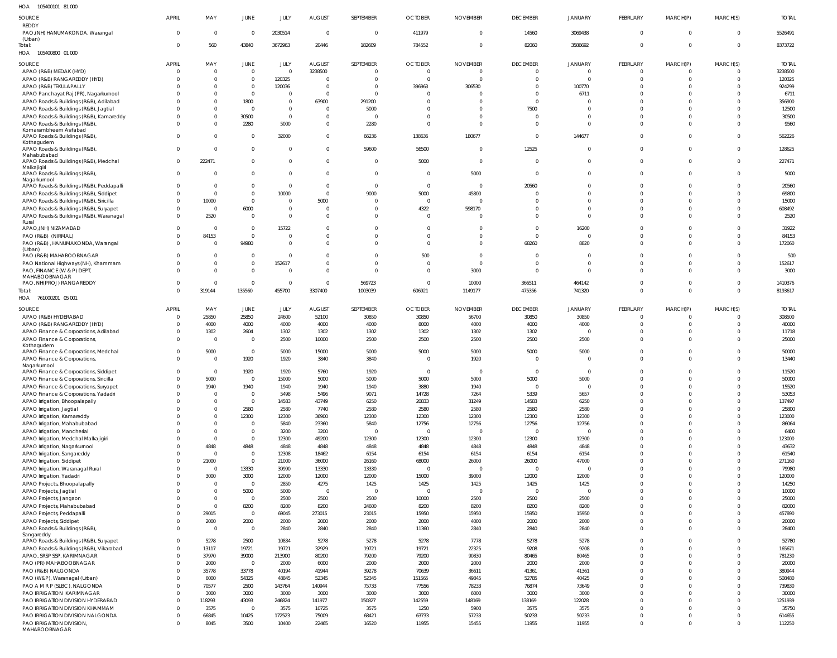105400101 81 000 HOA

| SOURCE                                                                            | APRIL        | MAY                  | JUNE                          | JULY                 | <b>AUGUST</b>              | SEPTEMBER            | <b>OCTOBER</b>           | <b>NOVEMBER</b>      | <b>DECEMBER</b>      | <b>JANUARY</b>       | FEBRUARY                      | MARCH(P)             | MARCH(S)                         | <b>TOTAL</b>     |
|-----------------------------------------------------------------------------------|--------------|----------------------|-------------------------------|----------------------|----------------------------|----------------------|--------------------------|----------------------|----------------------|----------------------|-------------------------------|----------------------|----------------------------------|------------------|
| <b>REDDY</b><br>PAO, (NH) HANUMAKONDA, Warangal<br>(Urban)                        | $\Omega$     | $\mathbf 0$          | $\overline{0}$                | 2030514              | $\overline{0}$             | $\overline{0}$       | 411979                   | $\overline{0}$       | 14560                | 3069438              | $\mathbf 0$                   | $\overline{0}$       | $\overline{0}$                   | 5526491          |
| Total:<br>HOA 105400800 01 000                                                    | $\Omega$     | 560                  | 43840                         | 3672963              | 20446                      | 182609               | 784552                   | $\overline{0}$       | 82060                | 3586692              | $\mathbf 0$                   | $\Omega$             | $\overline{0}$                   | 8373722          |
| SOURCE                                                                            | APRIL        | MAY                  | JUNE                          | JULY                 | <b>AUGUST</b>              | SEPTEMBER            | <b>OCTOBER</b>           | <b>NOVEMBER</b>      | <b>DECEMBER</b>      | <b>JANUARY</b>       | FEBRUARY                      | MARCH(P)             | MARCH(S)                         | <b>TOTAL</b>     |
| APAO (R&B) MEDAK (HYD)                                                            |              | $\mathbf 0$          | $\overline{0}$                | $\Omega$             | 3238500                    | 0                    | $\overline{0}$           | $\Omega$             | $^{\circ}$           | $\Omega$             | $\Omega$                      | $\Omega$             | $\Omega$                         | 3238500          |
| APAO (R&B) RANGAREDDY (HYD)<br>APAO (R&B) TEKULAPALLY                             |              | $\Omega$<br>$\Omega$ | $\overline{0}$<br>$\mathbf 0$ | 120325<br>120036     | $\Omega$<br>$\overline{0}$ | $\Omega$<br>$\Omega$ | $\overline{0}$<br>396963 | $\Omega$<br>306530   | $\Omega$<br>$\Omega$ | $\Omega$<br>100770   | $\Omega$<br>$\sqrt{ }$        | $\Omega$<br>$\Omega$ | $\overline{0}$<br>$\Omega$       | 120325<br>924299 |
| APAO Panchayat Raj (PR), Nagarkurnool                                             |              | $\Omega$             | $\overline{0}$                | $\Omega$             | $\overline{0}$             | $\Omega$             | $\Omega$                 | $\Omega$             | $\Omega$             | 6711                 | $\cup$                        | $\Omega$             | $\Omega$                         | 6711             |
| APAO Roads & Buildings (R&B), Adilabad                                            |              | $\Omega$             | 1800                          | $\Omega$             | 63900                      | 291200               | $\Omega$                 | $\Omega$             | $\Omega$             | $\Omega$             | $\cup$                        | $\Omega$             | $\Omega$                         | 356900           |
| APAO Roads & Buildings (R&B), Jagtial                                             |              | $\Omega$             | $\overline{0}$                | $\Omega$             | $\Omega$                   | 5000                 | $\Omega$                 | $\Omega$             | 7500                 | $\Omega$             | $\sqrt{ }$                    |                      | $\Omega$                         | 12500            |
| APAO Roads & Buildings (R&B), Kamareddy                                           |              | $\mathbf 0$          | 30500                         | $\Omega$             | $\Omega$                   | $\Omega$             | $\Omega$                 | $\Omega$             | $\mathbf 0$          | $\Omega$             | $\sqrt{ }$                    | $\Omega$             | $\Omega$                         | 30500            |
| APAO Roads & Buildings (R&B),<br>Komarambheem Asifabad                            |              | $\mathbf 0$          | 2280                          | 5000                 | $\overline{0}$             | 2280                 | $\overline{0}$           | $\Omega$             | $\Omega$             | $\Omega$             | $\Omega$                      | $\Omega$             | $\Omega$                         | 9560             |
| APAO Roads & Buildings (R&B)                                                      |              | $\mathbf 0$          | $\mathbf 0$                   | 32000                | $\overline{0}$             | 66236                | 138636                   | 180677               | $\mathbf 0$          | 144677               | $\Omega$                      | $\Omega$             | $\Omega$                         | 562226           |
| Kothagudem                                                                        |              |                      |                               |                      |                            |                      |                          |                      |                      |                      |                               |                      |                                  |                  |
| APAO Roads & Buildings (R&B),<br>Mahabubabad                                      | U            | $\mathbf 0$          | $\mathbf 0$                   | $\Omega$             | $\overline{0}$             | 59600                | 56500                    | $\overline{0}$       | 12525                | $\mathbf 0$          | $\Omega$                      | $\Omega$             | $\overline{0}$                   | 128625           |
| APAO Roads & Buildings (R&B), Medchal                                             | $\Omega$     | 222471               | $\overline{0}$                | $\Omega$             | $\overline{0}$             | $\overline{0}$       | 5000                     | $\overline{0}$       | $\overline{0}$       | $\mathbf 0$          | $\Omega$                      | $\Omega$             | $\Omega$                         | 227471           |
| Malkajigiri<br>APAO Roads & Buildings (R&B),                                      | $\Omega$     | $\Omega$             | $\mathbf 0$                   | $\Omega$             | $\Omega$                   | $\overline{0}$       | $\overline{0}$           | 5000                 | $\mathbf 0$          | $\Omega$             | $\Omega$                      | $\Omega$             | $\Omega$                         | 5000             |
| Nagarkurnool                                                                      |              |                      |                               |                      |                            |                      |                          |                      |                      |                      |                               |                      |                                  |                  |
| APAO Roads & Buildings (R&B), Peddapalli                                          |              | $\mathbf 0$          | $\overline{0}$                | $\Omega$             | $\Omega$                   | $\overline{0}$       | $\overline{0}$           | $\overline{0}$       | 20560                | $\Omega$             | $\Omega$                      | $\Omega$             | $\Omega$                         | 20560            |
| APAO Roads & Buildings (R&B), Siddipet                                            |              | $\mathbf 0$<br>10000 | $\overline{0}$<br>$\mathbf 0$ | 10000<br>$\Omega$    | $\Omega$<br>5000           | 9000<br>- 0          | 5000<br>$\overline{0}$   | 45800<br>$\Omega$    | $\Omega$<br>$\Omega$ | $\Omega$<br>$\Omega$ | $\sqrt{ }$<br>$\sqrt{ }$      | $\Omega$<br>$\Omega$ | $\Omega$<br>$\Omega$             | 69800<br>15000   |
| APAO Roads & Buildings (R&B), Siricilla<br>APAO Roads & Buildings (R&B), Suryapet |              | $\mathbf 0$          | 6000                          | $\Omega$             | $\overline{0}$             | $\Omega$             | 4322                     | 598170               | $\Omega$             | $\Omega$             | $\Omega$                      | $\Omega$             | $\overline{0}$                   | 608492           |
| APAO Roads & Buildings (R&B), Waranagal                                           |              | 2520                 | $\mathbf 0$                   | $\Omega$             | $\Omega$                   | $\Omega$             | $\Omega$                 | $\Omega$             | $\Omega$             | $\Omega$             | $\Omega$                      | $\Omega$             | $\Omega$                         | 2520             |
| Rural                                                                             |              |                      |                               |                      |                            |                      |                          |                      |                      |                      |                               |                      |                                  |                  |
| APAO,(NH) NIZAMABAD                                                               |              | $\Omega$             | $\overline{0}$                | 15722                | $\Omega$                   | $\Omega$             | $\Omega$                 | $\Omega$             | $\Omega$             | 16200                | $\cup$                        |                      | $\Omega$                         | 31922            |
| PAO (R&B) (NIRMAL)<br>PAO (R&B), HANUMAKONDA, Warangal                            |              | 84153<br>$\Omega$    | $\mathbf 0$<br>94980          | $\Omega$<br>$\Omega$ | $\Omega$<br>$\Omega$       | $\Omega$<br>$\Omega$ | $\Omega$<br>$\Omega$     | $\Omega$<br>$\Omega$ | $\Omega$<br>68260    | $\Omega$<br>8820     | $\sqrt{ }$<br>$\Omega$        | $\Omega$<br>$\Omega$ | $\Omega$<br>$\Omega$             | 84153<br>172060  |
| (Urban)                                                                           |              |                      |                               |                      |                            |                      |                          |                      |                      |                      |                               |                      |                                  |                  |
| PAO (R&B) MAHABOOBNAGAR                                                           |              | $\Omega$             | $\mathbf 0$                   | $\Omega$             | $\Omega$                   | $\Omega$             | 500                      | $\Omega$             | $\Omega$             | $\Omega$             | $\Omega$                      | $\Omega$             | $\Omega$                         | 500              |
| PAO National Highways (NH), Khammam                                               |              | $\mathbf 0$          | $\mathbf 0$                   | 152617               | $\overline{0}$             | $\Omega$             | $\overline{0}$           | $\Omega$             | $\mathbf 0$          | $\overline{0}$       | $\Omega$                      | $\Omega$             | $\overline{0}$                   | 152617           |
| PAO, FINANCE (W & P) DEPT,<br>MAHABOOBNAGAR                                       |              | $\Omega$             | $\mathbf 0$                   | $\Omega$             | $\Omega$                   | $\Omega$             | $\Omega$                 | 3000                 | $\mathbf 0$          | $\Omega$             | $\Omega$                      | $\Omega$             | $\Omega$                         | 3000             |
| PAO, NH(PROJ) RANGAREDDY                                                          |              | $\mathbf 0$          | $\mathbf{0}$                  | $\Omega$             | $\overline{0}$             | 569723               | $\overline{0}$           | 10000                | 366511               | 464142               | $\Omega$                      | $\Omega$             | $\overline{0}$                   | 1410376          |
| Total:                                                                            | $\Omega$     | 319144               | 135560                        | 455700               | 3307400                    | 1003039              | 606921                   | 1149177              | 475356               | 741320               | $\Omega$                      | $\Omega$             | $\Omega$                         | 8193617          |
| HOA<br>761000201 05 001                                                           |              |                      |                               |                      |                            |                      |                          |                      |                      |                      |                               |                      |                                  |                  |
| SOURCE                                                                            | <b>APRIL</b> | MAY                  | JUNE                          | JULY                 | <b>AUGUST</b>              | SEPTEMBER            | <b>OCTOBER</b>           | <b>NOVEMBER</b>      | <b>DECEMBER</b>      | <b>JANUARY</b>       | <b>FEBRUARY</b>               | MARCH(P)             | MARCH(S)                         | <b>TOTAL</b>     |
| APAO (R&B) HYDERABAD                                                              |              | 25850                | 25850                         | 24600                | 52100                      | 30850                | 30850                    | 56700                | 30850                | 30850                | $\mathbf 0$                   | $\Omega$             | $\mathbf 0$                      | 308500           |
| APAO (R&B) RANGAREDDY (HYD)                                                       |              | 4000                 | 4000                          | 4000                 | 4000                       | 4000                 | 8000                     | 4000                 | 4000                 | 4000                 | $\mathbf 0$                   | $\Omega$             | $\overline{0}$                   | 40000            |
| APAO Finance & Corporations, Adilabad                                             |              | 1302                 | 2604                          | 1302                 | 1302                       | 1302                 | 1302                     | 1302                 | 1302                 | $\mathbf 0$          | $\Omega$                      | $\Omega$             | $\overline{0}$<br>$\Omega$       | 11718            |
| APAO Finance & Corporations,<br>Kothagudem                                        |              | $\overline{0}$       | $\overline{0}$                | 2500                 | 10000                      | 2500                 | 2500                     | 2500                 | 2500                 | 2500                 | $\Omega$                      | $\Omega$             |                                  | 25000            |
| APAO Finance & Corporations, Medchal                                              |              | 5000                 | $\overline{0}$                | 5000                 | 15000                      | 5000                 | 5000                     | 5000                 | 5000                 | 5000                 | $\Omega$                      | $\Omega$             | $\Omega$                         | 50000            |
| APAO Finance & Corporations,                                                      |              | $\mathbf 0$          | 1920                          | 1920                 | 3840                       | 3840                 | $\overline{0}$           | 1920                 | $\overline{0}$       | $\mathbf{0}$         | $\Omega$                      | $\Omega$             | $\Omega$                         | 13440            |
| Nagarkurnool<br>APAO Finance & Corporations, Siddipet                             |              | $\Omega$             | 1920                          | 1920                 | 5760                       | 1920                 | $\overline{0}$           | $\Omega$             | $\overline{0}$       | $\mathbf{0}$         | $\Omega$                      | $\Omega$             | $\Omega$                         | 11520            |
| APAO Finance & Corporations, Siricilla                                            |              | 5000                 | $\mathbf{0}$                  | 15000                | 5000                       | 5000                 | 5000                     | 5000                 | 5000                 | 5000                 | $\Omega$                      | $\Omega$             | $\Omega$                         | 50000            |
| APAO Finance & Corporations, Suryapet                                             | $\Omega$     | 1940                 | 1940                          | 1940                 | 1940                       | 1940                 | 3880                     | 1940                 | $\mathbf 0$          | $\overline{0}$       | $\mathbf 0$                   | $\Omega$             | $\overline{0}$                   | 15520            |
| APAO Finance & Corporations, Yadadri                                              |              | $\Omega$             | $\mathbf 0$                   | 5498                 | 5496                       | 9071                 | 14728                    | 7264                 | 5339                 | 5657                 | $\mathbf 0$                   | $\Omega$             | $\overline{0}$                   | 53053            |
| APAO Irrigation, Bhoopalapally                                                    |              | $\Omega$<br>$\Omega$ | $\mathbb O$                   | 14583                | 43749                      | 6250                 | 20833                    | 31249                | 14583                | 6250                 | $\mathbf 0$<br>$\overline{0}$ | $\Omega$<br>$\Omega$ | $\overline{0}$<br>$\overline{0}$ | 137497           |
| APAO Irrigation, Jagtial<br>APAO Irrigation, Kamareddy                            |              | $\Omega$             | 2580<br>12300                 | 2580<br>12300        | 7740<br>36900              | 2580<br>12300        | 2580<br>12300            | 2580<br>12300        | 2580<br>12300        | 2580<br>12300        | $\Omega$                      | $\Omega$             | $\overline{0}$                   | 25800<br>123000  |
| APAO Irrigation, Mahabubabad                                                      |              | $\mathbf 0$          | $\mathbf 0$                   | 5840                 | 23360                      | 5840                 | 12756                    | 12756                | 12756                | 12756                | $\mathbf 0$                   | $\Omega$             | $\overline{0}$                   | 86064            |
| APAO Irrigation, Mancherial                                                       |              | $\Omega$             | $\mathbb O$                   | 3200                 | 3200                       | $\overline{0}$       | $\overline{0}$           | $\overline{0}$       | $\mathbf{0}$         | $\mathbf 0$          | $\Omega$                      | $\Omega$             | $\overline{0}$                   | 6400             |
| APAO Irrigation, Medchal Malkajigiri                                              |              | $\Omega$             | $\mathbb O$                   | 12300                | 49200                      | 12300                | 12300                    |                      |                      |                      | $\overline{0}$                | $\Omega$             |                                  | 123000           |
| APAO Irrigation, Nagarkurnool                                                     |              |                      |                               |                      |                            |                      |                          | 12300                | 12300                | 12300                |                               |                      | $\overline{0}$                   |                  |
| APAO Irrigation, Sangareddy                                                       |              | 4848                 | 4848                          | 4848                 | 4848                       | 4848                 | 4848                     | 4848                 | 4848                 | 4848                 | $\Omega$                      | $\Omega$             | $\overline{0}$                   | 43632            |
|                                                                                   |              | $\overline{0}$       | $\mathbb O$                   | 12308                | 18462                      | 6154                 | 6154                     | 6154                 | 6154                 | 6154                 | $\Omega$                      | $\Omega$             | $\overline{0}$                   | 61540            |
| APAO Irrigation, Siddipet                                                         |              | 21000                | $\mathbb O$                   | 21000                | 36000                      | 26160                | 68000                    | 26000                | 26000                | 47000                | $\Omega$                      | $\Omega$             | $\Omega$                         | 271160           |
| APAO Irrigation, Waranagal Rural                                                  |              | $\overline{0}$       | 13330                         | 39990                | 13330                      | 13330                | $\overline{0}$           | $\overline{0}$       | $\mathbf 0$          | $\mathbf 0$          | $\mathbf 0$                   | $\Omega$             | $\overline{0}$                   | 79980            |
| APAO Irrigation, Yadadri<br>APAO Projects, Bhoopalapally                          |              | 3000<br>$\mathbf 0$  | 3000<br>$\mathbf 0$           | 12000<br>2850        | 12000<br>4275              | 12000<br>1425        | 15000<br>1425            | 39000<br>1425        | 12000<br>1425        | 12000<br>1425        | $\Omega$<br>$\mathbf 0$       | $\Omega$<br>$\Omega$ | $\overline{0}$<br>$\overline{0}$ | 120000<br>14250  |
| APAO Projects, Jagtial                                                            |              | $\mathbf 0$          | 5000                          | 5000                 | $\overline{0}$             | $\overline{0}$       | $\overline{0}$           | $\overline{0}$       | $\mathbf 0$          | $\mathbf 0$          | $\Omega$                      | $\Omega$             | $\overline{0}$                   | 10000            |
| APAO Projects, Jangaon                                                            |              | $\Omega$             | $\mathbf 0$                   | 2500                 | 2500                       | 2500                 | 10000                    | 2500                 | 2500                 | 2500                 | $\overline{0}$                | $\Omega$             | $\overline{0}$                   | 25000            |
| APAO Projects, Mahabubabad                                                        |              | $\Omega$             | 8200                          | 8200                 | 8200                       | 24600                | 8200                     | 8200                 | 8200                 | 8200                 | $\mathbf 0$                   | $\Omega$             | $\overline{0}$                   | 82000            |
| APAO Projects, Peddapalli                                                         |              | 29015                | $\mathbf 0$                   | 69045                | 273015                     | 23015                | 15950                    | 15950                | 15950                | 15950                | $\overline{0}$                | $\Omega$             | $\overline{0}$                   | 457890           |
| APAO Projects, Siddipet                                                           |              | 2000                 | 2000                          | 2000                 | 2000                       | 2000                 | 2000                     | 4000                 | 2000                 | 2000                 | $\mathbf 0$                   | $\Omega$             | $\overline{0}$                   | 20000            |
| APAO Roads & Buildings (R&B),<br>Sangareddy                                       | $\Omega$     | $\overline{0}$       | $\mathbf 0$                   | 2840                 | 2840                       | 2840                 | 11360                    | 2840                 | 2840                 | 2840                 | $\mathbf 0$                   | $\Omega$             | $\overline{0}$                   | 28400            |
| APAO Roads & Buildings (R&B), Suryapet                                            | $\Omega$     | 5278                 | 2500                          | 10834                | 5278                       | 5278                 | 5278                     | 7778                 | 5278                 | 5278                 | $\mathbf 0$                   | $\Omega$             | $\overline{0}$                   | 52780            |
| APAO Roads & Buildings (R&B), Vikarabad                                           |              | 13117                | 19721                         | 19721                | 32929                      | 19721                | 19721                    | 22325                | 9208                 | 9208                 | $\overline{0}$                | $\Omega$             | $\overline{0}$                   | 165671           |
| APAO, SRSP SSP, KARIMNAGAR                                                        |              | 37970                | 39000                         | 213900               | 80200                      | 79200                | 79200                    | 90830                | 80465                | 80465                | $\Omega$                      | $\Omega$             | $\overline{0}$                   | 781230           |
| PAO (PR) MAHABOOBNAGAR                                                            |              | 2000<br>35778        | $\mathbf 0$                   | 2000                 | 6000<br>41944              | 2000                 | 2000                     | 2000                 | 2000                 | 2000                 | $\mathbf 0$<br>$\Omega$       | $\Omega$<br>$\Omega$ | $\overline{0}$<br>$\overline{0}$ | 20000<br>380944  |
| PAO (R&B) NALGONDA<br>PAO (W&P), Waranagal (Urban)                                |              | 6000                 | 33778<br>54325                | 40194<br>48845       | 52345                      | 39278<br>52345       | 70639<br>151565          | 36611<br>49845       | 41361<br>52785       | 41361<br>40425       | $\overline{0}$                | $\Omega$             | $\overline{0}$                   | 508480           |
| PAO A M R P (SLBC), NALGONDA                                                      |              | 70577                | 2500                          | 143764               | 140944                     | 75733                | 77556                    | 78233                | 76874                | 73649                | $\mathbf 0$                   | $\Omega$             | $\overline{0}$                   | 739830           |
| <b>PAO IRRIGATION KARIMNAGAR</b>                                                  |              | 3000                 | 3000                          | 3000                 | 3000                       | 3000                 | 3000                     | 6000                 | 3000                 | 3000                 | $\Omega$                      | $\Omega$             | $\overline{0}$                   | 30000            |
| PAO IRRIGATION DIVISION HYDERABAD                                                 | $\Omega$     | 118293               | 43093                         | 246824               | 141977                     | 150827               | 142559                   | 148169               | 138169               | 122028               | $\Omega$                      | $\Omega$             | $\Omega$                         | 1251939          |
| PAO IRRIGATION DIVISION KHAMMAM                                                   |              | 3575                 | $\mathbf 0$                   | 3575                 | 10725                      | 3575                 | 1250                     | 5900                 | 3575                 | 3575                 | $\mathbf 0$                   | $\Omega$             | $\overline{0}$                   | 35750            |
| PAO IRRIGATION DIVISION NALGONDA<br>PAO IRRIGATION DIVISION,                      |              | 66845<br>8045        | 10425<br>3500                 | 172523<br>10400      | 75009<br>22465             | 68421<br>16520       | 63733<br>11955           | 57233<br>15455       | 50233<br>11955       | 50233<br>11955       | $\mathbf 0$<br>$\mathbf 0$    | $\Omega$<br>$\Omega$ | $\overline{0}$<br>$\overline{0}$ | 614655<br>112250 |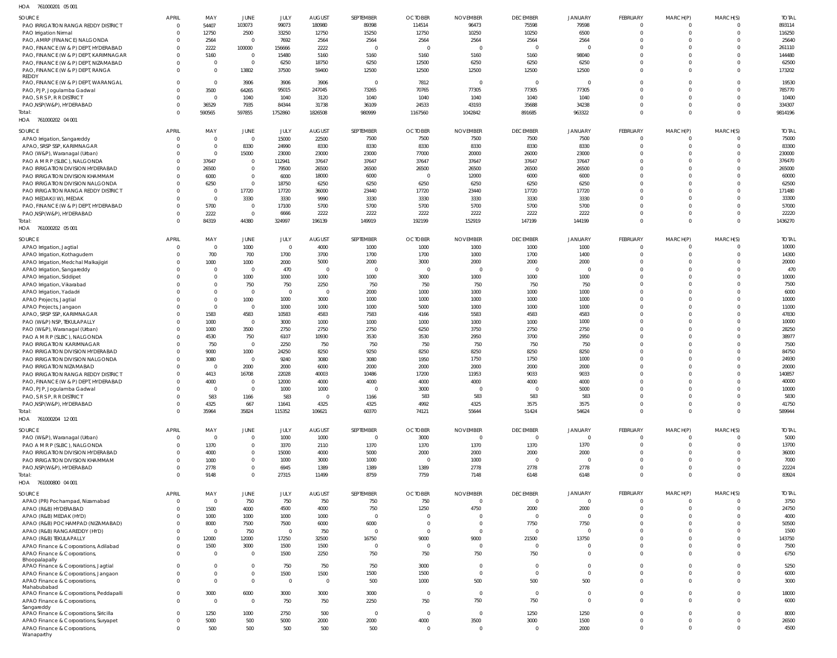| HOA<br>761000201 05 001                               |                          |                |                |                |                         |                |                |                 |                 |                |                 |                         |          |              |
|-------------------------------------------------------|--------------------------|----------------|----------------|----------------|-------------------------|----------------|----------------|-----------------|-----------------|----------------|-----------------|-------------------------|----------|--------------|
| SOURCE                                                | <b>APRIL</b>             | MAY            | JUNE           | JULY           | <b>AUGUST</b>           | SEPTEMBER      | <b>OCTOBER</b> | <b>NOVEMBER</b> | <b>DECEMBER</b> | <b>JANUARY</b> | FEBRUARY        | MARCH(P)                | MARCH(S) | <b>TOTAL</b> |
| PAO IRRIGATION RANGA REDDY DISTRICT                   | $\mathbf{0}$             | 54407          | 103073         | 99073          | 180980                  | 89398          | 114514         | 96473           | 75598           | 79598          | $\Omega$        | $\overline{0}$          | $\Omega$ | 893114       |
| PAO Irrigation Nirmal                                 | $\Omega$                 | 12750          | 2500           | 33250          | 12750                   | 15250          | 12750          | 10250           | 10250           | 6500           | $\Omega$        | $\mathbf 0$             | $\Omega$ | 116250       |
| PAO, AMRP (FINANCE) NALGONDA                          | $\mathbf{0}$             | 2564           | $\overline{0}$ | 7692           | 2564                    | 2564           | 2564           | 2564            | 2564            | 2564           | $\Omega$        | $\Omega$                |          | 25640        |
| PAO, FINANCE (W & P) DEPT, HYDERABAD                  | $\Omega$                 | 2222           | 100000         | 156666         | 2222                    |                | - 0            |                 | $\Omega$        | $\Omega$       | $\Omega$        | $\Omega$                |          | 261110       |
| PAO, FINANCE (W & P) DEPT, KARIMNAGAR                 | $\Omega$                 | 5160           | $\overline{0}$ | 15480          | 5160                    | 5160           | 5160           | 5160            | 5160            | 98040          | $\Omega$        | $\Omega$                |          | 144480       |
| PAO, FINANCE (W & P) DEPT, NIZAMABAD                  | $\Omega$                 | $\Omega$       | $\overline{0}$ | 6250           | 18750                   | 6250           | 12500          | 6250            | 6250            | 6250           | $\Omega$        | $\Omega$                |          | 62500        |
| PAO, FINANCE (W & P) DEPT, RANGA                      | $\Omega$                 | $\Omega$       | 13802          | 37500          | 59400                   | 12500          | 12500          | 12500           | 12500           | 12500          | $\Omega$        | $\Omega$                | $\Omega$ | 173202       |
| REDDY                                                 |                          |                |                |                |                         |                |                |                 | $\Omega$        |                | $\Omega$        | $\Omega$                | $\Omega$ |              |
| PAO, FINANCE (W & P) DEPT, WARANGAL                   | $\Omega$                 | $\Omega$       | 3906           | 3906           | 3906                    | $\Omega$       | 7812           |                 |                 | $\overline{0}$ | $\Omega$        | $\Omega$                | $\Omega$ | 19530        |
| PAO, PJP, Jogulamba Gadwal                            | $\Omega$                 | 3500           | 64265          | 95015          | 247045                  | 73265          | 70765          | 77305           | 77305           | 77305          | $\Omega$        | $\Omega$                | $\Omega$ | 785770       |
| PAO, S R S P, R R DISTRICT                            | $\Omega$                 | $\mathsf{C}$   | 1040           | 1040           | 3120                    | 1040           | 1040           | 1040            | 1040            | 1040           | $\Omega$        |                         | $\Omega$ | 10400        |
| PAO, NSP(W&P), HYDERABAD                              | $\mathbf{0}$<br>$\Omega$ | 36529          | 7935           | 84344          | 31738                   | 36109          | 24533          | 43193           | 35688           | 34238          | $\Omega$        | $\mathbf 0$<br>$\Omega$ | $\Omega$ | 334307       |
| Total:                                                |                          | 590565         | 597855         | 1752860        | 1826508                 | 980999         | 1167560        | 1042842         | 891685          | 963322         |                 |                         |          | 9814196      |
| HOA 761000202 04 001                                  |                          |                |                |                |                         |                |                |                 |                 |                |                 |                         |          |              |
| SOURCE                                                | <b>APRIL</b>             | MAY            | JUNE           | JULY           | <b>AUGUST</b>           | SEPTEMBER      | <b>OCTOBER</b> | <b>NOVEMBER</b> | <b>DECEMBER</b> | <b>JANUARY</b> | <b>FEBRUARY</b> | MARCH(P)                | MARCH(S) | <b>TOTAL</b> |
| APAO Irrigation, Sangareddy                           | $\mathbf{0}$             | $\mathbf 0$    | $\overline{0}$ | 15000          | 22500                   | 7500           | 7500           | 7500            | 7500            | 7500           | $\Omega$        | $\overline{0}$          | $\Omega$ | 75000        |
| APAO, SRSP SSP, KARIMNAGAR                            | $\mathbf 0$              | $\Omega$       | 8330           | 24990          | 8330                    | 8330           | 8330           | 8330            | 8330            | 8330           | $\Omega$        | $\mathbf 0$             | $\Omega$ | 83300        |
| PAO (W&P), Waranagal (Urban)                          | $\mathbf 0$              | $\Omega$       | 15000          | 23000          | 23000                   | 23000          | 77000          | 20000           | 26000           | 23000          | $\Omega$        | $\mathbf 0$             | $\Omega$ | 230000       |
| PAO A M R P (SLBC), NALGONDA                          | $\mathbf 0$              | 37647          | $\overline{0}$ | 112941         | 37647                   | 37647          | 37647          | 37647           | 37647           | 37647          | $\Omega$        | $\mathbf 0$             | $\Omega$ | 376470       |
| PAO IRRIGATION DIVISION HYDERABAD                     | $\Omega$                 | 26500          | $\overline{0}$ | 79500          | 26500                   | 26500          | 26500          | 26500           | 26500           | 26500          | $\Omega$        | $\Omega$                | $\Omega$ | 265000       |
| PAO IRRIGATION DIVISION KHAMMAM                       | $\mathbf 0$              | 6000           | $\overline{0}$ | 6000           | 18000                   | 6000           | $\Omega$       | 12000           | 6000            | 6000           | $\Omega$        | $\Omega$                | $\Omega$ | 60000        |
| PAO IRRIGATION DIVISION NALGONDA                      | $\Omega$                 | 6250           | $\overline{0}$ | 18750          | 6250                    | 6250           | 6250           | 6250            | 6250            | 6250           | $\Omega$        | $\Omega$                | $\Omega$ | 62500        |
| PAO IRRIGATION RANGA REDDY DISTRICT                   | $\mathbf 0$              | $\Omega$       | 17720          | 17720          | 36000                   | 23440          | 17720          | 23440           | 17720           | 17720          | $\Omega$        | $\Omega$                | $\Omega$ | 171480       |
| PAO MEDAK(IW), MEDAK                                  | $\Omega$                 | $\Omega$       | 3330           | 3330           | 9990                    | 3330           | 3330           | 3330            | 3330            | 3330           | $\Omega$        | $\mathbf 0$             | $\Omega$ | 33300        |
| PAO, FINANCE (W & P) DEPT, HYDERABAD                  | $\Omega$                 | 5700           | $\overline{0}$ | 17100          | 5700                    | 5700           | 5700           | 5700            | 5700            | 5700           | $\Omega$        | $\Omega$                | $\Omega$ | 57000        |
| PAO, NSP (W&P), HYDERABAD                             | $\mathbf 0$              | 2222           | $\overline{0}$ | 6666           | 2222                    | 2222           | 2222           | 2222            | 2222            | 2222           | $\Omega$        | $\overline{0}$          | $\Omega$ | 22220        |
| Total:                                                | $\Omega$                 | 84319          | 44380          | 324997         | 196139                  | 149919         | 192199         | 152919          | 147199          | 144199         | $\Omega$        | $\Omega$                | $\Omega$ | 1436270      |
| 761000202 05 001<br>HOA                               |                          |                |                |                |                         |                |                |                 |                 |                |                 |                         |          |              |
| SOURCE                                                | <b>APRIL</b>             | MAY            | JUNE           | JULY           | <b>AUGUST</b>           | SEPTEMBER      | <b>OCTOBER</b> | <b>NOVEMBER</b> | <b>DECEMBER</b> | <b>JANUARY</b> | <b>FEBRUARY</b> | MARCH(P)                | MARCH(S) | <b>TOTAL</b> |
| APAO Irrigation, Jagtial                              | $\mathbf{0}$             | $\overline{0}$ | 1000           | $\overline{0}$ | 4000                    | 1000           | 1000           | 1000            | 1000            | 1000           | $\Omega$        | $\Omega$                | $\Omega$ | 10000        |
| APAO Irrigation, Kothagudem                           | $\Omega$                 | 700            | 700            | 1700           | 3700                    | 1700           | 1700           | 1000            | 1700            | 1400           | $\Omega$        | $\Omega$                | $\Omega$ | 14300        |
| APAO Irrigation, Medchal Malkajigiri                  | $\Omega$                 | 1000           | 1000           | 2000           | 5000                    | 2000           | 3000           | 2000            | 2000            | 2000           | $\Omega$        | $\Omega$                | $\Omega$ | 20000        |
| APAO Irrigation, Sangareddy                           | $\Omega$                 | $\Omega$       | $\overline{0}$ | 470            | $\overline{\mathbf{0}}$ | $\overline{0}$ | $\Omega$       | $\Omega$        | $\Omega$        | $\overline{0}$ | $\Omega$        | $\Omega$                | $\Omega$ | 470          |
| APAO Irrigation, Siddipet                             | $\Omega$                 | $\Omega$       | 1000           | 1000           | 1000                    | 1000           | 3000           | 1000            | 1000            | 1000           | $\Omega$        | $\Omega$                | $\Omega$ | 10000        |
| APAO Irrigation, Vikarabad                            | $\Omega$                 | $\Omega$       | 750            | 750            | 2250                    | 750            | 750            | 750             | 750             | 750            | $\Omega$        | $\Omega$                |          | 7500         |
| APAO Irrigation, Yadadri                              | $\Omega$                 | $\Omega$       | $\overline{0}$ | $\overline{0}$ | $\overline{\mathbf{0}}$ | 2000           | 1000           | 1000            | 1000            | 1000           | $\Omega$        | $\Omega$                |          | 6000         |
| APAO Projects, Jagtial                                | $\Omega$                 | $\Omega$       | 1000           | 1000           | 3000                    | 1000           | 1000           | 1000            | 1000            | 1000           | $\Omega$        | $\Omega$                |          | 10000        |
| APAO Projects, Jangaon                                | $\Omega$                 | $\Omega$       | $\overline{0}$ | 1000           | 1000                    | 1000           | 5000           | 1000            | 1000            | 1000           | $\Omega$        | $\Omega$                | $\Omega$ | 11000        |
| APAO, SRSP SSP, KARIMNAGAR                            | $\Omega$                 | 1583           | 4583           | 10583          | 4583                    | 7583           | 4166           | 5583            | 4583            | 4583           | $\Omega$        | $\Omega$                |          | 47830        |
| PAO (W&P) NSP, TEKULAPALLY                            | $\Omega$                 | 1000           | $\overline{0}$ | 3000           | 1000                    | 1000           | 1000           | 1000            | 1000            | 1000           | $\Omega$        | $\Omega$                |          | 10000        |
| PAO (W&P), Waranagal (Urban)                          | $\Omega$                 | 1000           | 3500           | 2750           | 2750                    | 2750           | 6250           | 3750            | 2750            | 2750           | $\Omega$        | $\Omega$                |          | 28250        |
| PAO A M R P (SLBC), NALGONDA                          | $\Omega$                 | 4530           | 750            | 6107           | 10930                   | 3530           | 3530           | 2950            | 3700            | 2950           | $\Omega$        | $\Omega$                | $\Omega$ | 38977        |
| PAO IRRIGATION KARIMNAGAR                             | $\Omega$                 | 750            | $\overline{0}$ | 2250           | 750                     | 750            | 750            | 750             | 750             | 750            | $\Omega$        | $\Omega$                |          | 7500         |
| PAO IRRIGATION DIVISION HYDERABAD                     | $\Omega$                 | 9000           | 1000           | 24250          | 8250                    | 9250           | 8250           | 8250            | 8250            | 8250           | $\Omega$        | $\Omega$                |          | 84750        |
| PAO IRRIGATION DIVISION NALGONDA                      | $\Omega$                 | 3080           | $\overline{0}$ | 9240           | 3080                    | 3080           | 1950           | 1750            | 1750            | 1000           | $\Omega$        | $\Omega$                |          | 24930        |
| PAO IRRIGATION NIZAMABAD                              | $\Omega$                 |                | 2000           | 2000           | 6000                    | 2000           | 2000           | 2000            | 2000            | 2000           | $\Omega$        | $\Omega$                |          | 20000        |
| PAO IRRIGATION RANGA REDDY DISTRICT                   | $\Omega$                 | 4413           | 16708          | 22028          | 40003                   | 10486          | 17200          | 11953           | 9033            | 9033           | $\Omega$        | $\Omega$                | $\Omega$ | 140857       |
| PAO, FINANCE (W & P) DEPT, HYDERABAD                  | $^{\circ}$               | 4000           | $\overline{0}$ | 12000          | 4000                    | 4000           | 4000           | 4000            | 4000            | 4000           | $\Omega$        | $\Omega$                | $\Omega$ | 40000        |
| PAO, PJP, Jogulamba Gadwal                            | $\mathbf 0$              | $\Omega$       | $\overline{0}$ | 1000           | 1000                    | $\Omega$       | 3000           | $\Omega$        | $\overline{0}$  | 5000           | $\Omega$        | $\Omega$                | $\Omega$ | 10000        |
| PAO, S R S P, R R DISTRICT                            | $\Omega$                 | 583            | 1166           | 583            | $\overline{\mathbf{0}}$ | 1166           | 583            | 583             | 583             | 583            | $\Omega$        | $\Omega$                | $\Omega$ | 5830         |
| PAO, NSP (W&P), HYDERABAD                             | $\Omega$                 | 4325           | 667            | 11641          | 4325                    | 4325           | 4992           | 4325            | 3575            | 3575           | $\Omega$        | $\overline{0}$          | $\Omega$ | 41750        |
| Total:                                                | $\Omega$                 | 35964          | 35824          | 115352         | 106621                  | 60370          | 74121          | 55644           | 51424           | 54624          | $\Omega$        | $\Omega$                | $\Omega$ | 589944       |
| HOA 761000204 12 001                                  |                          |                |                |                |                         |                |                |                 |                 |                |                 |                         |          |              |
| SOURCE                                                | <b>APRIL</b>             | MAY            | JUNE           | JULY           | <b>AUGUST</b>           | SEPTEMBER      | <b>OCTOBER</b> | <b>NOVEMBER</b> | <b>DECEMBER</b> | <b>JANUARY</b> | FEBRUARY        | MARCH(P)                | MARCH(S) | <b>TOTAL</b> |
| PAO (W&P), Waranagal (Urban)                          | $\mathbf{0}$             | $\Omega$       | $\overline{0}$ | 1000           | 1000                    | $\Omega$       | 3000           | $\mathbf 0$     | $\overline{0}$  | $\overline{0}$ | $\Omega$        | $\overline{\mathbf{0}}$ | $\Omega$ | 5000         |
| PAO A M R P (SLBC), NALGONDA                          | $\mathbf 0$              | 1370           | $\overline{0}$ | 3370           | 2110                    | 1370           | 1370           | 1370            | 1370            | 1370           | $\Omega$        | $\overline{0}$          | $\Omega$ | 13700        |
| PAO IRRIGATION DIVISION HYDERABAD                     | $\mathbf 0$              | 4000           | $\overline{0}$ | 15000          | 4000                    | 5000           | 2000           | 2000            | 2000            | 2000           | $\Omega$        | $\overline{0}$          | $\Omega$ | 36000        |
| PAO IRRIGATION DIVISION KHAMMAM                       | $\Omega$                 | 1000           | $\mathbf 0$    | 1000           | 3000                    | 1000           | $\Omega$       | 1000            | $\overline{0}$  | $\overline{0}$ | $\Omega$        | $\overline{0}$          | $\Omega$ | 7000         |
| PAO, NSP(W&P), HYDERABAD                              | $\mathbf 0$              | 2778           | $\overline{0}$ | 6945           | 1389                    | 1389           | 1389           | 2778            | 2778            | 2778           | $\Omega$        | $\overline{0}$          | $\Omega$ | 22224        |
| Total:                                                | $\Omega$                 | 9148           | $\overline{0}$ | 27315          | 11499                   | 8759           | 7759           | 7148            | 6148            | 6148           | $\Omega$        | $\overline{0}$          | $\Omega$ | 83924        |
| HOA 761000800 04 001                                  |                          |                |                |                |                         |                |                |                 |                 |                |                 |                         |          |              |
|                                                       |                          |                |                |                |                         |                |                |                 |                 |                |                 |                         |          |              |
| SOURCE                                                | <b>APRIL</b>             | MAY            | JUNE           | JULY           | <b>AUGUST</b>           | SEPTEMBER      | <b>OCTOBER</b> | <b>NOVEMBER</b> | <b>DECEMBER</b> | <b>JANUARY</b> | FEBRUARY        | MARCH(P)                | MARCH(S) | <b>TOTAL</b> |
| APAO (PR) Pochampad, Nizamabad                        | $\overline{0}$           | $\overline{0}$ | 750            | 750            | 750                     | 750            | 750            | $\Omega$        | $\Omega$        | $\Omega$       | $\Omega$        | $\overline{0}$          | $\Omega$ | 3750         |
| APAO (R&B) HYDERABAD                                  | $\mathbf 0$              | 1500           | 4000           | 4500           | 4000                    | 750            | 1250           | 4750            | 2000            | 2000           | $\Omega$        | $\mathbf 0$             | $\Omega$ | 24750        |
| APAO (R&B) MEDAK (HYD)                                | $\Omega$                 | 1000           | 1000           | 1000           | 1000                    | $\Omega$       | $\Omega$       |                 | $\Omega$        | $\Omega$       | $\Omega$        | $\Omega$                | $\Omega$ | 4000         |
| APAO (R&B) POCHAMPAD (NIZAMABAD)                      | $\Omega$                 | 8000           | 7500           | 7500           | 6000                    | 6000           | $\Omega$       | $\mathbf 0$     | 7750            | 7750           | $\Omega$        | $\Omega$                | $\Omega$ | 50500        |
| APAO (R&B) RANGAREDDY (HYD)                           | $\Omega$                 | $\mathsf{C}$   | 750            | $\overline{0}$ | 750                     | $\Omega$       | $\Omega$       | $\Omega$        | $\Omega$        | $\Omega$       | $\Omega$        | $\Omega$                | $\Omega$ | 1500         |
| APAO (R&B) TEKULAPALLY                                | $\Omega$                 | 12000          | 12000          | 17250          | 32500                   | 16750          | 9000           | 9000            | 21500           | 13750          | $\Omega$        | $\Omega$                | $\Omega$ | 143750       |
| APAO Finance & Corporations, Adilabad                 | $\Omega$                 | 1500           | 3000           | 1500           | 1500                    | $\Omega$       | $\Omega$       | $\mathbf 0$     | $\Omega$        | $\Omega$       | $\Omega$        | $\mathbf 0$             | $\Omega$ | 7500         |
| APAO Finance & Corporations,                          | $\Omega$                 | $\Omega$       | $\overline{0}$ | 1500           | 2250                    | 750            | 750            | 750             | 750             | $\Omega$       | $\Omega$        | $\Omega$                | $\Omega$ | 6750         |
| Bhoopalapally<br>APAO Finance & Corporations, Jagtial | $\Omega$                 | $\Omega$       | $\overline{0}$ | 750            | 750                     | 750            | 3000           | $\mathbf{0}$    | $\Omega$        | $\Omega$       | $\Omega$        | $\mathbf 0$             | $\Omega$ | 5250         |
| APAO Finance & Corporations, Jangaon                  | $\mathbf 0$              | $\Omega$       | $\overline{0}$ | 1500           | 1500                    | 1500           | 1500           | $\mathbf{0}$    | $\Omega$        | $\Omega$       | $\Omega$        | $\mathbf 0$             | $\Omega$ | 6000         |
| APAO Finance & Corporations,                          | $\Omega$                 | $\Omega$       | $\overline{0}$ | $\overline{0}$ | $\overline{\mathbf{0}}$ | 500            | 1000           | 500             | 500             | 500            | $\Omega$        | $\Omega$                | $\Omega$ | 3000         |
| Mahabubabad                                           |                          |                |                |                |                         |                |                |                 |                 |                |                 |                         |          |              |
| APAO Finance & Corporations, Peddapalli               | $\Omega$                 | 3000           | 6000           | 3000           | 3000                    | 3000           | $\Omega$       | $\mathbf{0}$    | $\overline{0}$  | $\mathbf{0}$   | $\overline{0}$  | $\mathbf 0$             | $\Omega$ | 18000        |
| APAO Finance & Corporations,                          | $\Omega$                 | $\Omega$       | $\overline{0}$ | 750            | 750                     | 2250           | 750            | 750             | 750             | $\Omega$       | $\Omega$        | $\Omega$                | $\Omega$ | 6000         |
| Sangareddy                                            |                          |                |                |                |                         |                |                |                 |                 |                |                 |                         |          |              |
| APAO Finance & Corporations, Siricilla                | $\Omega$                 | 1250           | 1000           | 2750           | 500                     | $\overline{0}$ | $\Omega$       | $\mathbf 0$     | 1250            | 1250           | $\Omega$        | $\mathbf 0$             | $\Omega$ | 8000         |
| APAO Finance & Corporations, Suryapet                 | $\Omega$                 | 5000           | 500            | 5000           | 2000                    | 2000           | 4000           | 3500            | 3000            | 1500           | $\Omega$        | $\overline{0}$          | $\Omega$ | 26500        |
|                                                       |                          |                |                |                |                         |                |                |                 |                 |                |                 |                         |          |              |
| APAO Finance & Corporations,<br>Wanaparthy            | $\Omega$                 | 500            | 500            | 500            | 500                     | 500            | $\overline{0}$ | $\Omega$        | $\overline{0}$  | 2000           | $\Omega$        | $\mathbf 0$             | $\Omega$ | 4500         |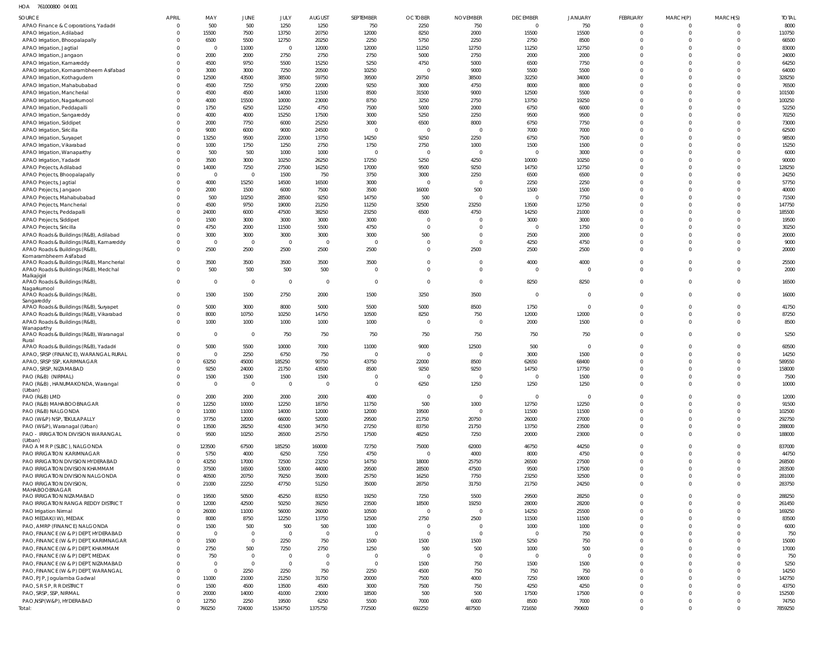HOA 761000800 04 001

| <b>SOURCE</b>                                                                 | APRIL                   | MAY                     | JUNE                          | JULY                    | <b>AUGUST</b>       | <b>SEPTEMBER</b>        | <b>OCTOBER</b>         | <b>NOVEMBER</b>        | <b>DECEMBER</b>         | <b>JANUARY</b>       | <b>FEBRUARY</b>         | MARCH(P)             | MARCH(S)                      | <b>TOTAL</b>     |
|-------------------------------------------------------------------------------|-------------------------|-------------------------|-------------------------------|-------------------------|---------------------|-------------------------|------------------------|------------------------|-------------------------|----------------------|-------------------------|----------------------|-------------------------------|------------------|
| APAO Finance & Corporations, Yadadri                                          | $\Omega$                | 500                     | 500                           | 1250                    | 1250                | 750                     | 2250                   | 750                    | $\overline{0}$          | 750                  | $\mathbf 0$             | $\Omega$             | $\overline{0}$                | 8000             |
| APAO Irrigation, Adilabad                                                     | $\Omega$                | 15500                   | 7500                          | 13750                   | 20750               | 12000                   | 8250                   | 2000                   | 15500                   | 15500                | $\Omega$                | $\Omega$             | $\overline{0}$                | 110750           |
| APAO Irrigation, Bhoopalapally<br>APAO Irrigation, Jagtial                    | $\Omega$<br>$\Omega$    | 6500<br>$\Omega$        | 5500<br>11000                 | 12750<br>$\overline{0}$ | 20250<br>12000      | 2250<br>12000           | 5750<br>11250          | 2250<br>12750          | 2750<br>11250           | 8500<br>12750        | $\Omega$<br>$\Omega$    | $\Omega$<br>$\Omega$ | $\mathbf{0}$<br>$\Omega$      | 66500<br>83000   |
| APAO Irrigation, Jangaon                                                      | $\Omega$                | 2000                    | 2000                          | 2750                    | 2750                | 2750                    | 5000                   | 2750                   | 2000                    | 2000                 | $\Omega$                | $\Omega$             | $\Omega$                      | 24000            |
| APAO Irrigation, Kamareddy                                                    | $\Omega$                | 4500                    | 9750                          | 5500                    | 15250               | 5250                    | 4750                   | 5000                   | 6500                    | 7750                 | $\Omega$                | $\Omega$             | $\Omega$                      | 64250            |
| APAO Irrigation, Komarambheem Asifabad                                        | $\Omega$                | 3000                    | 3000                          | 7250                    | 20500               | 10250                   | $\Omega$               | 9000                   | 5500                    | 5500                 | $\Omega$                | $\Omega$             | $\Omega$                      | 64000            |
| APAO Irrigation, Kothagudem                                                   | $\Omega$                | 12500                   | 43500                         | 38500                   | 59750               | 39500                   | 29750                  | 38500                  | 32250                   | 34000                | $\Omega$                | $\Omega$<br>$\Omega$ | $\Omega$<br>$\Omega$          | 328250           |
| APAO Irrigation, Mahabubabad<br>APAO Irrigation, Mancherial                   | $\Omega$<br>$\Omega$    | 4500<br>4500            | 7250<br>4500                  | 9750<br>14000           | 22000<br>11500      | 9250<br>8500            | 3000<br>31500          | 4750<br>9000           | 8000<br>12500           | 8000<br>5500         | $\Omega$<br>$\Omega$    | $\Omega$             | $\Omega$                      | 76500<br>101500  |
| APAO Irrigation, Nagarkurnool                                                 | $\Omega$                | 4000                    | 15500                         | 10000                   | 23000               | 8750                    | 3250                   | 2750                   | 13750                   | 19250                | $\Omega$                | $\Omega$             | $\overline{0}$                | 100250           |
| APAO Irrigation, Peddapalli                                                   | $\Omega$                | 1750                    | 6250                          | 12250                   | 4750                | 7500                    | 5000                   | 2000                   | 6750                    | 6000                 | $\Omega$                | $\Omega$             | $\Omega$                      | 52250            |
| APAO Irrigation, Sangareddy                                                   | $\Omega$                | 4000                    | 4000                          | 15250                   | 17500               | 3000                    | 5250                   | 2250                   | 9500                    | 9500                 | $\Omega$                | $\Omega$             | $\Omega$                      | 70250            |
| APAO Irrigation, Siddipet<br>APAO Irrigation, Siricilla                       | $\Omega$<br>$\Omega$    | 2000<br>9000            | 7750<br>6000                  | 6000<br>9000            | 25250<br>24500      | 3000<br>$\Omega$        | 6500<br>$\Omega$       | 8000<br>$\Omega$       | 6750<br>7000            | 7750<br>7000         | $\Omega$<br>$\Omega$    | $\Omega$<br>$\Omega$ | $\Omega$<br>$\Omega$          | 73000<br>62500   |
| APAO Irrigation, Suryapet                                                     | $\Omega$                | 13250                   | 9500                          | 22000                   | 13750               | 14250                   | 9250                   | 2250                   | 6750                    | 7500                 | $\Omega$                | $\Omega$             | $\Omega$                      | 98500            |
| APAO Irrigation, Vikarabad                                                    | $\Omega$                | 1000                    | 1750                          | 1250                    | 2750                | 1750                    | 2750                   | 1000                   | 1500                    | 1500                 | $\Omega$                | $\Omega$             | $\Omega$                      | 15250            |
| APAO Irrigation, Wanaparthy                                                   | $\Omega$                | 500                     | 500                           | 1000                    | 1000                | $\overline{0}$          | $\Omega$               | $\Omega$               | $\overline{0}$          | 3000                 | $\Omega$                | $\Omega$             | $\Omega$                      | 6000             |
| APAO Irrigation, Yadadri                                                      | $\Omega$                | 3500                    | 3000                          | 10250                   | 26250               | 17250                   | 5250                   | 4250                   | 10000                   | 10250                | $\Omega$<br>$\Omega$    | $\Omega$<br>$\Omega$ | $\Omega$<br>$\Omega$          | 90000            |
| APAO Projects, Adilabad<br>APAO Projects, Bhoopalapally                       | $\Omega$<br>$\Omega$    | 14000<br>$\overline{0}$ | 7250<br>$\overline{0}$        | 27500<br>1500           | 16250<br>750        | 17000<br>3750           | 9500<br>3000           | 9250<br>2250           | 14750<br>6500           | 12750<br>6500        | $\Omega$                | $\Omega$             | $\Omega$                      | 128250<br>24250  |
| APAO Projects, Jagtial                                                        | $\Omega$                | 4000                    | 15250                         | 14500                   | 16500               | 3000                    | $\Omega$               | $\Omega$               | 2250                    | 2250                 | $\Omega$                | $\Omega$             | $\Omega$                      | 57750            |
| APAO Projects, Jangaon                                                        | $\Omega$                | 2000                    | 1500                          | 6000                    | 7500                | 3500                    | 16000                  | 500                    | 1500                    | 1500                 | $\Omega$                | $\Omega$             | $\Omega$                      | 40000            |
| APAO Projects, Mahabubabad                                                    | $\Omega$                | 500                     | 10250                         | 28500                   | 9250                | 14750                   | 500                    | $\Omega$               | $\Omega$                | 7750                 | $\Omega$                | $\Omega$             | $\Omega$                      | 71500            |
| APAO Projects, Mancherial<br>APAO Projects, Peddapalli                        | $\Omega$<br>$\Omega$    | 4500<br>24000           | 9750<br>6000                  | 19000<br>47500          | 21250<br>38250      | 11250<br>23250          | 32500<br>6500          | 23250<br>4750          | 13500<br>14250          | 12750<br>21000       | $\Omega$<br>$\Omega$    | $\Omega$<br>$\Omega$ | $\Omega$<br>$\Omega$          | 147750<br>185500 |
| APAO Projects, Siddipet                                                       | $\Omega$                | 1500                    | 3000                          | 3000                    | 3000                | 3000                    | $\Omega$               |                        | 3000                    | 3000                 | $\Omega$                | $\Omega$             | $\Omega$                      | 19500            |
| APAO Projects, Siricilla                                                      | $\Omega$                | 4750                    | 2000                          | 11500                   | 5500                | 4750                    | $\overline{0}$         | $\Omega$               | $\Omega$                | 1750                 | $\Omega$                | $\Omega$             | $\Omega$                      | 30250            |
| APAO Roads & Buildings (R&B), Adilabad                                        | $\Omega$                | 3000                    | 3000                          | 3000                    | 3000                | 3000                    | 500                    | $\overline{0}$         | 2500                    | 2000                 | $\Omega$                | $\Omega$             | $\mathbf 0$                   | 20000            |
| APAO Roads & Buildings (R&B), Kamareddy                                       | $\Omega$                | $\overline{0}$          | $\overline{0}$                | $\mathbf 0$             | $\mathbf 0$         | $\Omega$                | $\Omega$               | $\Omega$               | 4250                    | 4750                 | $\Omega$                | $\Omega$             | $\Omega$                      | 9000             |
| APAO Roads & Buildings (R&B)<br>Komarambheem Asifabad                         | $\Omega$                | 2500                    | 2500                          | 2500                    | 2500                | 2500                    | $\Omega$               | 2500                   | 2500                    | 2500                 | $\Omega$                | $\Omega$             | $\Omega$                      | 20000            |
| APAO Roads & Buildings (R&B), Mancherial                                      | $\Omega$                | 3500                    | 3500                          | 3500                    | 3500                | 3500                    | $\Omega$               | $\Omega$               | 4000                    | 4000                 | $\Omega$                | $\Omega$             | $\mathbf 0$                   | 25500            |
| APAO Roads & Buildings (R&B), Medchal                                         | $\Omega$                | 500                     | 500                           | 500                     | 500                 | $\Omega$                | $\Omega$               | $\Omega$               | $\overline{0}$          | $\mathbf 0$          | $\Omega$                | $\Omega$             | $\Omega$                      | 2000             |
| Malkajigiri<br>APAO Roads & Buildings (R&B),                                  | $\Omega$                | $\overline{0}$          | $\overline{0}$                | $\mathbf 0$             | $\mathbf 0$         | $\overline{0}$          | $\Omega$               | $\Omega$               | 8250                    | 8250                 | $\Omega$                | $\Omega$             | $\Omega$                      | 16500            |
| Nagarkurnool                                                                  | $\Omega$                | 1500                    | 1500                          | 2750                    | 2000                | 1500                    | 3250                   | 3500                   | $\overline{0}$          | $\mathbf 0$          | $\Omega$                | $\Omega$             | $\Omega$                      | 16000            |
| APAO Roads & Buildings (R&B),<br>Sangareddy                                   |                         |                         |                               |                         |                     |                         |                        |                        |                         |                      |                         |                      |                               |                  |
| APAO Roads & Buildings (R&B), Suryapet                                        | $\Omega$                | 5000                    | 3000                          | 8000                    | 5000                | 5500                    | 5000                   | 8500                   | 1750                    | $\mathbf 0$          | $\Omega$                | $\Omega$             | $\mathbf 0$                   | 41750            |
| APAO Roads & Buildings (R&B), Vikarabad                                       | $\Omega$                | 8000                    | 10750                         | 10250                   | 14750               | 10500                   | 8250                   | 750                    | 12000                   | 12000                | $\Omega$<br>$\Omega$    | $\Omega$<br>$\Omega$ | $\mathbf 0$<br>$\Omega$       | 87250            |
| APAO Roads & Buildings (R&B),<br>Wanaparthy                                   | $\Omega$                | 1000                    | 1000                          | 1000                    | 1000                | 1000                    | $\Omega$               | $\Omega$               | 2000                    | 1500                 |                         |                      |                               | 8500             |
| APAO Roads & Buildings (R&B), Waranagal                                       | $\Omega$                | $\Omega$                | $\overline{0}$                | 750                     | 750                 | 750                     | 750                    | 750                    | 750                     | 750                  | 0                       | $\Omega$             | $\Omega$                      | 5250             |
| Rural<br>APAO Roads & Buildings (R&B), Yadadri                                | $\Omega$                | 5000                    | 5500                          | 10000                   | 7000                | 11000                   | 9000                   | 12500                  | 500                     | $\overline{0}$       | $\Omega$                | $\Omega$             | $\Omega$                      | 60500            |
| APAO, SRSP (FINANCE), WARANGAL RURAL                                          | $\Omega$                | $\Omega$                | 2250                          | 6750                    | 750                 | $\overline{0}$          | $\Omega$               | $\Omega$               | 3000                    | 1500                 | $\Omega$                | $\Omega$             | $\mathbf 0$                   | 14250            |
| APAO, SRSP SSP, KARIMNAGAR                                                    | $\Omega$                | 63250                   | 45000                         | 185250                  | 90750               | 43750                   | 22000                  | 8500                   | 62650                   | 68400                | $\Omega$                | $\Omega$             | $\Omega$                      | 589550           |
| APAO, SRSP, NIZAMABAD<br>PAO (R&B) (NIRMAL)                                   | $\Omega$<br>$\Omega$    | 9250<br>1500            | 24000<br>1500                 | 21750                   | 43500<br>1500       | 8500<br>$\Omega$        | 9250<br>$\Omega$       | 9250<br>$\Omega$       | 14750<br>$\Omega$       | 17750<br>1500        | $\Omega$                | $\Omega$<br>$\Omega$ | $\Omega$<br>$\Omega$          | 158000<br>7500   |
| PAO (R&B), HANUMAKONDA, Warangal                                              |                         |                         | $^{\circ}$                    | 1500                    | $^{\circ}$          | 0                       | 6250                   | 1250                   | 1250                    | 1250                 |                         |                      |                               | 10000            |
| (Urban)                                                                       |                         |                         |                               |                         |                     |                         |                        |                        |                         |                      |                         |                      |                               |                  |
| PAO (R&B) LMD                                                                 | $\Omega$<br>$\Omega$    | 2000<br>12250           | 2000<br>10000                 | 2000<br>12250           | 2000<br>18750       | 4000<br>11750           | $\overline{0}$<br>500  | $\overline{0}$<br>1000 | $\overline{0}$<br>12750 | $\mathbf 0$<br>12250 | $\mathbf 0$<br>$\Omega$ | $\Omega$<br>$\Omega$ | $\mathbf 0$<br>$\overline{0}$ | 12000<br>91500   |
| PAO (R&B) MAHABOOBNAGAR<br>PAO (R&B) NALGONDA                                 | $\Omega$                | 11000                   | 11000                         | 14000                   | 12000               | 12000                   | 19500                  | $\overline{0}$         | 11500                   | 11500                | $\Omega$                | $\Omega$             | $\mathbf 0$                   | 102500           |
| PAO (W&P) NSP, TEKULAPALLY                                                    | $\Omega$                | 37750                   | 12000                         | 66000                   | 52000               | 29500                   | 21750                  | 20750                  | 26000                   | 27000                | $\Omega$                | $\Omega$             | $\mathbf 0$                   | 292750           |
| PAO (W&P), Waranagal (Urban)                                                  | $\Omega$                | 13500                   | 28250                         | 41500                   | 34750               | 27250                   | 83750                  | 21750                  | 13750                   | 23500                | $\Omega$                | $\Omega$             | $\mathbf{0}$                  | 288000           |
| PAO - IRRIGATION DIVISION WARANGAL<br>(Urban)                                 | $\Omega$                | 9500                    | 10250                         | 26500                   | 25750               | 17500                   | 48250                  | 7250                   | 20000                   | 23000                | $\Omega$                | $\Omega$             | $\Omega$                      | 188000           |
| PAO A M R P (SLBC), NALGONDA                                                  | $\mathbf{0}$            | 123500                  | 67500                         | 185250                  | 160000              | 72750                   | 75000                  | 62000                  | 46750                   | 44250                | $\Omega$                | $\Omega$             | $\mathbf{0}$                  | 837000           |
| <b>PAO IRRIGATION KARIMNAGAR</b>                                              | $\mathbf 0$             | 5750                    | 4000                          | 6250                    | 7250                | 4750                    | $\overline{0}$         | 4000                   | 8000                    | 4750                 | $\Omega$                | $\Omega$             | $\overline{0}$                | 44750            |
| PAO IRRIGATION DIVISION HYDERABAD<br>PAO IRRIGATION DIVISION KHAMMAM          | $\Omega$<br>$\mathbf 0$ | 43250<br>37500          | 17000<br>16500                | 72500<br>53000          | 23250<br>44000      | 14750<br>29500          | 18000                  | 25750<br>47500         | 26500<br>9500           | 27500<br>17500       | $\Omega$<br>$\Omega$    | $\Omega$<br>$\Omega$ | $\Omega$<br>$\mathbf{0}$      | 268500<br>283500 |
| PAO IRRIGATION DIVISION NALGONDA                                              | $\Omega$                | 40500                   | 20750                         | 79250                   | 35000               | 25750                   | 28500<br>16250         | 7750                   | 23250                   | 32500                | $\Omega$                | $\Omega$             | $\mathbf 0$                   | 281000           |
| PAO IRRIGATION DIVISION,                                                      | $\Omega$                | 21000                   | 22250                         | 47750                   | 51250               | 35000                   | 28750                  | 31750                  | 21750                   | 24250                | $\mathbf 0$             | $\Omega$             | $\overline{0}$                | 283750           |
| <b>MAHABOOBNAGAR</b>                                                          | $\mathbf 0$             | 19500                   |                               |                         | 83250               | 19250                   |                        | 5500                   | 29500                   | 28250                | $\Omega$                | $\Omega$             | $\mathbf 0$                   |                  |
| PAO IRRIGATION NIZAMABAD<br>PAO IRRIGATION RANGA REDDY DISTRICT               | $\mathbf 0$             | 12000                   | 50500<br>42500                | 45250<br>50250          | 39250               | 23500                   | 7250<br>18500          | 19250                  | 28000                   | 28200                | $\Omega$                | $\Omega$             | $\mathbf 0$                   | 288250<br>261450 |
| PAO Irrigation Nirmal                                                         | $\Omega$                | 26000                   | 11000                         | 56000                   | 26000               | 10500                   | $\overline{0}$         | $\Omega$               | 14250                   | 25500                | $\Omega$                | $\Omega$             | $\Omega$                      | 169250           |
| PAO MEDAK(IW), MEDAK                                                          | $\Omega$                | 8000                    | 8750                          | 12250                   | 13750               | 12500                   | 2750                   | 2500                   | 11500                   | 11500                | $\Omega$                | $\Omega$             | $\overline{0}$                | 83500            |
| PAO, AMRP (FINANCE) NALGONDA                                                  | $\Omega$                | 1500                    | 500                           | 500                     | 500                 | 1000                    | $\overline{0}$         | $\overline{0}$         | 1000                    | 1000                 | $\Omega$                | $\Omega$             | $\Omega$                      | 6000             |
| PAO, FINANCE (W & P) DEPT, HYDERABAD<br>PAO, FINANCE (W & P) DEPT, KARIMNAGAR | $\mathbf 0$<br>$\Omega$ | $\Omega$<br>1500        | $\overline{0}$<br>$\mathbf 0$ | $\overline{0}$<br>2250  | $\mathbf{0}$<br>750 | $\overline{0}$<br>1500  | $\overline{0}$<br>1500 | $\overline{0}$<br>1500 | $\overline{0}$<br>5250  | 750<br>750           | $\Omega$<br>$\Omega$    | $\Omega$<br>$\Omega$ | $\mathbf{0}$<br>$\Omega$      | 750<br>15000     |
| PAO, FINANCE (W & P) DEPT, KHAMMAM                                            | $\Omega$                | 2750                    | 500                           | 7250                    | 2750                | 1250                    | 500                    | 500                    | 1000                    | 500                  | $\Omega$                | $\Omega$             | $\Omega$                      | 17000            |
| PAO, FINANCE (W & P) DEPT, MEDAK                                              | $\Omega$                | 750                     | $\overline{0}$                | $\overline{0}$          | $\mathbf{0}$        | $\overline{\mathbf{0}}$ | $\overline{0}$         | $\overline{0}$         | $\overline{0}$          | $\overline{0}$       | $\Omega$                | $\Omega$             | $\Omega$                      | 750              |
| PAO, FINANCE (W & P) DEPT, NIZAMABAD                                          | $\Omega$                | $\Omega$                | $\mathbf 0$                   | $\mathbf 0$             | $\mathbf 0$         | $\Omega$                | 1500                   | 750                    | 1500                    | 1500                 | $\Omega$                | $\Omega$             | $\Omega$                      | 5250             |
| PAO, FINANCE (W & P) DEPT, WARANGAL                                           | $\Omega$                | $\Omega$                | 2250                          | 2250                    | 750                 | 2250                    | 4500                   | 750                    | 750                     | 750                  | $\Omega$                | $\Omega$             | $\Omega$                      | 14250            |
| PAO, PJP, Jogulamba Gadwal<br>PAO, S R S P, R R DISTRICT                      | $\Omega$<br>$\Omega$    | 11000<br>1500           | 21000<br>4500                 | 21250<br>13500          | 31750<br>4500       | 20000<br>3000           | 7500<br>7500           | 4000<br>750            | 7250<br>4250            | 19000<br>4250        | $\Omega$<br>$\Omega$    | $\Omega$<br>$\Omega$ | $\overline{0}$<br>$\Omega$    | 142750<br>43750  |
| PAO, SRSP, SSP, NIRMAL                                                        | $\Omega$                | 20000                   | 14000                         | 41000                   | 23000               | 18500                   | 500                    | 500                    | 17500                   | 17500                | $\Omega$                | $\Omega$             | $\mathbf{0}$                  | 152500           |
| PAO, NSP(W&P), HYDERABAD                                                      | $\Omega$                | 12750                   | 2250                          | 19500                   | 6250                | 5500                    | 7000                   | 6000                   | 8500                    | 7000                 | $\mathbf 0$             | $\Omega$             | $\mathbf 0$                   | 74750            |
| Total:                                                                        | $\Omega$                | 760250                  | 724000                        | 1534750                 | 1375750             | 772500                  | 692250                 | 487500                 | 721650                  | 790600               | 0                       | $\Omega$             | $\overline{0}$                | 7859250          |